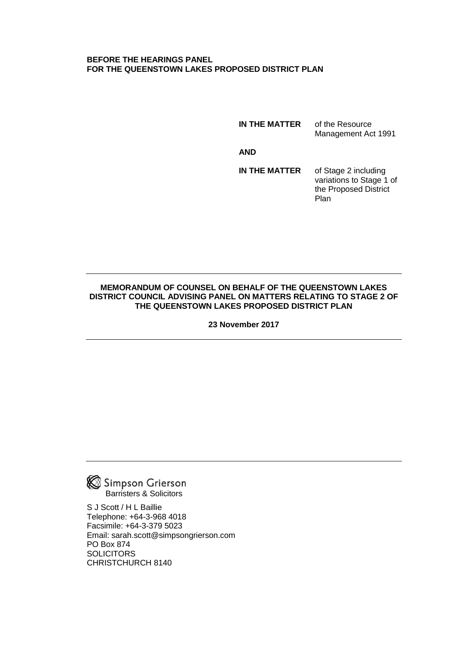#### **BEFORE THE HEARINGS PANEL FOR THE QUEENSTOWN LAKES PROPOSED DISTRICT PLAN**

**IN THE MATTER** of the Resource Management Act 1991

**AND**

**IN THE MATTER** of Stage 2 including variations to Stage 1 of the Proposed District Plan

### **MEMORANDUM OF COUNSEL ON BEHALF OF THE QUEENSTOWN LAKES DISTRICT COUNCIL ADVISING PANEL ON MATTERS RELATING TO STAGE 2 OF THE QUEENSTOWN LAKES PROPOSED DISTRICT PLAN**

**23 November 2017**



S J Scott / H L Baillie Telephone: +64-3-968 4018 Facsimile: +64-3-379 5023 Email: sarah.scott@simpsongrierson.com PO Box 874 **SOLICITORS** CHRISTCHURCH 8140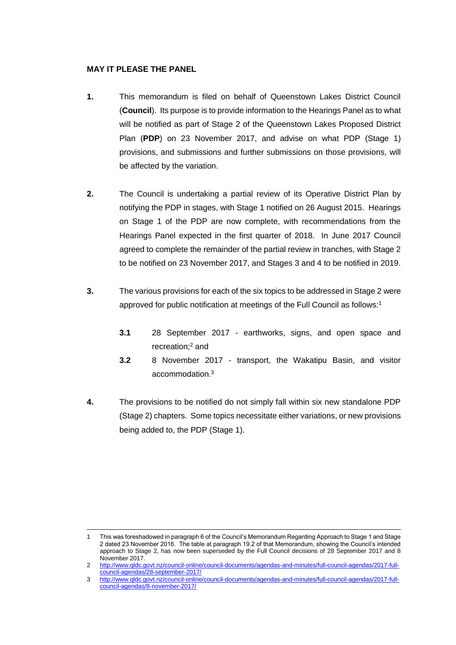### **MAY IT PLEASE THE PANEL**

- **1.** This memorandum is filed on behalf of Queenstown Lakes District Council (**Council**). Its purpose is to provide information to the Hearings Panel as to what will be notified as part of Stage 2 of the Queenstown Lakes Proposed District Plan (**PDP**) on 23 November 2017, and advise on what PDP (Stage 1) provisions, and submissions and further submissions on those provisions, will be affected by the variation.
- **2.** The Council is undertaking a partial review of its Operative District Plan by notifying the PDP in stages, with Stage 1 notified on 26 August 2015. Hearings on Stage 1 of the PDP are now complete, with recommendations from the Hearings Panel expected in the first quarter of 2018. In June 2017 Council agreed to complete the remainder of the partial review in tranches, with Stage 2 to be notified on 23 November 2017, and Stages 3 and 4 to be notified in 2019.
- **3.** The various provisions for each of the six topics to be addressed in Stage 2 were approved for public notification at meetings of the Full Council as follows:<sup>1</sup>
	- **3.1** 28 September 2017 earthworks, signs, and open space and recreation;<sup>2</sup> and
	- **3.2** 8 November 2017 transport, the Wakatipu Basin, and visitor accommodation.<sup>3</sup>
- **4.** The provisions to be notified do not simply fall within six new standalone PDP (Stage 2) chapters. Some topics necessitate either variations, or new provisions being added to, the PDP (Stage 1).

 $\overline{a}$ 1 This was foreshadowed in paragraph 6 of the Council's Memorandum Regarding Approach to Stage 1 and Stage 2 dated 23 November 2016. The table at paragraph 19.2 of that Memorandum, showing the Council's intended approach to Stage 2, has now been superseded by the Full Council decisions of 28 September 2017 and 8 November 2017.

<sup>2</sup> [http://www.qldc.govt.nz/council-online/council-documents/agendas-and-minutes/full-council-agendas/2017-full](http://www.qldc.govt.nz/council-online/council-documents/agendas-and-minutes/full-council-agendas/2017-full-council-agendas/28-september-2017/)[council-agendas/28-september-2017/](http://www.qldc.govt.nz/council-online/council-documents/agendas-and-minutes/full-council-agendas/2017-full-council-agendas/28-september-2017/)

<sup>3</sup> [http://www.qldc.govt.nz/council-online/council-documents/agendas-and-minutes/full-council-agendas/2017-full](http://www.qldc.govt.nz/council-online/council-documents/agendas-and-minutes/full-council-agendas/2017-full-council-agendas/8-november-2017/)[council-agendas/8-november-2017/](http://www.qldc.govt.nz/council-online/council-documents/agendas-and-minutes/full-council-agendas/2017-full-council-agendas/8-november-2017/)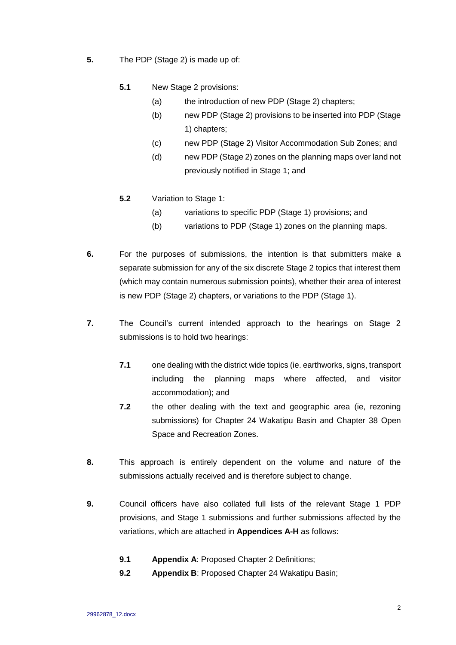- **5.** The PDP (Stage 2) is made up of:
	- **5.1** New Stage 2 provisions:
		- (a) the introduction of new PDP (Stage 2) chapters;
		- (b) new PDP (Stage 2) provisions to be inserted into PDP (Stage 1) chapters;
		- (c) new PDP (Stage 2) Visitor Accommodation Sub Zones; and
		- (d) new PDP (Stage 2) zones on the planning maps over land not previously notified in Stage 1; and
	- **5.2** Variation to Stage 1:
		- (a) variations to specific PDP (Stage 1) provisions; and
		- (b) variations to PDP (Stage 1) zones on the planning maps.
- **6.** For the purposes of submissions, the intention is that submitters make a separate submission for any of the six discrete Stage 2 topics that interest them (which may contain numerous submission points), whether their area of interest is new PDP (Stage 2) chapters, or variations to the PDP (Stage 1).
- **7.** The Council's current intended approach to the hearings on Stage 2 submissions is to hold two hearings:
	- **7.1** one dealing with the district wide topics (ie. earthworks, signs, transport including the planning maps where affected, and visitor accommodation); and
	- **7.2** the other dealing with the text and geographic area (ie, rezoning submissions) for Chapter 24 Wakatipu Basin and Chapter 38 Open Space and Recreation Zones.
- **8.** This approach is entirely dependent on the volume and nature of the submissions actually received and is therefore subject to change.
- **9.** Council officers have also collated full lists of the relevant Stage 1 PDP provisions, and Stage 1 submissions and further submissions affected by the variations, which are attached in **Appendices A-H** as follows:
	- **9.1 Appendix A**: Proposed Chapter 2 Definitions;
	- **9.2 Appendix B**: Proposed Chapter 24 Wakatipu Basin;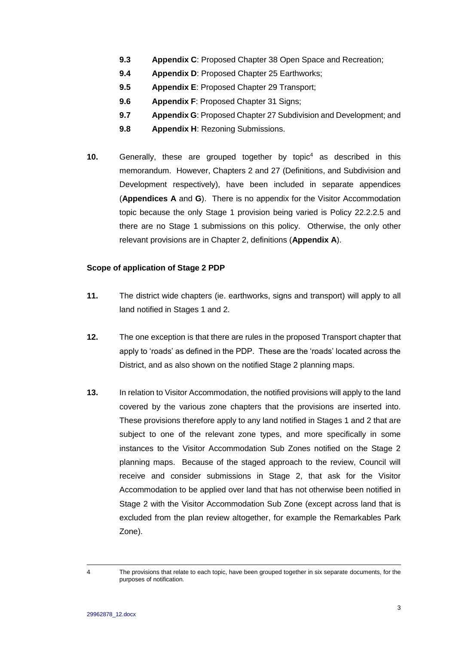- **9.3 Appendix C**: Proposed Chapter 38 Open Space and Recreation;
- **9.4 Appendix D**: Proposed Chapter 25 Earthworks;
- **9.5 Appendix E**: Proposed Chapter 29 Transport;
- **9.6 Appendix F**: Proposed Chapter 31 Signs;
- **9.7 Appendix G**: Proposed Chapter 27 Subdivision and Development; and
- **9.8 Appendix H**: Rezoning Submissions.
- **10.** Generally, these are grouped together by topic<sup>4</sup> as described in this memorandum. However, Chapters 2 and 27 (Definitions, and Subdivision and Development respectively), have been included in separate appendices (**Appendices A** and **G**). There is no appendix for the Visitor Accommodation topic because the only Stage 1 provision being varied is Policy 22.2.2.5 and there are no Stage 1 submissions on this policy. Otherwise, the only other relevant provisions are in Chapter 2, definitions (**Appendix A**).

### **Scope of application of Stage 2 PDP**

- **11.** The district wide chapters (ie. earthworks, signs and transport) will apply to all land notified in Stages 1 and 2.
- **12.** The one exception is that there are rules in the proposed Transport chapter that apply to 'roads' as defined in the PDP. These are the 'roads' located across the District, and as also shown on the notified Stage 2 planning maps.
- **13.** In relation to Visitor Accommodation, the notified provisions will apply to the land covered by the various zone chapters that the provisions are inserted into. These provisions therefore apply to any land notified in Stages 1 and 2 that are subject to one of the relevant zone types, and more specifically in some instances to the Visitor Accommodation Sub Zones notified on the Stage 2 planning maps. Because of the staged approach to the review, Council will receive and consider submissions in Stage 2, that ask for the Visitor Accommodation to be applied over land that has not otherwise been notified in Stage 2 with the Visitor Accommodation Sub Zone (except across land that is excluded from the plan review altogether, for example the Remarkables Park Zone).

 $\overline{a}$ 

<sup>4</sup> The provisions that relate to each topic, have been grouped together in six separate documents, for the purposes of notification.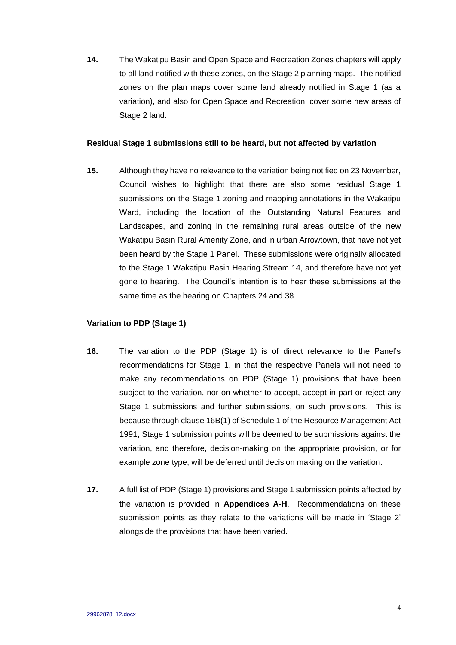**14.** The Wakatipu Basin and Open Space and Recreation Zones chapters will apply to all land notified with these zones, on the Stage 2 planning maps. The notified zones on the plan maps cover some land already notified in Stage 1 (as a variation), and also for Open Space and Recreation, cover some new areas of Stage 2 land.

#### **Residual Stage 1 submissions still to be heard, but not affected by variation**

**15.** Although they have no relevance to the variation being notified on 23 November, Council wishes to highlight that there are also some residual Stage 1 submissions on the Stage 1 zoning and mapping annotations in the Wakatipu Ward, including the location of the Outstanding Natural Features and Landscapes, and zoning in the remaining rural areas outside of the new Wakatipu Basin Rural Amenity Zone, and in urban Arrowtown, that have not yet been heard by the Stage 1 Panel. These submissions were originally allocated to the Stage 1 Wakatipu Basin Hearing Stream 14, and therefore have not yet gone to hearing. The Council's intention is to hear these submissions at the same time as the hearing on Chapters 24 and 38.

#### **Variation to PDP (Stage 1)**

- **16.** The variation to the PDP (Stage 1) is of direct relevance to the Panel's recommendations for Stage 1, in that the respective Panels will not need to make any recommendations on PDP (Stage 1) provisions that have been subject to the variation, nor on whether to accept, accept in part or reject any Stage 1 submissions and further submissions, on such provisions. This is because through clause 16B(1) of Schedule 1 of the Resource Management Act 1991, Stage 1 submission points will be deemed to be submissions against the variation, and therefore, decision-making on the appropriate provision, or for example zone type, will be deferred until decision making on the variation.
- **17.** A full list of PDP (Stage 1) provisions and Stage 1 submission points affected by the variation is provided in **Appendices A-H**. Recommendations on these submission points as they relate to the variations will be made in 'Stage 2' alongside the provisions that have been varied.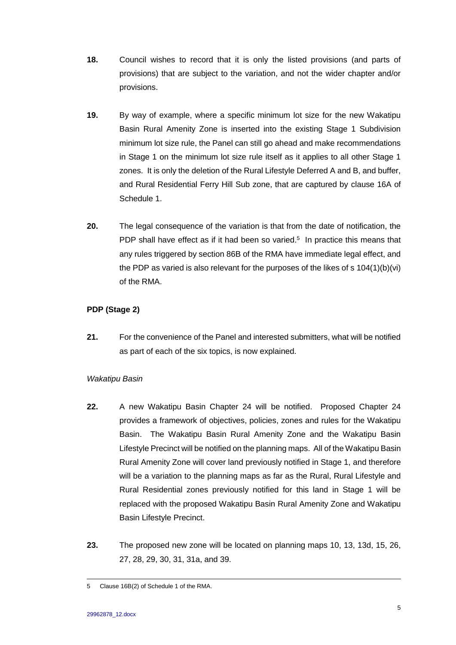- **18.** Council wishes to record that it is only the listed provisions (and parts of provisions) that are subject to the variation, and not the wider chapter and/or provisions.
- **19.** By way of example, where a specific minimum lot size for the new Wakatipu Basin Rural Amenity Zone is inserted into the existing Stage 1 Subdivision minimum lot size rule, the Panel can still go ahead and make recommendations in Stage 1 on the minimum lot size rule itself as it applies to all other Stage 1 zones. It is only the deletion of the Rural Lifestyle Deferred A and B, and buffer, and Rural Residential Ferry Hill Sub zone, that are captured by clause 16A of Schedule 1.
- **20.** The legal consequence of the variation is that from the date of notification, the PDP shall have effect as if it had been so varied. $5$  In practice this means that any rules triggered by section 86B of the RMA have immediate legal effect, and the PDP as varied is also relevant for the purposes of the likes of s 104(1)(b)(vi) of the RMA.

## **PDP (Stage 2)**

**21.** For the convenience of the Panel and interested submitters, what will be notified as part of each of the six topics, is now explained.

## *Wakatipu Basin*

- **22.** A new Wakatipu Basin Chapter 24 will be notified. Proposed Chapter 24 provides a framework of objectives, policies, zones and rules for the Wakatipu Basin. The Wakatipu Basin Rural Amenity Zone and the Wakatipu Basin Lifestyle Precinct will be notified on the planning maps. All of the Wakatipu Basin Rural Amenity Zone will cover land previously notified in Stage 1, and therefore will be a variation to the planning maps as far as the Rural, Rural Lifestyle and Rural Residential zones previously notified for this land in Stage 1 will be replaced with the proposed Wakatipu Basin Rural Amenity Zone and Wakatipu Basin Lifestyle Precinct.
- **23.** The proposed new zone will be located on planning maps 10, 13, 13d, 15, 26, 27, 28, 29, 30, 31, 31a, and 39.

 $\overline{a}$ 5 Clause 16B(2) of Schedule 1 of the RMA.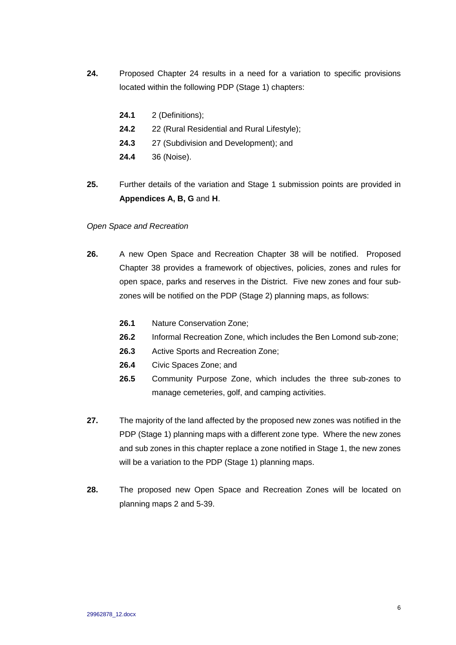- **24.** Proposed Chapter 24 results in a need for a variation to specific provisions located within the following PDP (Stage 1) chapters:
	- **24.1** 2 (Definitions);
	- **24.2** 22 (Rural Residential and Rural Lifestyle);
	- **24.3** 27 (Subdivision and Development); and
	- **24.4** 36 (Noise).
- **25.** Further details of the variation and Stage 1 submission points are provided in **Appendices A, B, G** and **H**.

### *Open Space and Recreation*

- **26.** A new Open Space and Recreation Chapter 38 will be notified. Proposed Chapter 38 provides a framework of objectives, policies, zones and rules for open space, parks and reserves in the District. Five new zones and four subzones will be notified on the PDP (Stage 2) planning maps, as follows:
	- **26.1** Nature Conservation Zone;
	- **26.2** Informal Recreation Zone, which includes the Ben Lomond sub-zone;
	- **26.3** Active Sports and Recreation Zone;
	- **26.4** Civic Spaces Zone; and
	- **26.5** Community Purpose Zone, which includes the three sub-zones to manage cemeteries, golf, and camping activities.
- **27.** The majority of the land affected by the proposed new zones was notified in the PDP (Stage 1) planning maps with a different zone type. Where the new zones and sub zones in this chapter replace a zone notified in Stage 1, the new zones will be a variation to the PDP (Stage 1) planning maps.
- **28.** The proposed new Open Space and Recreation Zones will be located on planning maps 2 and 5-39.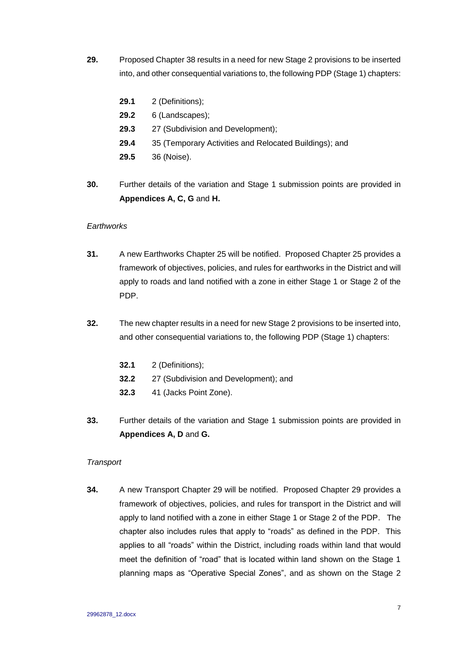- **29.** Proposed Chapter 38 results in a need for new Stage 2 provisions to be inserted into, and other consequential variations to, the following PDP (Stage 1) chapters:
	- **29.1** 2 (Definitions);
	- **29.2** 6 (Landscapes);
	- **29.3** 27 (Subdivision and Development);
	- **29.4** 35 (Temporary Activities and Relocated Buildings); and
	- **29.5** 36 (Noise).
- **30.** Further details of the variation and Stage 1 submission points are provided in **Appendices A, C, G** and **H.**

#### *Earthworks*

- **31.** A new Earthworks Chapter 25 will be notified. Proposed Chapter 25 provides a framework of objectives, policies, and rules for earthworks in the District and will apply to roads and land notified with a zone in either Stage 1 or Stage 2 of the PDP.
- **32.** The new chapter results in a need for new Stage 2 provisions to be inserted into, and other consequential variations to, the following PDP (Stage 1) chapters:
	- **32.1** 2 (Definitions);
	- **32.2** 27 (Subdivision and Development); and
	- **32.3** 41 (Jacks Point Zone).
- **33.** Further details of the variation and Stage 1 submission points are provided in **Appendices A, D** and **G.**

### *Transport*

**34.** A new Transport Chapter 29 will be notified. Proposed Chapter 29 provides a framework of objectives, policies, and rules for transport in the District and will apply to land notified with a zone in either Stage 1 or Stage 2 of the PDP. The chapter also includes rules that apply to "roads" as defined in the PDP. This applies to all "roads" within the District, including roads within land that would meet the definition of "road" that is located within land shown on the Stage 1 planning maps as "Operative Special Zones", and as shown on the Stage 2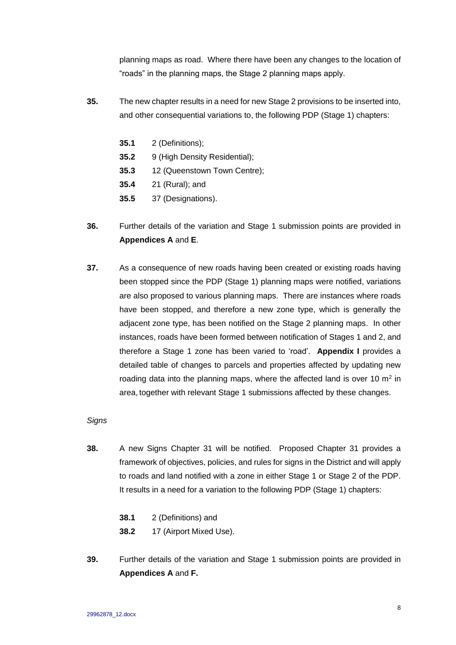planning maps as road. Where there have been any changes to the location of "roads" in the planning maps, the Stage 2 planning maps apply.

- **35.** The new chapter results in a need for new Stage 2 provisions to be inserted into, and other consequential variations to, the following PDP (Stage 1) chapters:
	- **35.1** 2 (Definitions);
	- **35.2** 9 (High Density Residential);
	- **35.3** 12 (Queenstown Town Centre);
	- **35.4** 21 (Rural); and
	- **35.5** 37 (Designations).
- **36.** Further details of the variation and Stage 1 submission points are provided in **Appendices A** and **E**.
- **37.** As a consequence of new roads having been created or existing roads having been stopped since the PDP (Stage 1) planning maps were notified, variations are also proposed to various planning maps. There are instances where roads have been stopped, and therefore a new zone type, which is generally the adjacent zone type, has been notified on the Stage 2 planning maps. In other instances, roads have been formed between notification of Stages 1 and 2, and therefore a Stage 1 zone has been varied to 'road'. **Appendix I** provides a detailed table of changes to parcels and properties affected by updating new roading data into the planning maps, where the affected land is over 10  $m<sup>2</sup>$  in area, together with relevant Stage 1 submissions affected by these changes.

### *Signs*

- **38.** A new Signs Chapter 31 will be notified. Proposed Chapter 31 provides a framework of objectives, policies, and rules for signs in the District and will apply to roads and land notified with a zone in either Stage 1 or Stage 2 of the PDP. It results in a need for a variation to the following PDP (Stage 1) chapters:
	- **38.1** 2 (Definitions) and
	- **38.2** 17 (Airport Mixed Use).
- **39.** Further details of the variation and Stage 1 submission points are provided in **Appendices A** and **F.**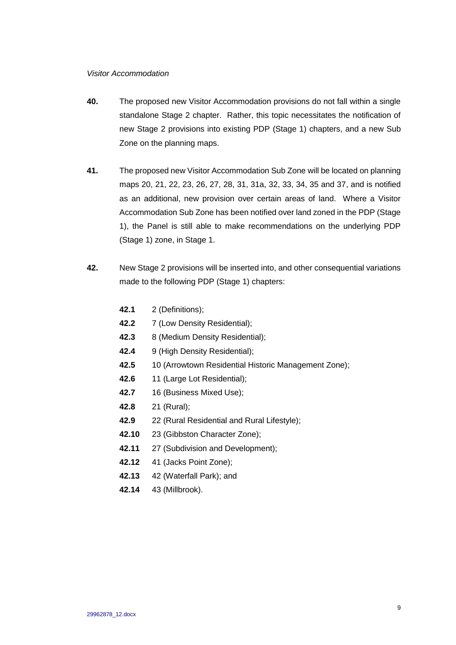#### *Visitor Accommodation*

- **40.** The proposed new Visitor Accommodation provisions do not fall within a single standalone Stage 2 chapter. Rather, this topic necessitates the notification of new Stage 2 provisions into existing PDP (Stage 1) chapters, and a new Sub Zone on the planning maps.
- **41.** The proposed new Visitor Accommodation Sub Zone will be located on planning maps 20, 21, 22, 23, 26, 27, 28, 31, 31a, 32, 33, 34, 35 and 37, and is notified as an additional, new provision over certain areas of land. Where a Visitor Accommodation Sub Zone has been notified over land zoned in the PDP (Stage 1), the Panel is still able to make recommendations on the underlying PDP (Stage 1) zone, in Stage 1.
- **42.** New Stage 2 provisions will be inserted into, and other consequential variations made to the following PDP (Stage 1) chapters:
	- **42.1** 2 (Definitions);
	- **42.2** 7 (Low Density Residential);
	- **42.3** 8 (Medium Density Residential);
	- **42.4** 9 (High Density Residential);
	- **42.5** 10 (Arrowtown Residential Historic Management Zone);
	- **42.6** 11 (Large Lot Residential);
	- **42.7** 16 (Business Mixed Use);
	- **42.8** 21 (Rural);
	- **42.9** 22 (Rural Residential and Rural Lifestyle);
	- **42.10** 23 (Gibbston Character Zone);
	- **42.11** 27 (Subdivision and Development);
	- **42.12** 41 (Jacks Point Zone);
	- **42.13** 42 (Waterfall Park); and
	- **42.14** 43 (Millbrook).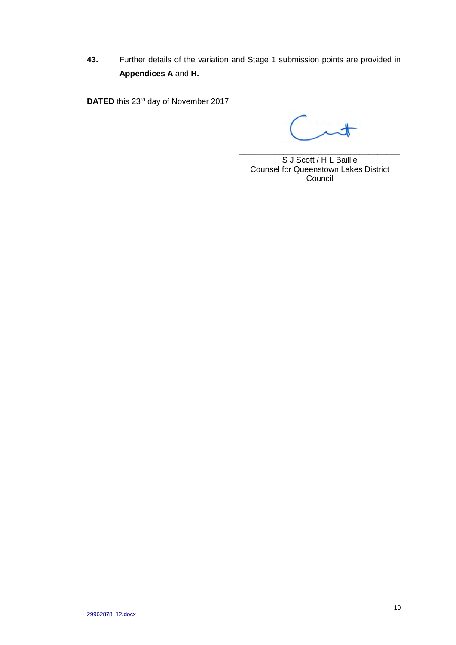**43.** Further details of the variation and Stage 1 submission points are provided in **Appendices A** and **H.**

DATED this 23<sup>rd</sup> day of November 2017

\_\_\_\_\_\_\_\_\_\_\_\_\_\_\_\_\_\_\_\_\_\_\_\_\_\_\_\_\_\_\_\_\_\_\_\_ S J Scott / H L Baillie Counsel for Queenstown Lakes District Council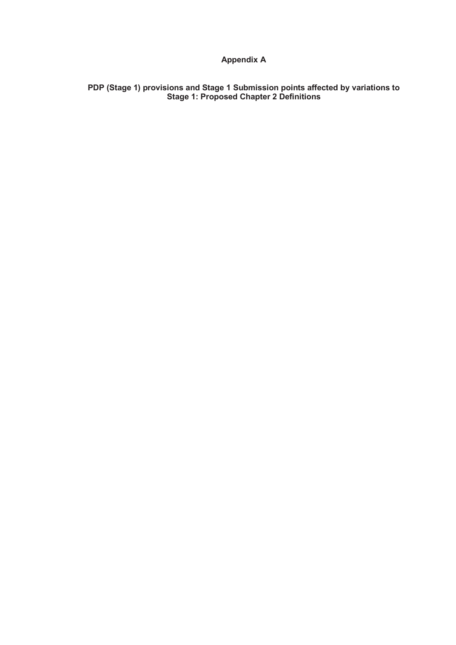# **Appendix A**

**PDP (Stage 1) provisions and Stage 1 Submission points affected by variations to Stage 1: Proposed Chapter 2 Definitions**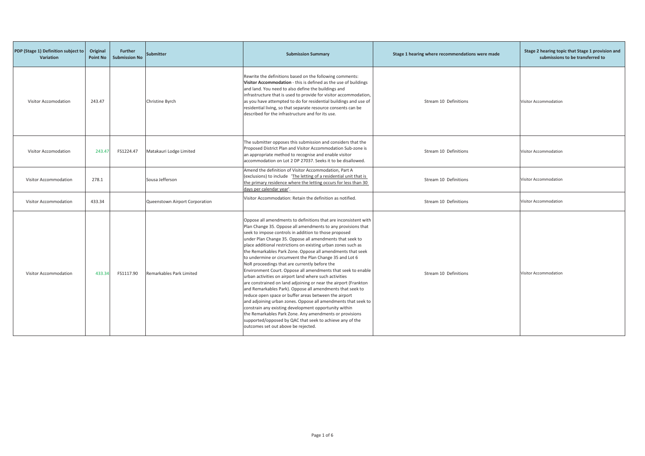| PDP (Stage 1) Definition subject to<br><b>Variation</b> | Original<br><b>Point No</b> | <b>Further</b><br><b>Submission No</b> | <b>Submitter</b>               | <b>Submission Summary</b>                                                                                                                                                                                                                                                                                                                                                                                                                                                                                                                                                                                                                                                                                                                                                                                                                                                                                                                                                                                                                                                                                  | Stage 1 hearing where recommendations were made | Stage 2 hearing topic that Stage 1 provision and<br>submissions to be transferred to |
|---------------------------------------------------------|-----------------------------|----------------------------------------|--------------------------------|------------------------------------------------------------------------------------------------------------------------------------------------------------------------------------------------------------------------------------------------------------------------------------------------------------------------------------------------------------------------------------------------------------------------------------------------------------------------------------------------------------------------------------------------------------------------------------------------------------------------------------------------------------------------------------------------------------------------------------------------------------------------------------------------------------------------------------------------------------------------------------------------------------------------------------------------------------------------------------------------------------------------------------------------------------------------------------------------------------|-------------------------------------------------|--------------------------------------------------------------------------------------|
| Visitor Accomodation                                    | 243.47                      |                                        | Christine Byrch                | Rewrite the definitions based on the following comments:<br>Visitor Accommodation - this is defined as the use of buildings<br>and land. You need to also define the buildings and<br>infrastructure that is used to provide for visitor accommodation,<br>as you have attempted to do for residential buildings and use of<br>residential living, so that separate resource consents can be<br>described for the infrastructure and for its use.                                                                                                                                                                                                                                                                                                                                                                                                                                                                                                                                                                                                                                                          | Stream 10 Definitions                           | <b>Visitor Accommodation</b>                                                         |
| Visitor Accomodation                                    | 243.47                      | FS1224.47                              | Matakauri Lodge Limited        | The submitter opposes this submission and considers that the<br>Proposed District Plan and Visitor Accommodation Sub-zone is<br>an appropriate method to recognise and enable visitor<br>accommodation on Lot 2 DP 27037. Seeks it to be disallowed.                                                                                                                                                                                                                                                                                                                                                                                                                                                                                                                                                                                                                                                                                                                                                                                                                                                       | Stream 10 Definitions                           | Visitor Accommodation                                                                |
| Visitor Accommodation                                   | 278.1                       |                                        | Sousa Jefferson                | Amend the definition of Visitor Accommodation, Part A<br>(exclusions) to include 'The letting of a residential unit that is<br>the primary residence where the letting occurs for less than 30<br>days per calendar year'.                                                                                                                                                                                                                                                                                                                                                                                                                                                                                                                                                                                                                                                                                                                                                                                                                                                                                 | Stream 10 Definitions                           | Visitor Accommodation                                                                |
| Visitor Accommodation                                   | 433.34                      |                                        | Queenstown Airport Corporation | Visitor Accommodation: Retain the definition as notified.                                                                                                                                                                                                                                                                                                                                                                                                                                                                                                                                                                                                                                                                                                                                                                                                                                                                                                                                                                                                                                                  | Stream 10 Definitions                           | Visitor Accommodation                                                                |
| Visitor Accommodation                                   | 433.34                      | FS1117.90                              | Remarkables Park Limited       | Oppose all amendments to definitions that are inconsistent with<br>Plan Change 35. Oppose all amendments to any provisions that<br>seek to impose controls in addition to those proposed<br>under Plan Change 35. Oppose all amendments that seek to<br>place additional restrictions on existing urban zones such as<br>the Remarkables Park Zone. Oppose all amendments that seek<br>to undermine or circumvent the Plan Change 35 and Lot 6<br>NoR proceedings that are currently before the<br>Environment Court. Oppose all amendments that seek to enable<br>urban activities on airport land where such activities<br>are constrained on land adjoining or near the airport (Frankton<br>and Remarkables Park). Oppose all amendments that seek to<br>reduce open space or buffer areas between the airport<br>and adjoining urban zones. Oppose all amendments that seek to<br>constrain any existing development opportunity within<br>the Remarkables Park Zone. Any amendments or provisions<br>supported/opposed by QAC that seek to achieve any of the<br>outcomes set out above be rejected. | Stream 10 Definitions                           | Visitor Accommodation                                                                |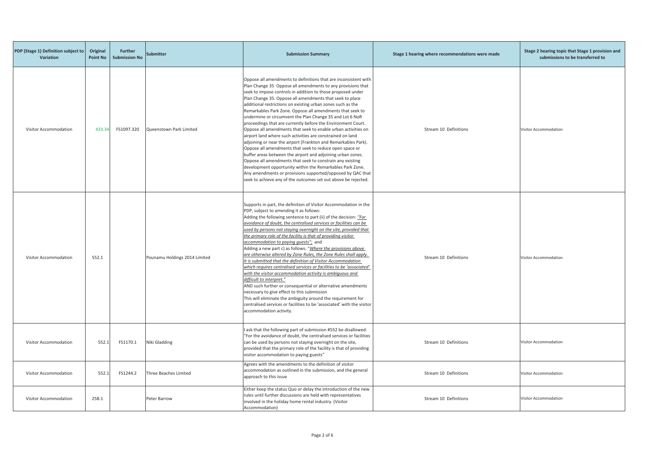| PDP (Stage 1) Definition subject to<br>Variation | Original<br><b>Point No</b> | <b>Further</b><br><b>Submission No</b> | Submitter                     | <b>Submission Summary</b>                                                                                                                                                                                                                                                                                                                                                                                                                                                                                                                                                                                                                                                                                                                                                                                                                                                                                                                                                                                                                                                                              | Stage 1 hearing where recommendations were made |                       |
|--------------------------------------------------|-----------------------------|----------------------------------------|-------------------------------|--------------------------------------------------------------------------------------------------------------------------------------------------------------------------------------------------------------------------------------------------------------------------------------------------------------------------------------------------------------------------------------------------------------------------------------------------------------------------------------------------------------------------------------------------------------------------------------------------------------------------------------------------------------------------------------------------------------------------------------------------------------------------------------------------------------------------------------------------------------------------------------------------------------------------------------------------------------------------------------------------------------------------------------------------------------------------------------------------------|-------------------------------------------------|-----------------------|
| Visitor Accommodation                            | 433.34                      | FS1097.320                             | Queenstown Park Limited       | Oppose all amendments to definitions that are inconsistent with<br>Plan Change 35 Oppose all amendments to any provisions that<br>seek to impose controls in addition to those proposed under<br>Plan Change 35. Oppose all amendments that seek to place<br>additional restrictions on existing urban zones such as the<br>Remarkables Park Zone. Oppose all amendments that seek to<br>undermine or circumvent the Plan Change 35 and Lot 6 NoR<br>proceedings that are currently before the Environment Court.<br>Oppose all amendments that seek to enable urban activities on<br>airport land where such activities are constrained on land<br>adjoining or near the airport (Frankton and Remarkables Park).<br>Oppose all amendments that seek to reduce open space or<br>buffer areas between the airport and adjoining urban zones.<br>Oppose all amendments that seek to constrain any existing<br>development opportunity within the Remarkables Park Zone.<br>Any amendments or provisions supported/opposed by QAC that<br>seek to achieve any of the outcomes set out above be rejected. | Stream 10 Definitions                           | Visitor Accommodation |
| Visitor Accommodation                            | 552.1                       |                                        | Pounamu Holdings 2014 Limited | Supports in part, the definition of Visitor Accommodation in the<br>PDP, subject to amending it as follows:<br>Adding the following sentence to part (ii) of the decision: "For<br>avoidance of doubt, the centralised services or facilities can be<br>used by persons not staying overnight on the site, provided that<br>the primary role of the facility is that of providing visitor<br>accommodation to paying guests"; and<br>Adding a new part c) as follows: " <i>Where the provisions above</i><br>are otherwise altered by Zone Rules, the Zone Rules shall apply.<br>It is submitted that the definition of Visitor Accommodation<br>which requires centralised services or facilities to be 'associated'<br>with the visitor accommodation activity is ambiguous and<br>difficult to interpret."<br>AND such further or consequential or alternative amendments<br>necessary to give effect to this submission<br>This will eliminate the ambiguity around the requirement for<br>centralised services or facilities to be 'associated' with the visitor<br>accommodation activity.       | Stream 10 Definitions                           | Visitor Accommodation |
| Visitor Accommodation                            | 552.1                       | FS1170.1                               | Niki Gladding                 | ask that the following part of submission #552 be disallowed:<br>"For the avoidance of doubt, the centralised services or facilities<br>can be used by persons not staying overnight on the site,<br>provided that the primary role of the facility is that of providing<br>visitor accommodation to paying guests"                                                                                                                                                                                                                                                                                                                                                                                                                                                                                                                                                                                                                                                                                                                                                                                    | Stream 10 Definitions                           | Visitor Accommodation |
| Visitor Accommodation                            | 552.3                       | FS1244.2                               | Three Beaches Limited         | Agrees with the amendments to the definition of visitor<br>accommodation as outlined in the submission, and the general<br>approach to this issue                                                                                                                                                                                                                                                                                                                                                                                                                                                                                                                                                                                                                                                                                                                                                                                                                                                                                                                                                      | Stream 10 Definitions                           | Visitor Accommodation |
| Visitor Accommodation                            | 258.1                       |                                        | Peter Barrow                  | Either keep the status Quo or delay the introduction of the new<br>rules until further discussions are held with representatives<br>involved in the holiday home rental industry. (Visitor<br>Accommodation)                                                                                                                                                                                                                                                                                                                                                                                                                                                                                                                                                                                                                                                                                                                                                                                                                                                                                           | Stream 10 Definitions                           | Visitor Accommodation |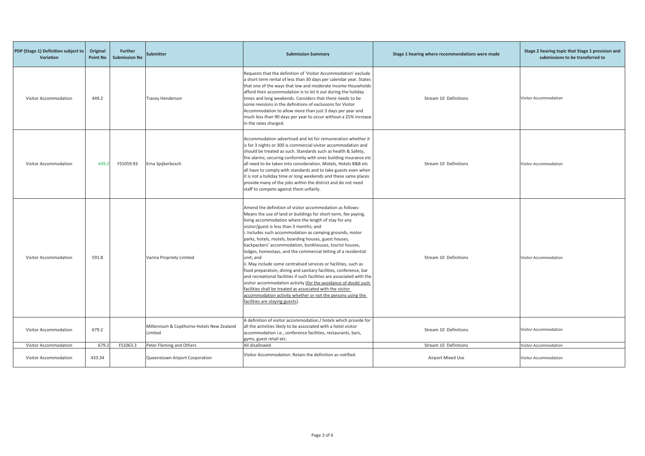| PDP (Stage 1) Definition subject to<br><b>Variation</b> | Original<br><b>Point No</b> | <b>Further</b><br><b>Submission No</b> | <b>Submitter</b>                                     | <b>Submission Summary</b>                                                                                                                                                                                                                                                                                                                                                                                                                                                                                                                                                                                                                                                                                                                                                                                                                                                                                                                             | Stage 1 hearing where recommendations were made | Stage 2 hearing topic that Stage 1 provision and<br>submissions to be transferred to |
|---------------------------------------------------------|-----------------------------|----------------------------------------|------------------------------------------------------|-------------------------------------------------------------------------------------------------------------------------------------------------------------------------------------------------------------------------------------------------------------------------------------------------------------------------------------------------------------------------------------------------------------------------------------------------------------------------------------------------------------------------------------------------------------------------------------------------------------------------------------------------------------------------------------------------------------------------------------------------------------------------------------------------------------------------------------------------------------------------------------------------------------------------------------------------------|-------------------------------------------------|--------------------------------------------------------------------------------------|
| Visitor Accommodation                                   | 449.2                       |                                        | <b>Tracey Henderson</b>                              | Requests that the definition of 'Visitor Accommodation' exclude<br>a short term rental of less than 30 days per calendar year. States<br>that one of the ways that low and moderate income Households<br>afford their accommodation is to let it out during the holiday<br>times and long weekends. Considers that there needs to be<br>some revisions in the definitions of exclusions for Visitor<br>Accommodation to allow more than just 3 days per year and<br>much less than 90 days per year to occur without a 25% increase<br>in the rates charged.                                                                                                                                                                                                                                                                                                                                                                                          | Stream 10 Definitions                           | Visitor Accommodation                                                                |
| Visitor Accommodation                                   | 449.2                       | FS1059.93                              | Erna Spijkerbosch                                    | Accommodation advertised and let for remuneration whether it<br>is for 3 nights or 300 is commercial visitor accommodation and<br>should be treated as such. Standards such as health & Safety,<br>fire alarms, securing conformity with ones building insurance etc<br>all need to be taken into consideration. Motels, Hotels B&B etc<br>all have to comply with standards and to take guests even when<br>it is not a holiday time or long weekends and these same places<br>provide many of the jobs within the district and do not need<br>staff to compete against them unfairly.                                                                                                                                                                                                                                                                                                                                                               | Stream 10 Definitions                           | Visitor Accommodation                                                                |
| Visitor Accommodation                                   | 591.8                       |                                        | Varina Propriety Limited                             | Amend the definition of visitor accommodation as follows:<br>Means the use of land or buildings for short-term, fee paying,<br>living accommodation where the length of stay for any<br>visitor/guest is less than 3 months; and<br>i. Includes such accommodation as camping grounds, motor<br>parks, hotels, motels, boarding houses, guest houses,<br>backpackers' accommodation, bunkhouses, tourist houses,<br>lodges, homestays, and the commercial letting of a residential<br>unit; and<br>ii. May include some centralised services or facilities, such as<br>food preparation, dining and sanitary facilities, conference, bar<br>and recreational facilities if such facilities are associated with the<br>visitor accommodation activity (for the avoidance of doubt such<br>facilities shall be treated as associated with the visitor<br>accommodation activity whether or not the persons using the<br>facilities are staying guests). | Stream 10 Definitions                           | Visitor Accommodation                                                                |
| Visitor Accommodation                                   | 679.2                       |                                        | Millennium & Copthorne Hotels New Zealand<br>Limited | A definition of visitor accommodation / hotels which provide for<br>all the activities likely to be associated with a hotel visitor<br>accommodation i.e., conference facilities, restaurants, bars,<br>gyms, guest retail etc.                                                                                                                                                                                                                                                                                                                                                                                                                                                                                                                                                                                                                                                                                                                       | Stream 10 Definitions                           | Visitor Accommodation                                                                |
| Visitor Accommodation                                   | 679.2                       | FS1063.3                               | Peter Fleming and Others                             | All disallowed                                                                                                                                                                                                                                                                                                                                                                                                                                                                                                                                                                                                                                                                                                                                                                                                                                                                                                                                        | Stream 10 Definitions                           | Visitor Accommodation                                                                |
| Visitor Accommodation                                   | 433.34                      |                                        | Queenstown Airport Corporation                       | Visitor Accommodation: Retain the definition as notified.                                                                                                                                                                                                                                                                                                                                                                                                                                                                                                                                                                                                                                                                                                                                                                                                                                                                                             | Airport Mixed Use                               | <b>Visitor Accommodation</b>                                                         |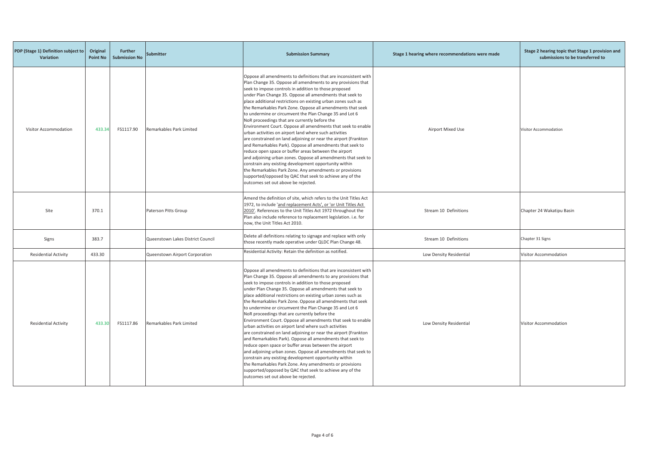| PDP (Stage 1) Definition subject to<br>Variation | Original<br><b>Point No</b> | <b>Further</b><br><b>Submission No</b> | <b>Submitter</b>                  | <b>Submission Summary</b>                                                                                                                                                                                                                                                                                                                                                                                                                                                                                                                                                                                                                                                                                                                                                                                                                                                                                                                                                                                                                                                                                  | Stage 1 hearing where recommendations were made | Stage 2 hearing topic that Stage 1 provision and<br>submissions to be transferred to |
|--------------------------------------------------|-----------------------------|----------------------------------------|-----------------------------------|------------------------------------------------------------------------------------------------------------------------------------------------------------------------------------------------------------------------------------------------------------------------------------------------------------------------------------------------------------------------------------------------------------------------------------------------------------------------------------------------------------------------------------------------------------------------------------------------------------------------------------------------------------------------------------------------------------------------------------------------------------------------------------------------------------------------------------------------------------------------------------------------------------------------------------------------------------------------------------------------------------------------------------------------------------------------------------------------------------|-------------------------------------------------|--------------------------------------------------------------------------------------|
| <b>Visitor Accommodation</b>                     | 433.34                      | FS1117.90                              | Remarkables Park Limited          | Oppose all amendments to definitions that are inconsistent with<br>Plan Change 35. Oppose all amendments to any provisions that<br>seek to impose controls in addition to those proposed<br>under Plan Change 35. Oppose all amendments that seek to<br>place additional restrictions on existing urban zones such as<br>the Remarkables Park Zone. Oppose all amendments that seek<br>to undermine or circumvent the Plan Change 35 and Lot 6<br>NoR proceedings that are currently before the<br>Environment Court. Oppose all amendments that seek to enable<br>urban activities on airport land where such activities<br>are constrained on land adjoining or near the airport (Frankton<br>and Remarkables Park). Oppose all amendments that seek to<br>reduce open space or buffer areas between the airport<br>and adjoining urban zones. Oppose all amendments that seek to<br>constrain any existing development opportunity within<br>the Remarkables Park Zone. Any amendments or provisions<br>supported/opposed by QAC that seek to achieve any of the<br>outcomes set out above be rejected. | <b>Airport Mixed Use</b>                        | Visitor Accommodation                                                                |
| Site                                             | 370.1                       |                                        | Paterson Pitts Group              | Amend the definition of site, which refers to the Unit Titles Act<br>1972, to include 'and replacement Acts', or 'or Unit Titles Act<br>2010'. References to the Unit Titles Act 1972 throughout the<br>Plan also include reference to replacement legislation. i.e. for<br>now, the Unit Titles Act 2010.                                                                                                                                                                                                                                                                                                                                                                                                                                                                                                                                                                                                                                                                                                                                                                                                 | Stream 10 Definitions                           | Chapter 24 Wakatipu Basin                                                            |
| Signs                                            | 383.7                       |                                        | Queenstown Lakes District Council | Delete all definitions relating to signage and replace with only<br>those recently made operative under QLDC Plan Change 48.                                                                                                                                                                                                                                                                                                                                                                                                                                                                                                                                                                                                                                                                                                                                                                                                                                                                                                                                                                               | Stream 10 Definitions                           | Chapter 31 Signs                                                                     |
| <b>Residential Activity</b>                      | 433.30                      |                                        | Queenstown Airport Corporation    | Residential Activity: Retain the definition as notified.                                                                                                                                                                                                                                                                                                                                                                                                                                                                                                                                                                                                                                                                                                                                                                                                                                                                                                                                                                                                                                                   | Low Density Residential                         | Visitor Accommodation                                                                |
| <b>Residential Activity</b>                      | 433.30                      | FS1117.86                              | Remarkables Park Limited          | Oppose all amendments to definitions that are inconsistent with<br>Plan Change 35. Oppose all amendments to any provisions that<br>seek to impose controls in addition to those proposed<br>under Plan Change 35. Oppose all amendments that seek to<br>place additional restrictions on existing urban zones such as<br>the Remarkables Park Zone. Oppose all amendments that seek<br>to undermine or circumvent the Plan Change 35 and Lot 6<br>NoR proceedings that are currently before the<br>Environment Court. Oppose all amendments that seek to enable<br>urban activities on airport land where such activities<br>are constrained on land adjoining or near the airport (Frankton<br>and Remarkables Park). Oppose all amendments that seek to<br>reduce open space or buffer areas between the airport<br>and adjoining urban zones. Oppose all amendments that seek to<br>constrain any existing development opportunity within<br>the Remarkables Park Zone. Any amendments or provisions<br>supported/opposed by QAC that seek to achieve any of the<br>outcomes set out above be rejected. | Low Density Residential                         | Visitor Accommodation                                                                |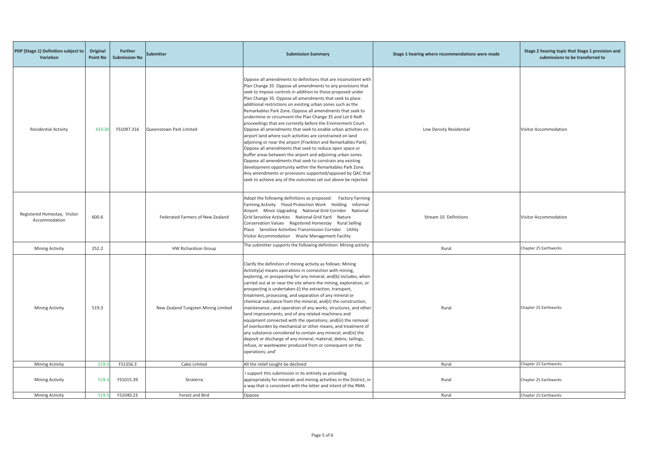| PDP (Stage 1) Definition subject to<br>Variation | Original<br><b>Point No</b> | <b>Further</b><br><b>Submission No</b> | <b>Submitter</b>                    | <b>Submission Summary</b>                                                                                                                                                                                                                                                                                                                                                                                                                                                                                                                                                                                                                                                                                                                                                                                                                                                                                                                                                                                                                                                                              | Stage 1 hearing where recommendations were made | Stage 2 hearing topic that Stage 1 provision and<br>submissions to be transferred to |
|--------------------------------------------------|-----------------------------|----------------------------------------|-------------------------------------|--------------------------------------------------------------------------------------------------------------------------------------------------------------------------------------------------------------------------------------------------------------------------------------------------------------------------------------------------------------------------------------------------------------------------------------------------------------------------------------------------------------------------------------------------------------------------------------------------------------------------------------------------------------------------------------------------------------------------------------------------------------------------------------------------------------------------------------------------------------------------------------------------------------------------------------------------------------------------------------------------------------------------------------------------------------------------------------------------------|-------------------------------------------------|--------------------------------------------------------------------------------------|
| <b>Residential Activity</b>                      | 433.30                      | FS1097.316                             | Queenstown Park Limited             | Oppose all amendments to definitions that are inconsistent with<br>Plan Change 35 Oppose all amendments to any provisions that<br>seek to impose controls in addition to those proposed under<br>Plan Change 35. Oppose all amendments that seek to place<br>additional restrictions on existing urban zones such as the<br>Remarkables Park Zone. Oppose all amendments that seek to<br>undermine or circumvent the Plan Change 35 and Lot 6 NoR<br>proceedings that are currently before the Environment Court.<br>Oppose all amendments that seek to enable urban activities on<br>airport land where such activities are constrained on land<br>adjoining or near the airport (Frankton and Remarkables Park).<br>Oppose all amendments that seek to reduce open space or<br>buffer areas between the airport and adjoining urban zones.<br>Oppose all amendments that seek to constrain any existing<br>development opportunity within the Remarkables Park Zone.<br>Any amendments or provisions supported/opposed by QAC that<br>seek to achieve any of the outcomes set out above be rejected. | Low Density Residential                         | Visitor Accommodation                                                                |
| Registered Homestay, Visitor<br>Accommodation    | 600.6                       |                                        | Federated Farmers of New Zealand    | Adopt the following definitions as proposed: Factory Farming<br>Farming Activity Flood Protection Work Holding<br>informal<br>Airport Minor Upgrading National Grid Corridor National<br>Grid Sensitive Activities National Grid Yard Nature<br>Conservation Values Registered Homestay Rural Selling<br>Place Sensitive Activities-Transmission Corridor Utility<br>Visitor Accommodation Waste Management Facility                                                                                                                                                                                                                                                                                                                                                                                                                                                                                                                                                                                                                                                                                   | Stream 10 Definitions                           | Visitor Accommodation                                                                |
| <b>Mining Activity</b>                           | 252.2                       |                                        | HW Richardson Group                 | The submitter supports the following definition: Mining activity                                                                                                                                                                                                                                                                                                                                                                                                                                                                                                                                                                                                                                                                                                                                                                                                                                                                                                                                                                                                                                       | Rural                                           | Chapter 25 Earthworks                                                                |
| <b>Mining Activity</b>                           | 519.3                       |                                        | New Zealand Tungsten Mining Limited | Clarify the definition of mining activity as follows: Mining<br>Activity(a) means operations in connection with mining,<br>exploring, or prospecting for any mineral; and(b) includes, when<br>carried out at or near the site where the mining, exploration, or<br>prospecting is undertaken-(i) the extraction, transport,<br>treatment, processing, and separation of any mineral or<br>chemical substance from the mineral; and(ii) the construction,<br>maintenance, and operation of any works, structures, and other<br>land improvements, and of any related machinery and<br>equipment connected with the operations; and(iii) the removal<br>of overburden by mechanical or other means, and treatment of<br>any substance considered to contain any mineral; and(iv) the<br>deposit or discharge of any mineral, material, debris, tailings,<br>refuse, or wastewater produced from or consequent on the<br>operations; and'                                                                                                                                                                | Rural                                           | Chapter 25 Earthworks                                                                |
| <b>Mining Activity</b>                           | 519.3                       | FS1356.3                               | Cabo Limited                        | All the relief sought be declined                                                                                                                                                                                                                                                                                                                                                                                                                                                                                                                                                                                                                                                                                                                                                                                                                                                                                                                                                                                                                                                                      | Rural                                           | Chapter 25 Earthworks                                                                |
| <b>Mining Activity</b>                           | 519.3                       | FS1015.39                              | Straterra                           | I support this submission in its entirety as providing<br>appropriately for minerals and mining activities in the District, in<br>a way that is consistent with the letter and intent of the RMA.                                                                                                                                                                                                                                                                                                                                                                                                                                                                                                                                                                                                                                                                                                                                                                                                                                                                                                      | Rural                                           | Chapter 25 Earthworks                                                                |
| <b>Mining Activity</b>                           | 519.3                       | FS1040.23                              | Forest and Bird                     | Oppose                                                                                                                                                                                                                                                                                                                                                                                                                                                                                                                                                                                                                                                                                                                                                                                                                                                                                                                                                                                                                                                                                                 | Rural                                           | Chapter 25 Earthworks                                                                |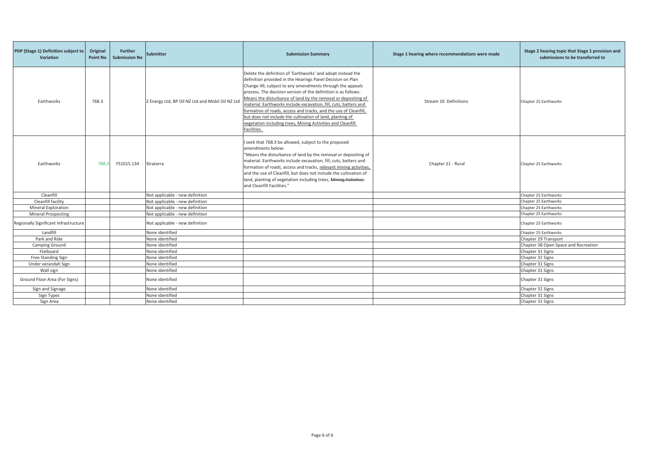| PDP (Stage 1) Definition subject to<br><b>Variation</b> | Original<br><b>Point No</b> | <b>Further</b><br><b>Submission No</b> | <b>Submitter</b>                                 | <b>Submission Summary</b>                                                                                                                                                                                                                                                                                                                                                                                                                                                                                                                                                                                   | Stage 1 hearing where recommendations were made | Stage 2 hearing topic that Stage 1 provision and<br>submissions to be transferred to |
|---------------------------------------------------------|-----------------------------|----------------------------------------|--------------------------------------------------|-------------------------------------------------------------------------------------------------------------------------------------------------------------------------------------------------------------------------------------------------------------------------------------------------------------------------------------------------------------------------------------------------------------------------------------------------------------------------------------------------------------------------------------------------------------------------------------------------------------|-------------------------------------------------|--------------------------------------------------------------------------------------|
| Earthworks                                              | 768.3                       |                                        | Z Energy Ltd, BP Oil NZ Ltd and Mobil Oil NZ Ltd | Delete the definition of 'Earthworks' and adopt instead the<br>definition provided in the Hearings Panel Decision on Plan<br>Change 49, subject to any amendments through the appeals<br>process. The decision version of the definition is as follows:<br>Means the disturbance of land by the removal or depositing of<br>material. Earthworks include excavation, fill, cuts, batters and<br>formation of roads, access and tracks, and the use of Cleanfill,<br>but does not include the cultivation of land, planting of<br>vegetation including trees, Mining Activities and Cleanfill<br>Facilities. | Stream 10 Definitions                           | Chapter 25 Earthworks                                                                |
| Earthworks                                              | 768.3                       | FS1015.134                             | Straterra                                        | I seek that 768.3 be allowed, subject to the proposed<br>amendments below:<br>"Means the disturbance of land by the removal or depositing of<br>material. Earthworks include excavation, fill, cuts, batters and<br>formation of roads, access and tracks, relevant mining activities,<br>and the use of Cleanfill, but does not include the cultivation of<br>land, planting of vegetation including trees, Mining Activities-<br>and Cleanfill Facilities."                                                                                                                                               | Chapter 21 - Rural                              | Chapter 25 Earthworks                                                                |
| Cleanfill                                               |                             |                                        | Not applicable - new definition                  |                                                                                                                                                                                                                                                                                                                                                                                                                                                                                                                                                                                                             |                                                 | Chapter 25 Earthworks                                                                |
| Cleanfill facility                                      |                             |                                        | Not applicable - new definition                  |                                                                                                                                                                                                                                                                                                                                                                                                                                                                                                                                                                                                             |                                                 | Chapter 25 Earthworks                                                                |
| Mineral Exploration                                     |                             |                                        | Not applicable - new definition                  |                                                                                                                                                                                                                                                                                                                                                                                                                                                                                                                                                                                                             |                                                 | Chapter 25 Earthworks                                                                |
| <b>Mineral Prospecting</b>                              |                             |                                        | Not applicable - new definition                  |                                                                                                                                                                                                                                                                                                                                                                                                                                                                                                                                                                                                             |                                                 | Chapter 25 Earthworks                                                                |
| Regionally Significant Infrastructure                   |                             |                                        | Not applicable - new definition                  |                                                                                                                                                                                                                                                                                                                                                                                                                                                                                                                                                                                                             |                                                 | Chapter 25 Earthworks                                                                |
| Landfill                                                |                             |                                        | None identified                                  |                                                                                                                                                                                                                                                                                                                                                                                                                                                                                                                                                                                                             |                                                 | Chapter 25 Earthworks                                                                |
| Park and Ride                                           |                             |                                        | None identified                                  |                                                                                                                                                                                                                                                                                                                                                                                                                                                                                                                                                                                                             |                                                 | Chapter 29 Transport                                                                 |
| Camping Ground                                          |                             |                                        | None identified                                  |                                                                                                                                                                                                                                                                                                                                                                                                                                                                                                                                                                                                             |                                                 | Chapter 38 Open Space and Recreation                                                 |
| Flatboard                                               |                             |                                        | None identified                                  |                                                                                                                                                                                                                                                                                                                                                                                                                                                                                                                                                                                                             |                                                 | Chapter 31 Signs                                                                     |
| Free Standing Sign                                      |                             |                                        | None identified                                  |                                                                                                                                                                                                                                                                                                                                                                                                                                                                                                                                                                                                             |                                                 | Chapter 31 Signs                                                                     |
| Under verandah Sign                                     |                             |                                        | None identified                                  |                                                                                                                                                                                                                                                                                                                                                                                                                                                                                                                                                                                                             |                                                 | Chapter 31 Signs                                                                     |
| Wall sign                                               |                             |                                        | None identified                                  |                                                                                                                                                                                                                                                                                                                                                                                                                                                                                                                                                                                                             |                                                 | Chapter 31 Signs                                                                     |
| Ground Floor Area (For Signs)                           |                             |                                        | None identified                                  |                                                                                                                                                                                                                                                                                                                                                                                                                                                                                                                                                                                                             |                                                 | Chapter 31 Signs                                                                     |
| Sign and Signage                                        |                             |                                        | None identified                                  |                                                                                                                                                                                                                                                                                                                                                                                                                                                                                                                                                                                                             |                                                 | Chapter 31 Signs                                                                     |
| Sign Types                                              |                             |                                        | None identified                                  |                                                                                                                                                                                                                                                                                                                                                                                                                                                                                                                                                                                                             |                                                 | Chapter 31 Signs                                                                     |
| Sign Area                                               |                             |                                        | None identified                                  |                                                                                                                                                                                                                                                                                                                                                                                                                                                                                                                                                                                                             |                                                 | Chapter 31 Signs                                                                     |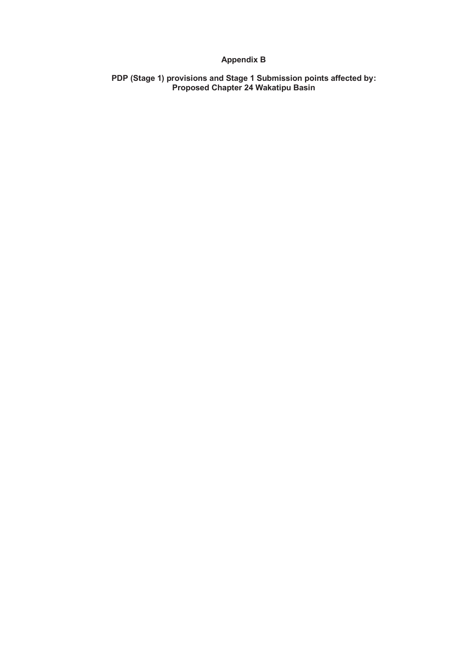# **Appendix B**

**PDP (Stage 1) provisions and Stage 1 Submission points affected by: Proposed Chapter 24 Wakatipu Basin**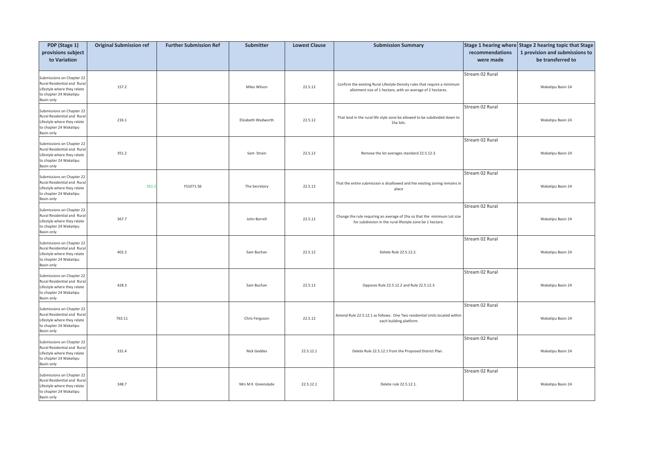| PDP (Stage 1)                                                                                                                   | <b>Original Submission ref</b> | <b>Further Submission Ref</b> | Submitter          | <b>Lowest Clause</b> | <b>Submission Summary</b>                                                                                                                |                              | Stage 1 hearing where Stage 2 hearing topic that Stage |
|---------------------------------------------------------------------------------------------------------------------------------|--------------------------------|-------------------------------|--------------------|----------------------|------------------------------------------------------------------------------------------------------------------------------------------|------------------------------|--------------------------------------------------------|
| provisions subject<br>to Variation                                                                                              |                                |                               |                    |                      |                                                                                                                                          | recommendations<br>were made | 1 provision and submissions to<br>be transferred to    |
| Submissions on Chapter 22<br>Rural Residential and Rural<br>Lifestyle where they relate<br>to chapter 24 Wakatipu<br>Basin only | 157.2                          |                               | Miles Wilson       | 22.5.12              | Confirm the existing Rural Lifestyle Density rules that require a minimum<br>allotment size of 1 hectare, with an average of 2 hectares. | Stream 02 Rural              | Wakatipu Basin 24                                      |
| Submissions on Chapter 22<br>Rural Residential and Rural<br>Lifestyle where they relate<br>to chapter 24 Wakatipu<br>Basin only | 216.1                          |                               | Elizabeth Wadworth | 22.5.12              | That land in the rural life style zone be allowed to be subdivided down to<br>1ha lots.                                                  | Stream 02 Rural              | Wakatipu Basin 24                                      |
| Submissions on Chapter 22<br>Rural Residential and Rural<br>Lifestyle where they relate<br>to chapter 24 Wakatipu<br>Basin only | 351.2                          |                               | Sam Strain         | 22.5.12              | Remove the lot averages standard 22.5.12.3.                                                                                              | Stream 02 Rural              | Wakatipu Basin 24                                      |
| Submissions on Chapter 22<br>Rural Residential and Rural<br>Lifestyle where they relate<br>to chapter 24 Wakatipu<br>Basin only | 351.                           | FS1071.56                     | The Secretary      | 22.5.12              | That the entire submission is disallowed and hte existing zoning remains in<br>place                                                     | Stream 02 Rural              | Wakatipu Basin 24                                      |
| Submissions on Chapter 22<br>Rural Residential and Rural<br>Lifestyle where they relate<br>to chapter 24 Wakatipu<br>Basin only | 367.7                          |                               | John Borrell       | 22.5.12              | Change the rule requiring an average of 2ha so that the minimum Lot size<br>for subdivision in the rural lifestyle zone be 1 hectare.    | Stream 02 Rural              | Wakatipu Basin 24                                      |
| Submissions on Chapter 22<br>Rural Residential and Rural<br>Lifestyle where they relate<br>to chapter 24 Wakatipu<br>Basin only | 402.2                          |                               | Sam Buchan         | 22.5.12              | Delete Rule 22.5.12.2.                                                                                                                   | Stream 02 Rural              | Wakatipu Basin 24                                      |
| Submissions on Chapter 22<br>Rural Residential and Rural<br>Lifestyle where they relate<br>to chapter 24 Wakatipu<br>Basin only | 428.3                          |                               | Sam Buchan         | 22.5.12              | Opposes Rule 22.5.12.2 and Rule 22.5.12.3                                                                                                | Stream 02 Rural              | Wakatipu Basin 24                                      |
| Submissions on Chapter 22<br>Rural Residential and Rural<br>Lifestyle where they relate<br>to chapter 24 Wakatipu<br>Basin only | 763.11                         |                               | Chris Ferguson     | 22.5.12              | Amend Rule 22.5.12.1 as follows: One Two residential Units located within<br>each building platform                                      | Stream 02 Rural              | Wakatipu Basin 24                                      |
| Submissions on Chapter 22<br>Rural Residential and Rural<br>Lifestyle where they relate<br>to chapter 24 Wakatipu<br>Basin only | 331.4                          |                               | Nick Geddes        | 22.5.12.1            | Delete Rule 22.5.12.1 from the Proposed District Plan.                                                                                   | Stream 02 Rural              | Wakatipu Basin 24                                      |
| Submissions on Chapter 22<br>Rural Residential and Rural<br>Lifestyle where they relate<br>to chapter 24 Wakatipu<br>Basin only | 348.7                          |                               | Mrs M K Greenslade | 22.5.12.1            | Delete rule 22.5.12.1.                                                                                                                   | Stream 02 Rural              | Wakatipu Basin 24                                      |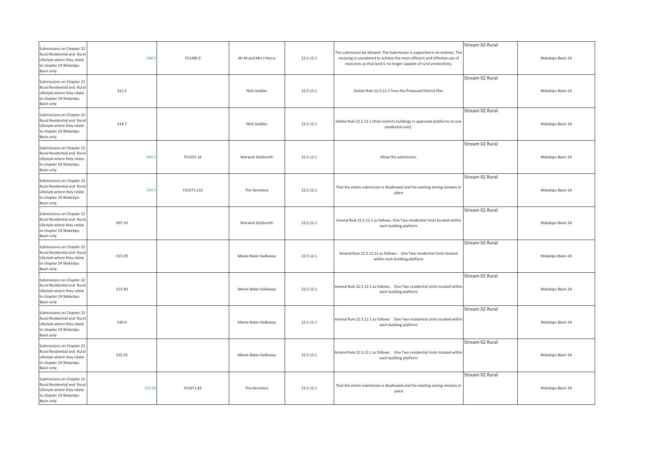| Submissions on Chapter 22<br>Rural Residential and Rural<br>Lifestyle where they relate<br>to chapter 24 Wakatipu<br>Basin only        | 348.7  | FS1286.9   | Mr M and Mrs J Henry | 22.5.12.1 | The submission be allowed. The Submission is supported in its entirety. The<br>rezoning is considered to achieve the most efficient and effective use of<br>resources as that land is no longer capable of rural productivity. | Stream 02 Rural | Wakatipu Basin 24 |
|----------------------------------------------------------------------------------------------------------------------------------------|--------|------------|----------------------|-----------|--------------------------------------------------------------------------------------------------------------------------------------------------------------------------------------------------------------------------------|-----------------|-------------------|
| Submissions on Chapter 22<br>Rural Residential and Rural<br>Lifestyle where they relate<br>to chapter 24 Wakatipu<br>Basin only        | 411.2  |            | Nick Geddes          | 22.5.12.1 | Delete Rule 22.5.12.1 from the Proposed District Plan                                                                                                                                                                          | Stream 02 Rural | Wakatipu Basin 24 |
| Submissions on Chapter 22<br><b>Rural Residential and Rural</b><br>Lifestyle where they relate<br>to chapter 24 Wakatipu<br>Basin only | 414.7  |            | Nick Geddes          | 22.5.12.1 | Delete Rule 22.5.12.1 (that restricts buildings in approved platforms to one<br>residential unit).                                                                                                                             | Stream 02 Rural | Wakatipu Basin 24 |
| Submissions on Chapter 22<br>Rural Residential and Rural<br>Lifestyle where they relate<br>to chapter 24 Wakatipu<br>Basin only        | 414.7  | FS1255.16  | Warwick Goldsmith    | 22.5.12.1 | Allow the submission.                                                                                                                                                                                                          | Stream 02 Rural | Wakatipu Basin 24 |
| Submissions on Chapter 22<br>Rural Residential and Rural<br>Lifestyle where they relate<br>to chapter 24 Wakatipu<br>Basin only        | 414.7  | FS1071.110 | The Secretary        | 22.5.12.1 | That the entire submission is disallowed and hte existing zoning remains in<br>place                                                                                                                                           | Stream 02 Rural | Wakatipu Basin 24 |
| Submissions on Chapter 22<br>Rural Residential and Rural<br>Lifestyle where they relate<br>to chapter 24 Wakatipu<br>Basin only        | 497.10 |            | Warwick Goldsmith    | 22.5.12.1 | Amend Rule 22.5.12.1 as follows: One Two residential Units located within<br>each building platform                                                                                                                            | Stream 02 Rural | Wakatipu Basin 24 |
| Submissions on Chapter 22<br>Rural Residential and Rural<br>Lifestyle where they relate<br>to chapter 24 Wakatipu<br>Basin only        | 513.39 |            | Maree Baker-Galloway | 22.5.12.1 | Amend Rule 22.5.12.12 as follows: One Two residential Units located<br>within each building platform                                                                                                                           | Stream 02 Rural | Wakatipu Basin 24 |
| Submissions on Chapter 22<br>Rural Residential and Rural<br>Lifestyle where they relate<br>to chapter 24 Wakatipu<br>Basin only        | 515.40 |            | Maree Baker-Galloway | 22.5.12.1 | Amend Rule 22.5.12.1 as follows: One Two residential Units located within<br>each building platform                                                                                                                            | Stream 02 Rural | Wakatipu Basin 24 |
| Submissions on Chapter 22<br>Rural Residential and Rural<br>Lifestyle where they relate<br>to chapter 24 Wakatipu<br>Basin only        | 530.9  |            | Maree Baker-Galloway | 22.5.12.1 | Amend Rule 22.5.12.1 as follows: One Two residential Units located within<br>each building platform                                                                                                                            | Stream 02 Rural | Wakatipu Basin 24 |
| Submissions on Chapter 22<br>Rural Residential and Rural<br>Lifestyle where they relate<br>to chapter 24 Wakatipu<br>Basin only        | 532.25 |            | Maree Baker-Galloway | 22.5.12.1 | Amend Rule 22.5.12.1 as follows: One Two residential Units located within<br>each building platform                                                                                                                            | Stream 02 Rural | Wakatipu Basin 24 |
| Submissions on Chapter 22<br>Rural Residential and Rural<br>Lifestyle where they relate<br>to chapter 24 Wakatipu<br>Basin only        | 532.25 | FS1071.83  | The Secretary        | 22.5.12.1 | That the entire submission is disallowed and hte existing zoning remains in<br>place                                                                                                                                           | Stream 02 Rural | Wakatipu Basin 24 |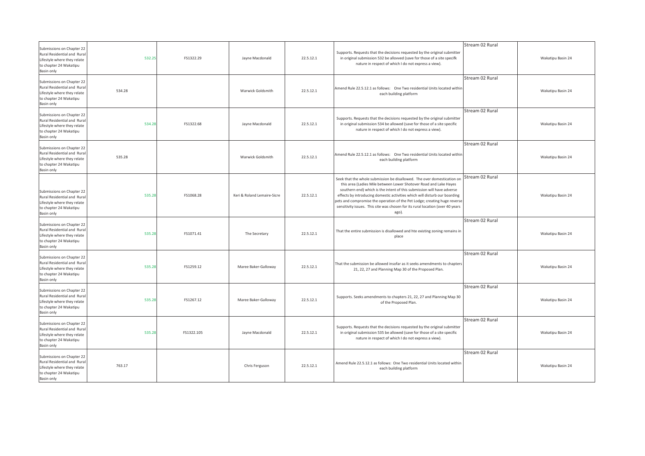| Submissions on Chapter 22<br>Rural Residential and Rural<br>Lifestyle where they relate<br>to chapter 24 Wakatipu<br>Basin only | 532.25 | FS1322.29  | Jayne Macdonald             | 22.5.12.1 | Supports. Requests that the decisions requested by the original submitter<br>in original submission 532 be allowed (save for those of a site specifk<br>nature in respect of which I do not express a view).                                                                                                                                                                                                                                                                 | Stream 02 Rural | Wakatipu Basin 24 |
|---------------------------------------------------------------------------------------------------------------------------------|--------|------------|-----------------------------|-----------|------------------------------------------------------------------------------------------------------------------------------------------------------------------------------------------------------------------------------------------------------------------------------------------------------------------------------------------------------------------------------------------------------------------------------------------------------------------------------|-----------------|-------------------|
| Submissions on Chapter 22<br>Rural Residential and Rural<br>Lifestyle where they relate<br>to chapter 24 Wakatipu<br>Basin only | 534.28 |            | Warwick Goldsmith           | 22.5.12.1 | Amend Rule 22.5.12.1 as follows: One Two residential Units located within<br>each building platform                                                                                                                                                                                                                                                                                                                                                                          | Stream 02 Rural | Wakatipu Basin 24 |
| Submissions on Chapter 22<br>Rural Residential and Rural<br>Lifestyle where they relate<br>to chapter 24 Wakatipu<br>Basin only | 534.28 | FS1322.68  | Jayne Macdonald             | 22.5.12.1 | Supports. Requests that the decisions requested by the original submitter<br>in original submission 534 be allowed (save for those of a site specific<br>nature in respect of which I do not express a view).                                                                                                                                                                                                                                                                | Stream 02 Rural | Wakatipu Basin 24 |
| Submissions on Chapter 22<br>Rural Residential and Rural<br>Lifestyle where they relate<br>to chapter 24 Wakatipu<br>Basin only | 535.28 |            | Warwick Goldsmith           | 22.5.12.1 | Amend Rule 22.5.12.1 as follows: One Two residential Units located withir<br>each building platform                                                                                                                                                                                                                                                                                                                                                                          | Stream 02 Rural | Wakatipu Basin 24 |
| Submissions on Chapter 22<br>Rural Residential and Rural<br>Lifestyle where they relate<br>to chapter 24 Wakatipu<br>Basin only | 535.28 | FS1068.28  | Keri & Roland Lemaire-Sicre | 22.5.12.1 | Seek that the whole submission be disallowed. The over domestication on<br>this area (Ladies Mile between Lower Shotover Road and Lake Hayes<br>southern end) which is the intent of this submission will have adverse<br>effects by introducing domestic activities which will disturb our boarding<br>pets and compromise the operation of the Pet Lodge; creating huge reverse<br>sensitivity issues. This site was chosen for its rural location (over 40 years<br>ago). | Stream 02 Rural | Wakatipu Basin 24 |
| Submissions on Chapter 22<br>Rural Residential and Rural<br>Lifestyle where they relate<br>to chapter 24 Wakatipu<br>Basin only | 535.28 | FS1071.41  | The Secretary               | 22.5.12.1 | That the entire submission is disallowed and hte existing zoning remains in<br>place                                                                                                                                                                                                                                                                                                                                                                                         | Stream 02 Rural | Wakatipu Basin 24 |
| Submissions on Chapter 22<br>Rural Residential and Rural<br>Lifestyle where they relate<br>to chapter 24 Wakatipu<br>Basin only | 535.28 | FS1259.12  | Maree Baker-Galloway        | 22.5.12.1 | That the submission be allowed insofar as it seeks amendments to chapters<br>21, 22, 27 and Planning Map 30 of the Proposed Plan.                                                                                                                                                                                                                                                                                                                                            | Stream 02 Rural | Wakatipu Basin 24 |
| Submissions on Chapter 22<br>Rural Residential and Rural<br>Lifestyle where they relate<br>to chapter 24 Wakatipu<br>Basin only | 535.28 | FS1267.12  | Maree Baker-Galloway        | 22.5.12.1 | Supports. Seeks amendments to chapters 21, 22, 27 and Planning Map 30<br>of the Proposed Plan.                                                                                                                                                                                                                                                                                                                                                                               | Stream 02 Rural | Wakatipu Basin 24 |
| Submissions on Chapter 22<br>Rural Residential and Rural<br>Lifestyle where they relate<br>to chapter 24 Wakatipu<br>Basin only | 535.28 | FS1322.105 | Jayne Macdonald             | 22.5.12.1 | Supports. Requests that the decisions requested by the original submitter<br>in original submission 535 be allowed (save for those of a site specific<br>nature in respect of which I do not express a view).                                                                                                                                                                                                                                                                | Stream 02 Rural | Wakatipu Basin 24 |
| Submissions on Chapter 22<br>Rural Residential and Rural<br>Lifestyle where they relate<br>to chapter 24 Wakatipu<br>Basin only | 763.17 |            | Chris Ferguson              | 22.5.12.1 | Amend Rule 22.5.12.1 as follows: One Two residential Units located within<br>each building platform                                                                                                                                                                                                                                                                                                                                                                          | Stream 02 Rural | Wakatipu Basin 24 |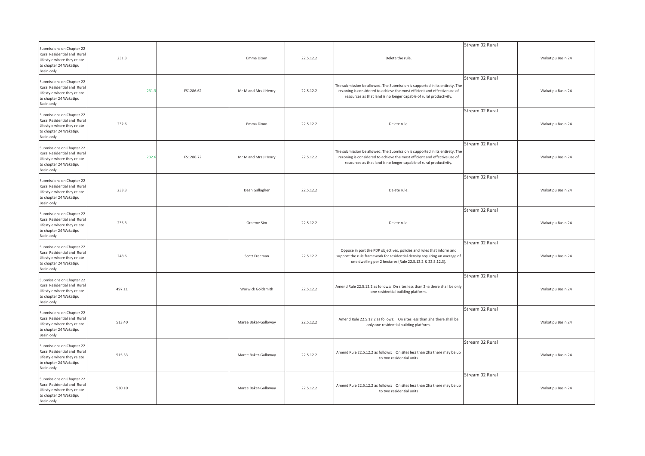| Submissions on Chapter 22<br>Rural Residential and Rura<br>Lifestyle where they relate<br>to chapter 24 Wakatipu<br>Basin only  | 231.3  |           | Emma Dixon           | 22.5.12.2 | Delete the rule.                                                                                                                                                                                                               | Stream 02 Rural | Wakatipu Basin 24 |
|---------------------------------------------------------------------------------------------------------------------------------|--------|-----------|----------------------|-----------|--------------------------------------------------------------------------------------------------------------------------------------------------------------------------------------------------------------------------------|-----------------|-------------------|
| Submissions on Chapter 22<br>Rural Residential and Rural<br>Lifestyle where they relate<br>to chapter 24 Wakatipu<br>Basin only | 231.   | FS1286.62 | Mr M and Mrs J Henry | 22.5.12.2 | The submission be allowed. The Submission is supported in its entirety. The<br>rezoning is considered to achieve the most efficient and effective use of<br>resources as that land is no longer capable of rural productivity. | Stream 02 Rural | Wakatipu Basin 24 |
| Submissions on Chapter 22<br>Rural Residential and Rural<br>Lifestyle where they relate<br>to chapter 24 Wakatipu<br>Basin only | 232.6  |           | Emma Dixon           | 22.5.12.2 | Delete rule.                                                                                                                                                                                                                   | Stream 02 Rural | Wakatipu Basin 24 |
| Submissions on Chapter 22<br>Rural Residential and Rural<br>Lifestyle where they relate<br>to chapter 24 Wakatipu<br>Basin only | 232.6  | FS1286.72 | Mr M and Mrs J Henry | 22.5.12.2 | The submission be allowed. The Submission is supported in its entirety. The<br>rezoning is considered to achieve the most efficient and effective use of<br>resources as that land is no longer capable of rural productivity. | Stream 02 Rural | Wakatipu Basin 24 |
| Submissions on Chapter 22<br>Rural Residential and Rural<br>Lifestyle where they relate<br>to chapter 24 Wakatipu<br>Basin only | 233.3  |           | Dean Gallagher       | 22.5.12.2 | Delete rule.                                                                                                                                                                                                                   | Stream 02 Rural | Wakatipu Basin 24 |
| Submissions on Chapter 22<br>Rural Residential and Rural<br>Lifestyle where they relate<br>to chapter 24 Wakatipu<br>Basin only | 235.3  |           | Graeme Sim           | 22.5.12.2 | Delete rule.                                                                                                                                                                                                                   | Stream 02 Rural | Wakatipu Basin 24 |
| Submissions on Chapter 22<br>Rural Residential and Rural<br>Lifestyle where they relate<br>to chapter 24 Wakatipu<br>Basin only | 248.6  |           | Scott Freeman        | 22.5.12.2 | Oppose in part the PDP objectives, policies and rules that inform and<br>support the rule framework for residential density requiring an average of<br>one dwelling per 2 hectares (Rule 22.5.12.2 & 22.5.12.3).               | Stream 02 Rural | Wakatipu Basin 24 |
| Submissions on Chapter 22<br>Rural Residential and Rural<br>Lifestyle where they relate<br>to chapter 24 Wakatipu<br>Basin only | 497.11 |           | Warwick Goldsmith    | 22.5.12.2 | Amend Rule 22.5.12.2 as follows: On sites less than 2ha there shall be only<br>one residential building platform.                                                                                                              | Stream 02 Rural | Wakatipu Basin 24 |
| Submissions on Chapter 22<br>Rural Residential and Rural<br>Lifestyle where they relate<br>to chapter 24 Wakatipu<br>Basin only | 513.40 |           | Maree Baker-Galloway | 22.5.12.2 | Amend Rule 22.5.12.2 as follows: On sites less than 2ha there shall be<br>only one residential building platform.                                                                                                              | Stream 02 Rural | Wakatipu Basin 24 |
| Submissions on Chapter 22<br>Rural Residential and Rural<br>Lifestyle where they relate<br>to chapter 24 Wakatipu<br>Basin only | 515.33 |           | Maree Baker-Galloway | 22.5.12.2 | Amend Rule 22.5.12.2 as follows: On sites less than 2ha there may be up<br>to two residential units                                                                                                                            | Stream 02 Rural | Wakatipu Basin 24 |
| Submissions on Chapter 22<br>Rural Residential and Rural<br>Lifestyle where they relate<br>to chapter 24 Wakatipu<br>Basin only | 530.10 |           | Maree Baker-Galloway | 22.5.12.2 | Amend Rule 22.5.12.2 as follows: On sites less than 2ha there may be up<br>to two residential units                                                                                                                            | Stream 02 Rural | Wakatipu Basin 24 |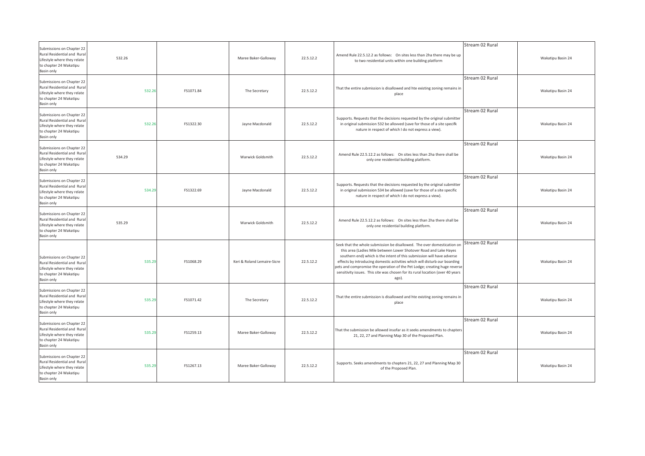| Submissions on Chapter 22<br>Rural Residential and Rural<br>Lifestyle where they relate<br>to chapter 24 Wakatipu<br>Basin only        | 532.26 |           | Maree Baker-Galloway        | 22.5.12.2 | Amend Rule 22.5.12.2 as follows: On sites less than 2ha there may be up<br>to two residential units within one building platform                                                                                                                                                                                                                                                                                                                                             | Stream 02 Rural | Wakatipu Basin 24 |
|----------------------------------------------------------------------------------------------------------------------------------------|--------|-----------|-----------------------------|-----------|------------------------------------------------------------------------------------------------------------------------------------------------------------------------------------------------------------------------------------------------------------------------------------------------------------------------------------------------------------------------------------------------------------------------------------------------------------------------------|-----------------|-------------------|
| Submissions on Chapter 22<br>Rural Residential and Rural<br>Lifestyle where they relate<br>to chapter 24 Wakatipu<br>Basin only        | 532.26 | FS1071.84 | The Secretary               | 22.5.12.2 | That the entire submission is disallowed and hte existing zoning remains in<br>place                                                                                                                                                                                                                                                                                                                                                                                         | Stream 02 Rural | Wakatipu Basin 24 |
| Submissions on Chapter 22<br>Rural Residential and Rural<br>Lifestyle where they relate<br>to chapter 24 Wakatipu<br>Basin only        | 532.26 | FS1322.30 | Jayne Macdonald             | 22.5.12.2 | Supports. Requests that the decisions requested by the original submitter<br>in original submission 532 be allowed (save for those of a site specifk<br>nature in respect of which I do not express a view).                                                                                                                                                                                                                                                                 | Stream 02 Rural | Wakatipu Basin 24 |
| Submissions on Chapter 22<br>Rural Residential and Rural<br>Lifestyle where they relate<br>to chapter 24 Wakatipu<br>Basin only        | 534.29 |           | Warwick Goldsmith           | 22.5.12.2 | Amend Rule 22.5.12.2 as follows: On sites less than 2ha there shall be<br>only one residential building platform.                                                                                                                                                                                                                                                                                                                                                            | Stream 02 Rural | Wakatipu Basin 24 |
| Submissions on Chapter 22<br>Rural Residential and Rural<br>Lifestyle where they relate<br>to chapter 24 Wakatipu<br>Basin only        | 534.29 | FS1322.69 | Jayne Macdonald             | 22.5.12.2 | Supports. Requests that the decisions requested by the original submitter<br>in original submission 534 be allowed (save for those of a site specific<br>nature in respect of which I do not express a view).                                                                                                                                                                                                                                                                | Stream 02 Rural | Wakatipu Basin 24 |
| Submissions on Chapter 22<br><b>Rural Residential and Rural</b><br>Lifestyle where they relate<br>to chapter 24 Wakatipu<br>Basin only | 535.29 |           | Warwick Goldsmith           | 22.5.12.2 | Amend Rule 22.5.12.2 as follows: On sites less than 2ha there shall be<br>only one residential building platform.                                                                                                                                                                                                                                                                                                                                                            | Stream 02 Rural | Wakatipu Basin 24 |
| Submissions on Chapter 22<br>Rural Residential and Rural<br>Lifestyle where they relate<br>to chapter 24 Wakatipu<br>Basin only        | 535.29 | FS1068.29 | Keri & Roland Lemaire-Sicre | 22.5.12.2 | Seek that the whole submission be disallowed. The over domestication on<br>this area (Ladies Mile between Lower Shotover Road and Lake Hayes<br>southern end) which is the intent of this submission will have adverse<br>effects by introducing domestic activities which will disturb our boarding<br>pets and compromise the operation of the Pet Lodge; creating huge reverse<br>sensitivity issues. This site was chosen for its rural location (over 40 years<br>ago). | Stream 02 Rural | Wakatipu Basin 24 |
| Submissions on Chapter 22<br>Rural Residential and Rural<br>Lifestyle where they relate<br>to chapter 24 Wakatipu<br>Basin only        | 535.29 | FS1071.42 | The Secretary               | 22.5.12.2 | That the entire submission is disallowed and hte existing zoning remains in<br>place                                                                                                                                                                                                                                                                                                                                                                                         | Stream 02 Rural | Wakatipu Basin 24 |
| Submissions on Chapter 22<br>Rural Residential and Rural<br>Lifestyle where they relate<br>to chapter 24 Wakatipu<br>Basin only        | 535.29 | FS1259.13 | Maree Baker-Galloway        | 22.5.12.2 | That the submission be allowed insofar as it seeks amendments to chapters<br>21, 22, 27 and Planning Map 30 of the Proposed Plan.                                                                                                                                                                                                                                                                                                                                            | Stream 02 Rural | Wakatipu Basin 24 |
| Submissions on Chapter 22<br>Rural Residential and Rural<br>Lifestyle where they relate<br>to chapter 24 Wakatipu<br>Basin only        | 535.29 | FS1267.13 | Maree Baker-Galloway        | 22.5.12.2 | Supports. Seeks amendments to chapters 21, 22, 27 and Planning Map 30<br>of the Proposed Plan.                                                                                                                                                                                                                                                                                                                                                                               | Stream 02 Rural | Wakatipu Basin 24 |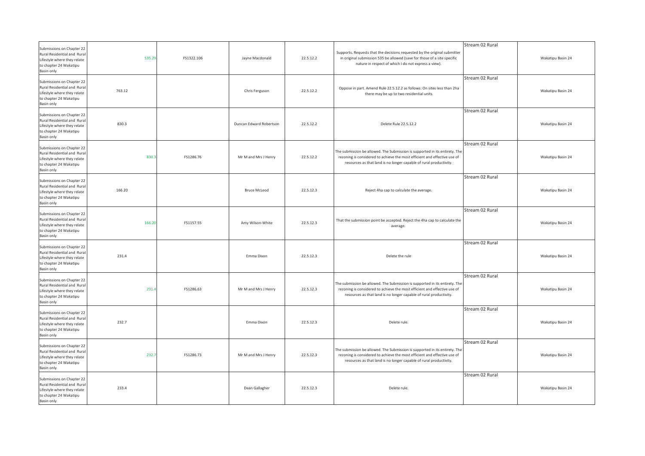| Submissions on Chapter 22<br>Rural Residential and Rural<br>Lifestyle where they relate<br>to chapter 24 Wakatipu<br>Basin only | 535.29 | FS1322.106 | Jayne Macdonald         | 22.5.12.2 | Supports. Requests that the decisions requested by the original submitter<br>in original submission 535 be allowed (save for those of a site specific<br>nature in respect of which I do not express a view).                  | Stream 02 Rural | Wakatipu Basin 24 |
|---------------------------------------------------------------------------------------------------------------------------------|--------|------------|-------------------------|-----------|--------------------------------------------------------------------------------------------------------------------------------------------------------------------------------------------------------------------------------|-----------------|-------------------|
| Submissions on Chapter 22<br>Rural Residential and Rural<br>Lifestyle where they relate<br>to chapter 24 Wakatipu<br>Basin only | 763.12 |            | Chris Ferguson          | 22.5.12.2 | Oppose in part. Amend Rule 22.5.12.2 as follows: On sites less than 2ha<br>there may be up to two residential units                                                                                                            | Stream 02 Rural | Wakatipu Basin 24 |
| Submissions on Chapter 22<br>Rural Residential and Rural<br>Lifestyle where they relate<br>to chapter 24 Wakatipu<br>Basin only | 830.3  |            | Duncan Edward Robertson | 22.5.12.2 | Delete Rule 22.5.12.2                                                                                                                                                                                                          | Stream 02 Rural | Wakatipu Basin 24 |
| Submissions on Chapter 22<br>Rural Residential and Rural<br>Lifestyle where they relate<br>to chapter 24 Wakatipu<br>Basin only | 830.3  | FS1286.76  | Mr M and Mrs J Henry    | 22.5.12.2 | The submission be allowed. The Submission is supported in its entirety. The<br>rezoning is considered to achieve the most efficient and effective use of<br>resources as that land is no longer capable of rural productivity. | Stream 02 Rural | Wakatipu Basin 24 |
| Submissions on Chapter 22<br>Rural Residential and Rural<br>Lifestyle where they relate<br>to chapter 24 Wakatipu<br>Basin only | 166.20 |            | <b>Bruce McLeod</b>     | 22.5.12.3 | Reject 4ha cap to calculate the average.                                                                                                                                                                                       | Stream 02 Rural | Wakatipu Basin 24 |
| Submissions on Chapter 22<br>Rural Residential and Rural<br>Lifestyle where they relate<br>to chapter 24 Wakatipu<br>Basin only | 166.20 | FS1157.55  | Amy Wilson-White        | 22.5.12.3 | That the submission point be accepted. Reject the 4ha cap to calculate the<br>average.                                                                                                                                         | Stream 02 Rural | Wakatipu Basin 24 |
| Submissions on Chapter 22<br>Rural Residential and Rural<br>Lifestyle where they relate<br>to chapter 24 Wakatipu<br>Basin only | 231.4  |            | Emma Dixon              | 22.5.12.3 | Delete the rule                                                                                                                                                                                                                | Stream 02 Rural | Wakatipu Basin 24 |
| Submissions on Chapter 22<br>Rural Residential and Rural<br>Lifestyle where they relate<br>to chapter 24 Wakatipu<br>Basin only | 231.4  | FS1286.63  | Mr M and Mrs J Henry    | 22.5.12.3 | The submission be allowed. The Submission is supported in its entirety. The<br>rezoning is considered to achieve the most efficient and effective use of<br>resources as that land is no longer capable of rural productivity. | Stream 02 Rural | Wakatipu Basin 24 |
| Submissions on Chapter 22<br>Rural Residential and Rural<br>Lifestyle where they relate<br>to chapter 24 Wakatipu<br>Basin only | 232.7  |            | Emma Dixon              | 22.5.12.3 | Delete rule.                                                                                                                                                                                                                   | Stream 02 Rural | Wakatipu Basin 24 |
| Submissions on Chapter 22<br>Rural Residential and Rural<br>Lifestyle where they relate<br>to chapter 24 Wakatipu<br>Basin only | 232.7  | FS1286.73  | Mr M and Mrs J Henry    | 22.5.12.3 | The submission be allowed. The Submission is supported in its entirety. The<br>rezoning is considered to achieve the most efficient and effective use of<br>resources as that land is no longer capable of rural productivity. | Stream 02 Rural | Wakatipu Basin 24 |
| Submissions on Chapter 22<br>Rural Residential and Rural<br>Lifestyle where they relate<br>to chapter 24 Wakatipu<br>Basin only | 233.4  |            | Dean Gallagher          | 22.5.12.3 | Delete rule.                                                                                                                                                                                                                   | Stream 02 Rural | Wakatipu Basin 24 |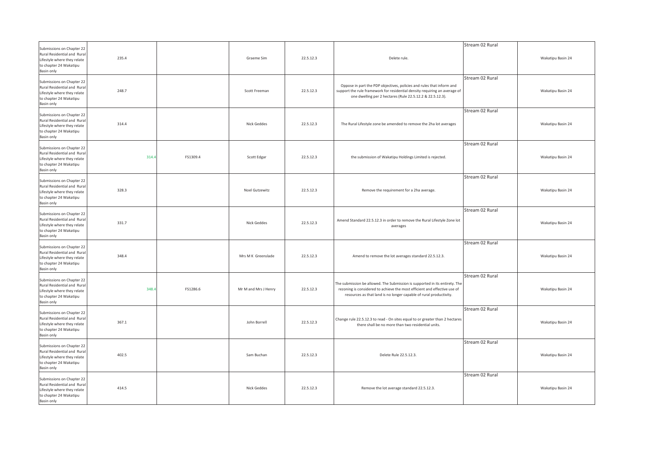| Submissions on Chapter 22<br>Rural Residential and Rura<br>Lifestyle where they relate<br>to chapter 24 Wakatipu<br>Basin only  | 235.4 |          | Graeme Sim           | 22.5.12.3 | Delete rule.                                                                                                                                                                                                                   | Stream 02 Rural | Wakatipu Basin 24 |
|---------------------------------------------------------------------------------------------------------------------------------|-------|----------|----------------------|-----------|--------------------------------------------------------------------------------------------------------------------------------------------------------------------------------------------------------------------------------|-----------------|-------------------|
| Submissions on Chapter 22<br>Rural Residential and Rural<br>Lifestyle where they relate<br>to chapter 24 Wakatipu<br>Basin only | 248.7 |          | Scott Freeman        | 22.5.12.3 | Oppose in part the PDP objectives, policies and rules that inform and<br>support the rule framework for residential density requiring an average of<br>one dwelling per 2 hectares (Rule 22.5.12.2 & 22.5.12.3).               | Stream 02 Rural | Wakatipu Basin 24 |
| Submissions on Chapter 22<br>Rural Residential and Rural<br>Lifestyle where they relate<br>to chapter 24 Wakatipu<br>Basin only | 314.4 |          | Nick Geddes          | 22.5.12.3 | The Rural Lifestyle zone be amended to remove the 2ha lot averages                                                                                                                                                             | Stream 02 Rural | Wakatipu Basin 24 |
| Submissions on Chapter 22<br>Rural Residential and Rural<br>Lifestyle where they relate<br>to chapter 24 Wakatipu<br>Basin only | 314.4 | FS1309.4 | Scott Edgar          | 22.5.12.3 | the submission of Wakatipu Holdings Limited is rejected.                                                                                                                                                                       | Stream 02 Rural | Wakatipu Basin 24 |
| Submissions on Chapter 22<br>Rural Residential and Rural<br>Lifestyle where they relate<br>to chapter 24 Wakatipu<br>Basin only | 328.3 |          | Noel Gutzewitz       | 22.5.12.3 | Remove the requirement for a 2ha average.                                                                                                                                                                                      | Stream 02 Rural | Wakatipu Basin 24 |
| Submissions on Chapter 22<br>Rural Residential and Rural<br>Lifestyle where they relate<br>to chapter 24 Wakatipu<br>Basin only | 331.7 |          | Nick Geddes          | 22.5.12.3 | Amend Standard 22.5.12.3 in order to remove the Rural Lifestyle Zone lot<br>averages                                                                                                                                           | Stream 02 Rural | Wakatipu Basin 24 |
| Submissions on Chapter 22<br>Rural Residential and Rural<br>Lifestyle where they relate<br>to chapter 24 Wakatipu<br>Basin only | 348.4 |          | Mrs M K Greenslade   | 22.5.12.3 | Amend to remove the lot averages standard 22.5.12.3.                                                                                                                                                                           | Stream 02 Rural | Wakatipu Basin 24 |
| Submissions on Chapter 22<br>Rural Residential and Rural<br>Lifestyle where they relate<br>to chapter 24 Wakatipu<br>Basin only | 348.4 | FS1286.6 | Mr M and Mrs J Henry | 22.5.12.3 | The submission be allowed. The Submission is supported in its entirety. The<br>rezoning is considered to achieve the most efficient and effective use of<br>resources as that land is no longer capable of rural productivity. | Stream 02 Rural | Wakatipu Basin 24 |
| Submissions on Chapter 22<br>Rural Residential and Rural<br>Lifestyle where they relate<br>to chapter 24 Wakatipu<br>Basin only | 367.1 |          | John Borrell         | 22.5.12.3 | Change rule 22.5.12.3 to read - On sites equal to or greater than 2 hectares<br>there shall be no more than two residential units.                                                                                             | Stream 02 Rural | Wakatipu Basin 24 |
| Submissions on Chapter 22<br>Rural Residential and Rural<br>Lifestyle where they relate<br>to chapter 24 Wakatipu<br>Basin only | 402.5 |          | Sam Buchan           | 22.5.12.3 | Delete Rule 22.5.12.3.                                                                                                                                                                                                         | Stream 02 Rural | Wakatipu Basin 24 |
| Submissions on Chapter 22<br>Rural Residential and Rural<br>Lifestyle where they relate<br>to chapter 24 Wakatipu<br>Basin only | 414.5 |          | Nick Geddes          | 22.5.12.3 | Remove the lot average standard 22.5.12.3.                                                                                                                                                                                     | Stream 02 Rural | Wakatipu Basin 24 |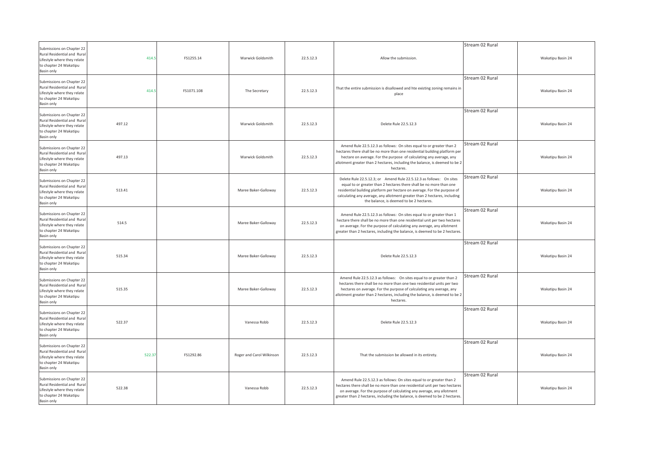| Submissions on Chapter 22                                                                                                              |        |            |                           |           |                                                                                                                                                                                                                                                                                                                                                 | Stream 02 Rural |                   |
|----------------------------------------------------------------------------------------------------------------------------------------|--------|------------|---------------------------|-----------|-------------------------------------------------------------------------------------------------------------------------------------------------------------------------------------------------------------------------------------------------------------------------------------------------------------------------------------------------|-----------------|-------------------|
| Rural Residential and Rural<br>Lifestyle where they relate<br>to chapter 24 Wakatipu<br>Basin only                                     | 414.5  | FS1255.14  | Warwick Goldsmith         | 22.5.12.3 | Allow the submission.                                                                                                                                                                                                                                                                                                                           |                 | Wakatipu Basin 24 |
| Submissions on Chapter 22<br>Rural Residential and Rural<br>Lifestyle where they relate<br>to chapter 24 Wakatipu<br>Basin only        | 414.   | FS1071.108 | The Secretary             | 22.5.12.3 | That the entire submission is disallowed and hte existing zoning remains in<br>place                                                                                                                                                                                                                                                            | Stream 02 Rural | Wakatipu Basin 24 |
| Submissions on Chapter 22<br><b>Rural Residential and Rural</b><br>Lifestyle where they relate<br>to chapter 24 Wakatipu<br>Basin only | 497.12 |            | Warwick Goldsmith         | 22.5.12.3 | Delete Rule 22.5.12.3                                                                                                                                                                                                                                                                                                                           | Stream 02 Rural | Wakatipu Basin 24 |
| Submissions on Chapter 22<br>Rural Residential and Rural<br>Lifestyle where they relate<br>to chapter 24 Wakatipu<br>Basin only        | 497.13 |            | Warwick Goldsmith         | 22.5.12.3 | Amend Rule 22.5.12.3 as follows: On sites equal to or greater than 2<br>hectares there shall be no more than one residential building platform per<br>hectare on average. For the purpose of calculating any average, any<br>allotment greater than 2 hectares, including the balance, is deemed to be 2<br>hectares.                           | Stream 02 Rural | Wakatipu Basin 24 |
| Submissions on Chapter 22<br>Rural Residential and Rural<br>Lifestyle where they relate<br>to chapter 24 Wakatipu<br>Basin only        | 513.41 |            | Maree Baker-Galloway      | 22.5.12.3 | Delete Rule 22.5.12.3; or Amend Rule 22.5.12.3 as follows: On sites<br>equal to or greater than 2 hectares there shall be no more than one<br>residential building platform per hectare on average. For the purpose of<br>calculating any average, any allotment greater than 2 hectares, including<br>the balance, is deemed to be 2 hectares. | Stream 02 Rural | Wakatipu Basin 24 |
| Submissions on Chapter 22<br>Rural Residential and Rural<br>Lifestyle where they relate<br>to chapter 24 Wakatipu<br>Basin only        | 514.5  |            | Maree Baker-Galloway      | 22.5.12.3 | Amend Rule 22.5.12.3 as follows: On sites equal to or greater than 1<br>hectare there shall be no more than one residential unit per two hectares<br>on average. For the purpose of calculating any average, any allotment<br>greater than 2 hectares, including the balance, is deemed to be 2 hectares.                                       | Stream 02 Rural | Wakatipu Basin 24 |
| Submissions on Chapter 22<br>Rural Residential and Rural<br>Lifestyle where they relate<br>to chapter 24 Wakatipu<br>Basin only        | 515.34 |            | Maree Baker-Galloway      | 22.5.12.3 | Delete Rule 22.5.12.3                                                                                                                                                                                                                                                                                                                           | Stream 02 Rural | Wakatipu Basin 24 |
| Submissions on Chapter 22<br>Rural Residential and Rura<br>Lifestyle where they relate<br>to chapter 24 Wakatipu<br>Basin only         | 515.35 |            | Maree Baker-Galloway      | 22.5.12.3 | Amend Rule 22.5.12.3 as follows: On sites equal to or greater than 2<br>hectares there shall be no more than one two residential units per two<br>hectares on average. For the purpose of calculating any average, any<br>allotment greater than 2 hectares, including the balance, is deemed to be 2<br>hectares.                              | Stream 02 Rural | Wakatipu Basin 24 |
| Submissions on Chapter 22<br>Rural Residential and Rural<br>Lifestyle where they relate<br>to chapter 24 Wakatipu<br>Basin only        | 522.37 |            | Vanessa Robb              | 22.5.12.3 | Delete Rule 22.5.12.3                                                                                                                                                                                                                                                                                                                           | Stream 02 Rural | Wakatipu Basin 24 |
| Submissions on Chapter 22<br>Rural Residential and Rural<br>Lifestyle where they relate<br>to chapter 24 Wakatipu<br>Basin only        | 522.37 | FS1292.86  | Roger and Carol Wilkinson | 22.5.12.3 | That the submission be allowed in its entirety.                                                                                                                                                                                                                                                                                                 | Stream 02 Rural | Wakatipu Basin 24 |
| Submissions on Chapter 22<br>Rural Residential and Rural<br>Lifestyle where they relate<br>to chapter 24 Wakatipu<br>Basin only        | 522.38 |            | Vanessa Robb              | 22.5.12.3 | Amend Rule 22.5.12.3 as follows: On sites equal to or greater than 2<br>hectares there shall be no more than one residential unit per two hectares<br>on average. For the purpose of calculating any average, any allotment<br>greater than 2 hectares, including the balance, is deemed to be 2 hectares.                                      | Stream 02 Rural | Wakatipu Basin 24 |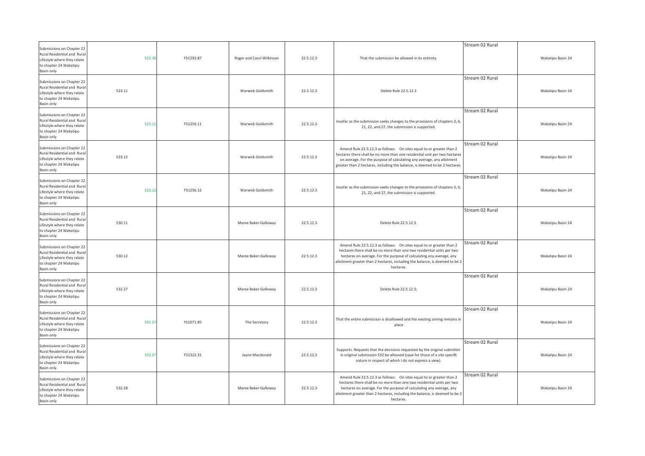| Submissions on Chapter 22<br>Rural Residential and Rural<br>Lifestyle where they relate                                         | 522.38 | FS1292.87 | Roger and Carol Wilkinson | 22.5.12.3 | That the submission be allowed in its entirety.                                                                                                                                                                                                                                                                    | Stream 02 Rural | Wakatipu Basin 24 |
|---------------------------------------------------------------------------------------------------------------------------------|--------|-----------|---------------------------|-----------|--------------------------------------------------------------------------------------------------------------------------------------------------------------------------------------------------------------------------------------------------------------------------------------------------------------------|-----------------|-------------------|
| to chapter 24 Wakatipu<br>Basin only                                                                                            |        |           |                           |           |                                                                                                                                                                                                                                                                                                                    |                 |                   |
| Submissions on Chapter 22<br>Rural Residential and Rural<br>Lifestyle where they relate<br>to chapter 24 Wakatipu<br>Basin only | 523.11 |           | Warwick Goldsmith         | 22.5.12.3 | Delete Rule 22.5.12.3                                                                                                                                                                                                                                                                                              | Stream 02 Rural | Wakatipu Basin 24 |
| Submissions on Chapter 22<br>Rural Residential and Rural<br>Lifestyle where they relate<br>to chapter 24 Wakatipu<br>Basin only | 523.1  | FS1256.11 | Warwick Goldsmith         | 22.5.12.3 | Insofar as the submission seeks changes to the provisions of chapters 3, 6,<br>21, 22, and 27, the submission is supported.                                                                                                                                                                                        | Stream 02 Rural | Wakatipu Basin 24 |
| Submissions on Chapter 22<br>Rural Residential and Rural<br>Lifestyle where they relate<br>to chapter 24 Wakatipu<br>Basin only | 523.12 |           | Warwick Goldsmith         | 22.5.12.3 | Amend Rule 22.5.12.3 as follows: On sites equal to or greater than 2<br>hectares there shall be no more than one residential unit per two hectares<br>on average. For the purpose of calculating any average, any allotment<br>greater than 2 hectares, including the balance, is deemed to be 2 hectares.         | Stream 02 Rural | Wakatipu Basin 24 |
| Submissions on Chapter 22<br>Rural Residential and Rural<br>Lifestyle where they relate<br>to chapter 24 Wakatipu<br>Basin only | 523.12 | FS1256.12 | Warwick Goldsmith         | 22.5.12.3 | Insofar as the submission seeks changes to the provisions of chapters 3, 6,<br>21, 22, and 27, the submission is supported.                                                                                                                                                                                        | Stream 02 Rural | Wakatipu Basin 24 |
| Submissions on Chapter 22<br>Rural Residential and Rural<br>Lifestyle where they relate<br>to chapter 24 Wakatipu<br>Basin only | 530.11 |           | Maree Baker-Galloway      | 22.5.12.3 | Delete Rule 22.5.12.3.                                                                                                                                                                                                                                                                                             | Stream 02 Rural | Wakatipu Basin 24 |
| Submissions on Chapter 22<br>Rural Residential and Rural<br>Lifestyle where they relate<br>to chapter 24 Wakatipu<br>Basin only | 530.12 |           | Maree Baker-Galloway      | 22.5.12.3 | Amend Rule 22.5.12.3 as follows: On sites equal to or greater than 2<br>hectares there shall be no more than one two residential units per two<br>hectares on average. For the purpose of calculating any average, any<br>allotment greater than 2 hectares, including the balance, is deemed to be 2<br>hectares. | Stream 02 Rural | Wakatipu Basin 24 |
| Submissions on Chapter 22<br>Rural Residential and Rural<br>Lifestyle where they relate<br>to chapter 24 Wakatipu<br>Basin only | 532.27 |           | Maree Baker-Galloway      | 22.5.12.3 | Delete Rule 22.5.12.3;                                                                                                                                                                                                                                                                                             | Stream 02 Rural | Wakatipu Basin 24 |
| Submissions on Chapter 22<br>Rural Residential and Rural<br>Lifestyle where they relate<br>to chapter 24 Wakatipu<br>Basin only | 532.27 | FS1071.85 | The Secretary             | 22.5.12.3 | That the entire submission is disallowed and hte existing zoning remains in<br>place                                                                                                                                                                                                                               | Stream 02 Rural | Wakatipu Basin 24 |
| Submissions on Chapter 22<br>Rural Residential and Rural<br>Lifestyle where they relate<br>to chapter 24 Wakatipu<br>Basin only | 532.27 | FS1322.31 | Jayne Macdonald           | 22.5.12.3 | Supports. Requests that the decisions requested by the original submitter<br>in original submission 532 be allowed (save for those of a site specifk<br>nature in respect of which I do not express a view).                                                                                                       | Stream 02 Rural | Wakatipu Basin 24 |
| Submissions on Chapter 22<br>Rural Residential and Rural<br>Lifestyle where they relate<br>to chapter 24 Wakatipu<br>Basin only | 532.28 |           | Maree Baker-Galloway      | 22.5.12.3 | Amend Rule 22.5.12.3 as follows: On sites equal to or greater than 2<br>hectares there shall be no more than one two residential units per two<br>hectares on average. For the purpose of calculating any average, any<br>allotment greater than 2 hectares, including the balance, is deemed to be 2<br>hectares. | Stream 02 Rural | Wakatipu Basin 24 |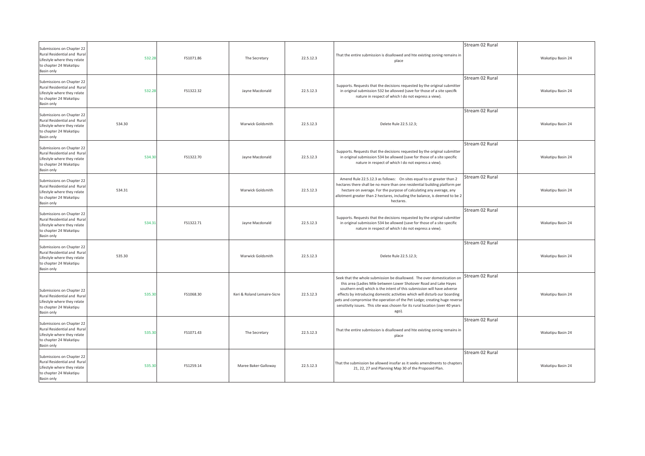| Submissions on Chapter 22<br>Rural Residential and Rural<br>Lifestyle where they relate<br>to chapter 24 Wakatipu<br>Basin only | 532.28 | FS1071.86 | The Secretary               | 22.5.12.3 | That the entire submission is disallowed and hte existing zoning remains in<br>place                                                                                                                                                                                                                                                                                                                                                                                         | Stream 02 Rural | Wakatipu Basin 24 |
|---------------------------------------------------------------------------------------------------------------------------------|--------|-----------|-----------------------------|-----------|------------------------------------------------------------------------------------------------------------------------------------------------------------------------------------------------------------------------------------------------------------------------------------------------------------------------------------------------------------------------------------------------------------------------------------------------------------------------------|-----------------|-------------------|
| Submissions on Chapter 22<br>Rural Residential and Rural<br>Lifestyle where they relate<br>to chapter 24 Wakatipu<br>Basin only | 532.28 | FS1322.32 | Jayne Macdonald             | 22.5.12.3 | Supports. Requests that the decisions requested by the original submitter<br>in original submission 532 be allovved (save for those of a site specifk<br>nature in respect of which I do not express a view).                                                                                                                                                                                                                                                                | Stream 02 Rural | Wakatipu Basin 24 |
| Submissions on Chapter 22<br>Rural Residential and Rural<br>Lifestyle where they relate<br>to chapter 24 Wakatipu<br>Basin only | 534.30 |           | Warwick Goldsmith           | 22.5.12.3 | Delete Rule 22.5.12.3;                                                                                                                                                                                                                                                                                                                                                                                                                                                       | Stream 02 Rural | Wakatipu Basin 24 |
| Submissions on Chapter 22<br>Rural Residential and Rural<br>Lifestyle where they relate<br>to chapter 24 Wakatipu<br>Basin only | 534.30 | FS1322.70 | Jayne Macdonald             | 22.5.12.3 | Supports. Requests that the decisions requested by the original submitter<br>in original submission 534 be allowed (save for those of a site specific<br>nature in respect of which I do not express a view).                                                                                                                                                                                                                                                                | Stream 02 Rural | Wakatipu Basin 24 |
| Submissions on Chapter 22<br>Rural Residential and Rural<br>Lifestyle where they relate<br>to chapter 24 Wakatipu<br>Basin only | 534.31 |           | Warwick Goldsmith           | 22.5.12.3 | Amend Rule 22.5.12.3 as follows: On sites equal to or greater than 2<br>hectares there shall be no more than one residential building platform per<br>hectare on average. For the purpose of calculating any average, any<br>allotment greater than 2 hectares, including the balance, is deemed to be 2<br>hectares.                                                                                                                                                        | Stream 02 Rural | Wakatipu Basin 24 |
| Submissions on Chapter 22<br>Rural Residential and Rural<br>Lifestyle where they relate<br>to chapter 24 Wakatipu<br>Basin only | 534.31 | FS1322.71 | Jayne Macdonald             | 22.5.12.3 | Supports. Requests that the decisions requested by the original submitter<br>in original submission 534 be allowed (save for those of a site specific<br>nature in respect of which I do not express a view).                                                                                                                                                                                                                                                                | Stream 02 Rural | Wakatipu Basin 24 |
| Submissions on Chapter 22<br>Rural Residential and Rural<br>Lifestyle where they relate<br>to chapter 24 Wakatipu<br>Basin only | 535.30 |           | Warwick Goldsmith           | 22.5.12.3 | Delete Rule 22.5.12.3;                                                                                                                                                                                                                                                                                                                                                                                                                                                       | Stream 02 Rural | Wakatipu Basin 24 |
| Submissions on Chapter 22<br>Rural Residential and Rural<br>Lifestyle where they relate<br>to chapter 24 Wakatipu<br>Basin only | 535.30 | FS1068.30 | Keri & Roland Lemaire-Sicre | 22.5.12.3 | Seek that the whole submission be disallowed. The over domestication on<br>this area (Ladies Mile between Lower Shotover Road and Lake Hayes<br>southern end) which is the intent of this submission will have adverse<br>effects by introducing domestic activities which will disturb our boarding<br>pets and compromise the operation of the Pet Lodge; creating huge reverse<br>sensitivity issues. This site was chosen for its rural location (over 40 years<br>ago). | Stream 02 Rural | Wakatipu Basin 24 |
| Submissions on Chapter 22<br>Rural Residential and Rural<br>Lifestyle where they relate<br>to chapter 24 Wakatipu<br>Basin only | 535.30 | FS1071.43 | The Secretary               | 22.5.12.3 | That the entire submission is disallowed and hte existing zoning remains in<br>place                                                                                                                                                                                                                                                                                                                                                                                         | Stream 02 Rural | Wakatipu Basin 24 |
| Submissions on Chapter 22<br>Rural Residential and Rural<br>Lifestyle where they relate<br>to chapter 24 Wakatipu<br>Basin only | 535.30 | FS1259.14 | Maree Baker-Galloway        | 22.5.12.3 | That the submission be allowed insofar as it seeks amendments to chapters<br>21, 22, 27 and Planning Map 30 of the Proposed Plan.                                                                                                                                                                                                                                                                                                                                            | Stream 02 Rural | Wakatipu Basin 24 |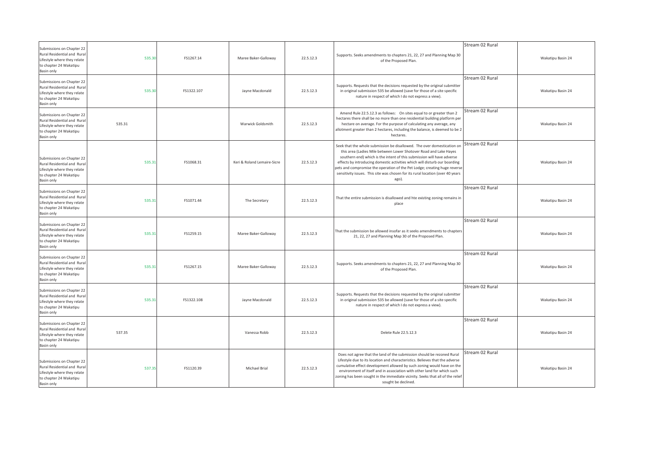| Submissions on Chapter 22<br>Rural Residential and Rural<br>Lifestyle where they relate<br>to chapter 24 Wakatipu<br>Basin only | 535.30 | FS1267.14  | Maree Baker-Galloway        | 22.5.12.3 | Supports. Seeks amendments to chapters 21, 22, 27 and Planning Map 30<br>of the Proposed Plan.                                                                                                                                                                                                                                                                                                                                                                               | Stream 02 Rural | Wakatipu Basin 24 |
|---------------------------------------------------------------------------------------------------------------------------------|--------|------------|-----------------------------|-----------|------------------------------------------------------------------------------------------------------------------------------------------------------------------------------------------------------------------------------------------------------------------------------------------------------------------------------------------------------------------------------------------------------------------------------------------------------------------------------|-----------------|-------------------|
| Submissions on Chapter 22<br>Rural Residential and Rural<br>Lifestyle where they relate<br>to chapter 24 Wakatipu<br>Basin only | 535.30 | FS1322.107 | Jayne Macdonald             | 22.5.12.3 | Supports. Requests that the decisions requested by the original submitter<br>in original submission 535 be allowed (save for those of a site specific<br>nature in respect of which I do not express a view).                                                                                                                                                                                                                                                                | Stream 02 Rural | Wakatipu Basin 24 |
| Submissions on Chapter 22<br>Rural Residential and Rural<br>Lifestyle where they relate<br>to chapter 24 Wakatipu<br>Basin only | 535.31 |            | Warwick Goldsmith           | 22.5.12.3 | Amend Rule 22.5.12.3 as follows: On sites equal to or greater than 2<br>hectares there shall be no more than one residential building platform per<br>hectare on average. For the purpose of calculating any average, any<br>allotment greater than 2 hectares, including the balance, is deemed to be 2<br>hectares.                                                                                                                                                        | Stream 02 Rural | Wakatipu Basin 24 |
| Submissions on Chapter 22<br>Rural Residential and Rural<br>Lifestyle where they relate<br>to chapter 24 Wakatipu<br>Basin only | 535.3  | FS1068.31  | Keri & Roland Lemaire-Sicre | 22.5.12.3 | Seek that the whole submission be disallowed. The over domestication on<br>this area (Ladies Mile between Lower Shotover Road and Lake Hayes<br>southern end) which is the intent of this submission will have adverse<br>effects by introducing domestic activities which will disturb our boarding<br>pets and compromise the operation of the Pet Lodge; creating huge reverse<br>sensitivity issues. This site was chosen for its rural location (over 40 years<br>ago). | Stream 02 Rural | Wakatipu Basin 24 |
| Submissions on Chapter 22<br>Rural Residential and Rural<br>Lifestyle where they relate<br>to chapter 24 Wakatipu<br>Basin only | 535.31 | FS1071.44  | The Secretary               | 22.5.12.3 | That the entire submission is disallowed and hte existing zoning remains in<br>place                                                                                                                                                                                                                                                                                                                                                                                         | Stream 02 Rural | Wakatipu Basin 24 |
| Submissions on Chapter 22<br>Rural Residential and Rural<br>Lifestyle where they relate<br>to chapter 24 Wakatipu<br>Basin only | 535.31 | FS1259.15  | Maree Baker-Galloway        | 22.5.12.3 | That the submission be allowed insofar as it seeks amendments to chapters<br>21, 22, 27 and Planning Map 30 of the Proposed Plan.                                                                                                                                                                                                                                                                                                                                            | Stream 02 Rural | Wakatipu Basin 24 |
| Submissions on Chapter 22<br>Rural Residential and Rural<br>Lifestyle where they relate<br>to chapter 24 Wakatipu<br>Basin only | 535.31 | FS1267.15  | Maree Baker-Galloway        | 22.5.12.3 | Supports. Seeks amendments to chapters 21, 22, 27 and Planning Map 30<br>of the Proposed Plan.                                                                                                                                                                                                                                                                                                                                                                               | Stream 02 Rural | Wakatipu Basin 24 |
| Submissions on Chapter 22<br>Rural Residential and Rural<br>Lifestyle where they relate<br>to chapter 24 Wakatipu<br>Basin only | 535.31 | FS1322.108 | Jayne Macdonald             | 22.5.12.3 | Supports. Requests that the decisions requested by the original submitter<br>in original submission 535 be allowed (save for those of a site specific<br>nature in respect of which I do not express a view).                                                                                                                                                                                                                                                                | Stream 02 Rural | Wakatipu Basin 24 |
| Submissions on Chapter 22<br>Rural Residential and Rural<br>Lifestyle where they relate<br>to chapter 24 Wakatipu<br>Basin only | 537.35 |            | Vanessa Robb                | 22.5.12.3 | Delete Rule 22.5.12.3                                                                                                                                                                                                                                                                                                                                                                                                                                                        | Stream 02 Rural | Wakatipu Basin 24 |
| Submissions on Chapter 22<br>Rural Residential and Rural<br>Lifestyle where they relate<br>to chapter 24 Wakatipu<br>Basin only | 537.35 | FS1120.39  | Michael Brial               | 22.5.12.3 | Does not agree that the land of the submission should be rezoned Rural<br>Lifestyle due to its location and characteristics. Believes that the adverse<br>cumulative effect development allowed by such zoning would have on the<br>environment of itself and in association with other land for which such<br>zoning has been sought in the immediate vicinity. Seeks that all of the relief<br>sought be declined.                                                         | Stream 02 Rural | Wakatipu Basin 24 |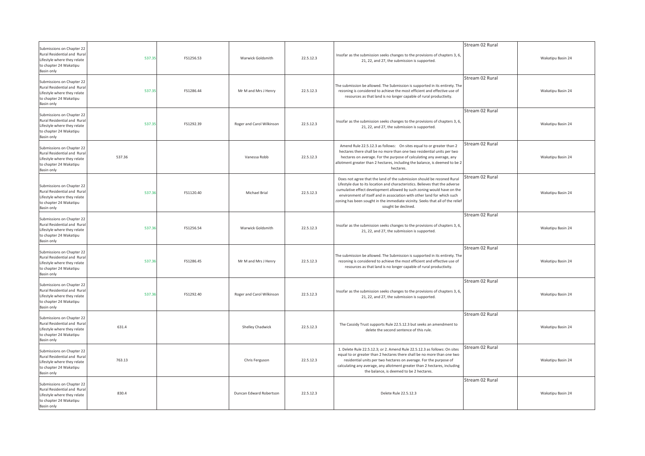| Submissions on Chapter 22<br>Rural Residential and Rural<br>Lifestyle where they relate<br>to chapter 24 Wakatipu<br>Basin only | 537.35 | FS1256.53 | Warwick Goldsmith         | 22.5.12.3 | Insofar as the submission seeks changes to the provisions of chapters 3, 6,<br>21, 22, and 27, the submission is supported.                                                                                                                                                                                                                                                                                          | Stream 02 Rural | Wakatipu Basin 24 |
|---------------------------------------------------------------------------------------------------------------------------------|--------|-----------|---------------------------|-----------|----------------------------------------------------------------------------------------------------------------------------------------------------------------------------------------------------------------------------------------------------------------------------------------------------------------------------------------------------------------------------------------------------------------------|-----------------|-------------------|
| Submissions on Chapter 22<br>Rural Residential and Rural<br>Lifestyle where they relate<br>to chapter 24 Wakatipu<br>Basin only | 537.35 | FS1286.44 | Mr M and Mrs J Henry      | 22.5.12.3 | The submission be allowed. The Submission is supported in its entirety. The<br>rezoning is considered to achieve the most efficient and effective use of<br>resources as that land is no longer capable of rural productivity.                                                                                                                                                                                       | Stream 02 Rural | Wakatipu Basin 24 |
| Submissions on Chapter 22<br>Rural Residential and Rural<br>Lifestyle where they relate<br>to chapter 24 Wakatipu<br>Basin only | 537.35 | FS1292.39 | Roger and Carol Wilkinson | 22.5.12.3 | Insofar as the submission seeks changes to the provisions of chapters 3, 6,<br>21, 22, and 27, the submission is supported.                                                                                                                                                                                                                                                                                          | Stream 02 Rural | Wakatipu Basin 24 |
| Submissions on Chapter 22<br>Rural Residential and Rura<br>Lifestyle where they relate<br>to chapter 24 Wakatipu<br>Basin only  | 537.36 |           | Vanessa Robb              | 22.5.12.3 | Amend Rule 22.5.12.3 as follows: On sites equal to or greater than 2<br>hectares there shall be no more than one two residential units per two<br>hectares on average. For the purpose of calculating any average, any<br>allotment greater than 2 hectares, including the balance, is deemed to be 2<br>hectares.                                                                                                   | Stream 02 Rural | Wakatipu Basin 24 |
| Submissions on Chapter 22<br>Rural Residential and Rural<br>Lifestyle where they relate<br>to chapter 24 Wakatipu<br>Basin only | 537.36 | FS1120.40 | Michael Brial             | 22.5.12.3 | Does not agree that the land of the submission should be rezoned Rural<br>Lifestyle due to its location and characteristics. Believes that the adverse<br>cumulative effect development allowed by such zoning would have on the<br>environment of itself and in association with other land for which such<br>zoning has been sought in the immediate vicinity. Seeks that all of the relief<br>sought be declined. | Stream 02 Rural | Wakatipu Basin 24 |
| Submissions on Chapter 22<br>Rural Residential and Rural<br>Lifestyle where they relate<br>to chapter 24 Wakatipu<br>Basin only | 537.36 | FS1256.54 | Warwick Goldsmith         | 22.5.12.3 | Insofar as the submission seeks changes to the provisions of chapters 3, 6,<br>21, 22, and 27, the submission is supported.                                                                                                                                                                                                                                                                                          | Stream 02 Rural | Wakatipu Basin 24 |
| Submissions on Chapter 22<br>Rural Residential and Rural<br>Lifestyle where they relate<br>to chapter 24 Wakatipu<br>Basin only | 537.36 | FS1286.45 | Mr M and Mrs J Henry      | 22.5.12.3 | The submission be allowed. The Submission is supported in its entirety. The<br>rezoning is considered to achieve the most efficient and effective use of<br>resources as that land is no longer capable of rural productivity.                                                                                                                                                                                       | Stream 02 Rural | Wakatipu Basin 24 |
| Submissions on Chapter 22<br>Rural Residential and Rural<br>Lifestyle where they relate<br>to chapter 24 Wakatipu<br>Basin only | 537.36 | FS1292.40 | Roger and Carol Wilkinson | 22.5.12.3 | Insofar as the submission seeks changes to the provisions of chapters 3, 6,<br>21, 22, and 27, the submission is supported.                                                                                                                                                                                                                                                                                          | Stream 02 Rural | Wakatipu Basin 24 |
| Submissions on Chapter 22<br>Rural Residential and Rural<br>Lifestyle where they relate<br>to chapter 24 Wakatipu<br>Basin only | 631.4  |           | Shelley Chadwick          | 22.5.12.3 | The Cassidy Trust supports Rule 22.5.12.3 but seeks an amendment to<br>delete the second sentence of this rule.                                                                                                                                                                                                                                                                                                      | Stream 02 Rural | Wakatipu Basin 24 |
| Submissions on Chapter 22<br>Rural Residential and Rural<br>Lifestyle where they relate<br>to chapter 24 Wakatipu<br>Basin only | 763.13 |           | Chris Ferguson            | 22.5.12.3 | 1. Delete Rule 22.5.12.3; or 2. Amend Rule 22.5.12.3 as follows: On sites<br>equal to or greater than 2 hectares there shall be no more than one two<br>residential units per two hectares on average. For the purpose of<br>calculating any average, any allotment greater than 2 hectares, including<br>the balance, is deemed to be 2 hectares.                                                                   | Stream 02 Rural | Wakatipu Basin 24 |
| Submissions on Chapter 22<br>Rural Residential and Rural<br>Lifestyle where they relate<br>to chapter 24 Wakatipu<br>Basin only | 830.4  |           | Duncan Edward Robertson   | 22.5.12.3 | Delete Rule 22.5.12.3                                                                                                                                                                                                                                                                                                                                                                                                | Stream 02 Rural | Wakatipu Basin 24 |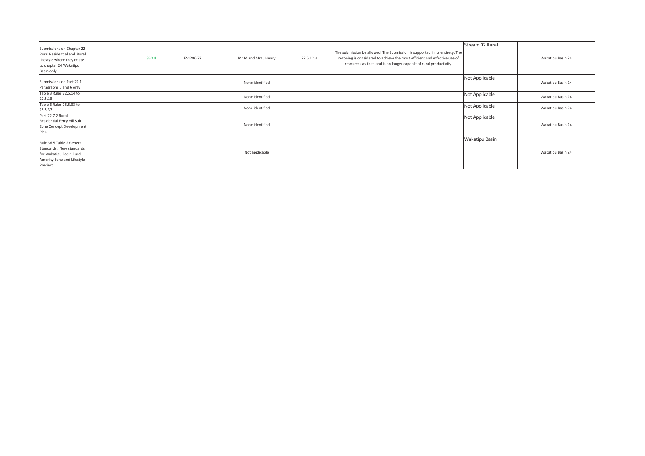| Submissions on Chapter 22<br>Rural Residential and Rural<br>Lifestyle where they relate<br>to chapter 24 Wakatipu<br>Basin only | 830. | FS1286.77 | Mr M and Mrs J Henry | 22.5.12.3 | The submission be allowed. The Submission is supported in its entirety. The<br>rezoning is considered to achieve the most efficient and effective use of<br>resources as that land is no longer capable of rural productivity. | Stream 02 Rural       | Wakatipu Basin 24 |
|---------------------------------------------------------------------------------------------------------------------------------|------|-----------|----------------------|-----------|--------------------------------------------------------------------------------------------------------------------------------------------------------------------------------------------------------------------------------|-----------------------|-------------------|
| Submissions on Part 22.1<br>Paragraphs 5 and 6 only                                                                             |      |           | None identified      |           |                                                                                                                                                                                                                                | Not Applicable        | Wakatipu Basin 24 |
| Table 3 Rules 22.5.14 to<br>22.5.18                                                                                             |      |           | None identified      |           |                                                                                                                                                                                                                                | Not Applicable        | Wakatipu Basin 24 |
| Table 6 Rules 25.5.33 to<br>25.5.37                                                                                             |      |           | None identified      |           |                                                                                                                                                                                                                                | Not Applicable        | Wakatipu Basin 24 |
| Part 22.7.2 Rural<br>Residential Ferry Hill Sub<br>Zone Concept Development<br>Plan                                             |      |           | None identified      |           |                                                                                                                                                                                                                                | Not Applicable        | Wakatipu Basin 24 |
| Rule 36.5 Table 2 General<br>Standards. New standards<br>for Wakatipu Basin Rural<br>Amenity Zone and Lifestyle<br>Precinct     |      |           | Not applicable       |           |                                                                                                                                                                                                                                | <b>Wakatipu Basin</b> | Wakatipu Basin 24 |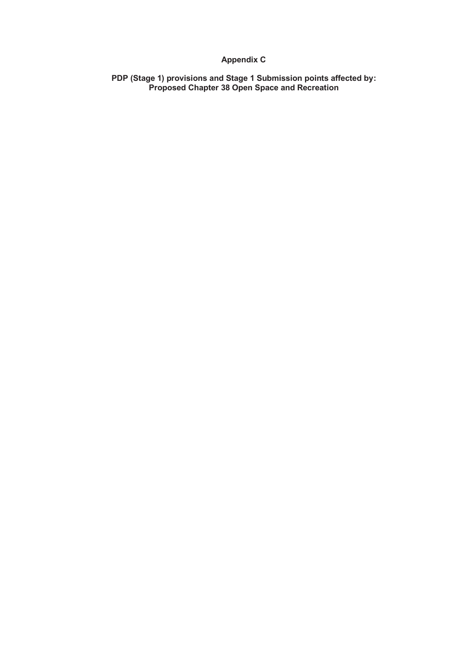# **Appendix C**

**PDP (Stage 1) provisions and Stage 1 Submission points affected by: Proposed Chapter 38 Open Space and Recreation**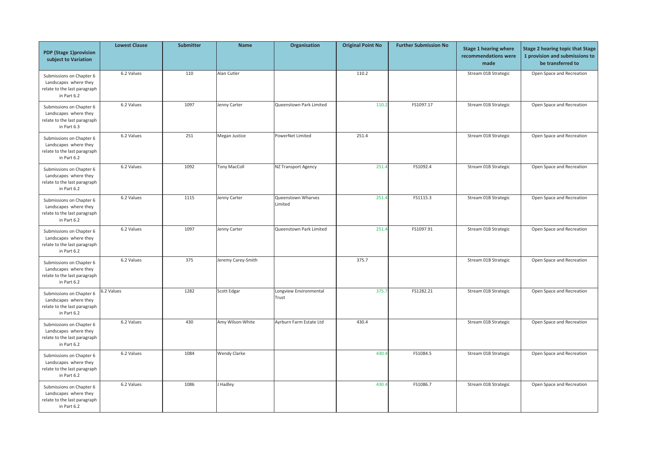| PDP (Stage 1)provision<br>subject to Variation                                                   | <b>Lowest Clause</b> | <b>Submitter</b> | <b>Name</b>         | Organisation                    | <b>Original Point No</b> | <b>Further Submission No</b> | <b>Stage 1 hearing where</b><br>recommendations were<br>made | <b>Stage 2 hearing topic that Stage</b><br>1 provision and submissions to<br>be transferred to |
|--------------------------------------------------------------------------------------------------|----------------------|------------------|---------------------|---------------------------------|--------------------------|------------------------------|--------------------------------------------------------------|------------------------------------------------------------------------------------------------|
| Submissions on Chapter 6<br>Landscapes where they<br>relate to the last paragraph<br>in Part 6.2 | 6.2 Values           | 110              | Alan Cutler         |                                 | 110.2                    |                              | Stream 01B Strategic                                         | Open Space and Recreation                                                                      |
| Submissions on Chapter 6<br>Landscapes where they<br>relate to the last paragraph<br>in Part 6.3 | 6.2 Values           | 1097             | Jenny Carter        | Queenstown Park Limited         | 110.2                    | FS1097.17                    | Stream 01B Strategic                                         | Open Space and Recreation                                                                      |
| Submissions on Chapter 6<br>Landscapes where they<br>relate to the last paragraph<br>in Part 6.2 | 6.2 Values           | 251              | Megan Justice       | PowerNet Limited                | 251.4                    |                              | Stream 01B Strategic                                         | Open Space and Recreation                                                                      |
| Submissions on Chapter 6<br>Landscapes where they<br>relate to the last paragraph<br>in Part 6.2 | 6.2 Values           | 1092             | <b>Tony MacColl</b> | NZ Transport Agency             | 251.4                    | FS1092.4                     | Stream 01B Strategic                                         | Open Space and Recreation                                                                      |
| Submissions on Chapter 6<br>Landscapes where they<br>relate to the last paragraph<br>in Part 6.2 | 6.2 Values           | 1115             | Jenny Carter        | Queenstown Wharves<br>Limited   | 251.4                    | FS1115.3                     | Stream 01B Strategic                                         | Open Space and Recreation                                                                      |
| Submissions on Chapter 6<br>Landscapes where they<br>relate to the last paragraph<br>in Part 6.2 | 6.2 Values           | 1097             | Jenny Carter        | Queenstown Park Limited         | 251.4                    | FS1097.91                    | Stream 01B Strategic                                         | Open Space and Recreation                                                                      |
| Submissions on Chapter 6<br>Landscapes where they<br>relate to the last paragraph<br>in Part 6.2 | 6.2 Values           | 375              | Jeremy Carey-Smith  |                                 | 375.7                    |                              | Stream 01B Strategic                                         | Open Space and Recreation                                                                      |
| Submissions on Chapter 6<br>Landscapes where they<br>relate to the last paragraph<br>in Part 6.2 | 5.2 Values           | 1282             | Scott Edgar         | Longview Environmental<br>Trust | 375.7                    | FS1282.21                    | Stream 01B Strategic                                         | Open Space and Recreation                                                                      |
| Submissions on Chapter 6<br>Landscapes where they<br>relate to the last paragraph<br>in Part 6.2 | 6.2 Values           | 430              | Amy Wilson-White    | Ayrburn Farm Estate Ltd         | 430.4                    |                              | Stream 01B Strategic                                         | Open Space and Recreation                                                                      |
| Submissions on Chapter 6<br>Landscapes where they<br>relate to the last paragraph<br>in Part 6.2 | 6.2 Values           | 1084             | <b>Wendy Clarke</b> |                                 | 430.4                    | FS1084.5                     | Stream 01B Strategic                                         | Open Space and Recreation                                                                      |
| Submissions on Chapter 6<br>Landscapes where they<br>relate to the last paragraph<br>in Part 6.2 | 6.2 Values           | 1086             | J Hadley            |                                 | 430.                     | FS1086.7                     | Stream 01B Strategic                                         | Open Space and Recreation                                                                      |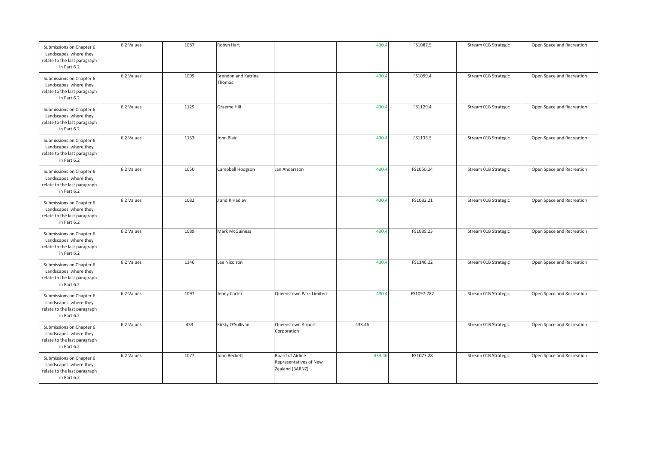| Submissions on Chapter 6<br>Landscapes where they<br>relate to the last paragraph<br>in Part 6.2 | 6.2 Values | 1087 | Robyn Hart                    |                                                               | 430.4  | FS1087.5   | Stream 01B Strategic | Open Space and Recreation |
|--------------------------------------------------------------------------------------------------|------------|------|-------------------------------|---------------------------------------------------------------|--------|------------|----------------------|---------------------------|
| Submissions on Chapter 6<br>Landscapes where they<br>relate to the last paragraph<br>in Part 6.2 | 6.2 Values | 1099 | Brendon and Katrina<br>Thomas |                                                               | 430.4  | FS1099.4   | Stream 01B Strategic | Open Space and Recreation |
| Submissions on Chapter 6<br>Landscapes where they<br>relate to the last paragraph<br>in Part 6.2 | 6.2 Values | 1129 | Graeme Hill                   |                                                               | 430.4  | FS1129.4   | Stream 01B Strategic | Open Space and Recreation |
| Submissions on Chapter 6<br>Landscapes where they<br>relate to the last paragraph<br>in Part 6.2 | 6.2 Values | 1133 | John Blair                    |                                                               | 430.4  | FS1133.5   | Stream 01B Strategic | Open Space and Recreation |
| Submissions on Chapter 6<br>Landscapes where they<br>relate to the last paragraph<br>in Part 6.2 | 6.2 Values | 1050 | Campbell Hodgson              | Jan Andersson                                                 | 430.4  | FS1050.24  | Stream 01B Strategic | Open Space and Recreation |
| Submissions on Chapter 6<br>Landscapes where they<br>relate to the last paragraph<br>in Part 6.2 | 6.2 Values | 1082 | J and R Hadley                |                                                               | 430.4  | FS1082.21  | Stream 01B Strategic | Open Space and Recreation |
| Submissions on Chapter 6<br>Landscapes where they<br>relate to the last paragraph<br>in Part 6.2 | 6.2 Values | 1089 | Mark McGuiness                |                                                               | 430.4  | FS1089.23  | Stream 01B Strategic | Open Space and Recreation |
| Submissions on Chapter 6<br>Landscapes where they<br>relate to the last paragraph<br>in Part 6.2 | 6.2 Values | 1146 | Lee Nicolson                  |                                                               | 430.4  | FS1146.22  | Stream 01B Strategic | Open Space and Recreation |
| Submissions on Chapter 6<br>Landscapes where they<br>relate to the last paragraph<br>in Part 6.2 | 6.2 Values | 1097 | Jenny Carter                  | Queenstown Park Limited                                       | 430.4  | FS1097.282 | Stream 01B Strategic | Open Space and Recreation |
| Submissions on Chapter 6<br>Landscapes where they<br>relate to the last paragraph<br>in Part 6.2 | 6.2 Values | 433  | Kirsty O'Sullivan             | Queenstown Airport<br>Corporation                             | 433.46 |            | Stream 01B Strategic | Open Space and Recreation |
| Submissions on Chapter 6<br>Landscapes where they<br>relate to the last paragraph<br>in Part 6.2 | 6.2 Values | 1077 | John Beckett                  | Board of Airline<br>Representatives of New<br>Zealand (BARNZ) | 433.46 | FS1077.28  | Stream 01B Strategic | Open Space and Recreation |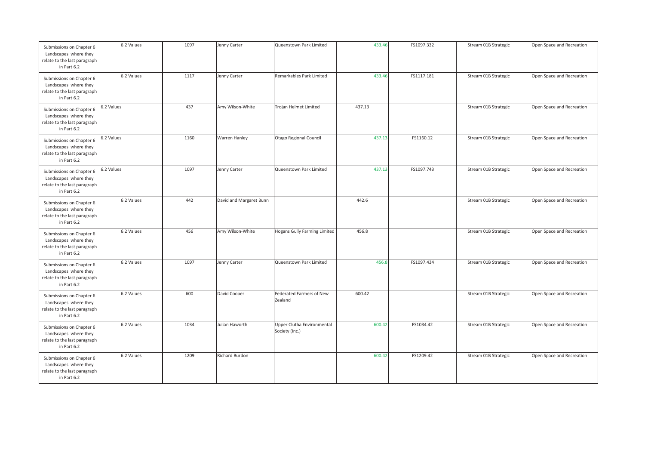| Submissions on Chapter 6<br>Landscapes where they<br>relate to the last paragraph<br>in Part 6.2 | 6.2 Values | 1097 | Jenny Carter            | Queenstown Park Limited                      | 433.46 | FS1097.332 | Stream 01B Strategic | Open Space and Recreation |
|--------------------------------------------------------------------------------------------------|------------|------|-------------------------|----------------------------------------------|--------|------------|----------------------|---------------------------|
| Submissions on Chapter 6<br>Landscapes where they<br>relate to the last paragraph<br>in Part 6.2 | 6.2 Values | 1117 | Jenny Carter            | Remarkables Park Limited                     | 433.46 | FS1117.181 | Stream 01B Strategic | Open Space and Recreation |
| Submissions on Chapter 6<br>Landscapes where they<br>relate to the last paragraph<br>in Part 6.2 | 6.2 Values | 437  | Amy Wilson-White        | Trojan Helmet Limited                        | 437.13 |            | Stream 01B Strategic | Open Space and Recreation |
| Submissions on Chapter 6<br>Landscapes where they<br>relate to the last paragraph<br>in Part 6.2 | 6.2 Values | 1160 | Warren Hanley           | Otago Regional Council                       | 437.13 | FS1160.12  | Stream 01B Strategic | Open Space and Recreation |
| Submissions on Chapter 6<br>Landscapes where they<br>relate to the last paragraph<br>in Part 6.2 | 6.2 Values | 1097 | Jenny Carter            | Queenstown Park Limited                      | 437.13 | FS1097.743 | Stream 01B Strategic | Open Space and Recreation |
| Submissions on Chapter 6<br>Landscapes where they<br>relate to the last paragraph<br>in Part 6.2 | 6.2 Values | 442  | David and Margaret Bunn |                                              | 442.6  |            | Stream 01B Strategic | Open Space and Recreation |
| Submissions on Chapter 6<br>Landscapes where they<br>relate to the last paragraph<br>in Part 6.2 | 6.2 Values | 456  | Amy Wilson-White        | <b>Hogans Gully Farming Limited</b>          | 456.8  |            | Stream 01B Strategic | Open Space and Recreation |
| Submissions on Chapter 6<br>Landscapes where they<br>relate to the last paragraph<br>in Part 6.2 | 6.2 Values | 1097 | Jenny Carter            | Queenstown Park Limited                      | 456.8  | FS1097.434 | Stream 01B Strategic | Open Space and Recreation |
| Submissions on Chapter 6<br>Landscapes where they<br>relate to the last paragraph<br>in Part 6.2 | 6.2 Values | 600  | David Cooper            | Federated Farmers of New<br>Zealand          | 600.42 |            | Stream 01B Strategic | Open Space and Recreation |
| Submissions on Chapter 6<br>Landscapes where they<br>relate to the last paragraph<br>in Part 6.2 | 6.2 Values | 1034 | Julian Haworth          | Upper Clutha Environmental<br>Society (Inc.) | 600.42 | FS1034.42  | Stream 01B Strategic | Open Space and Recreation |
| Submissions on Chapter 6<br>Landscapes where they<br>relate to the last paragraph<br>in Part 6.2 | 6.2 Values | 1209 | Richard Burdon          |                                              | 600.42 | FS1209.42  | Stream 01B Strategic | Open Space and Recreation |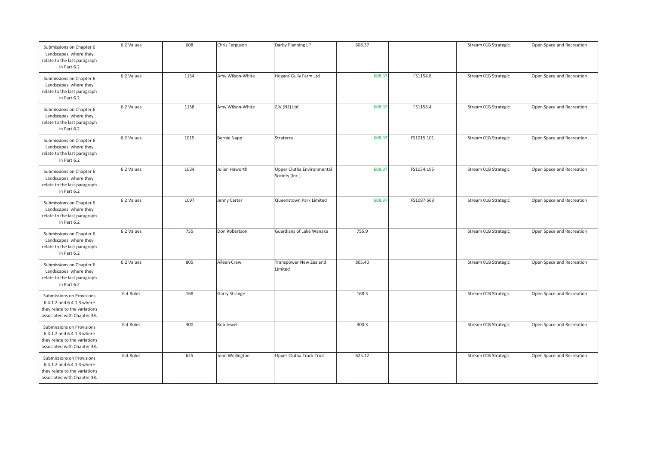| Submissions on Chapter 6<br>Landscapes where they<br>relate to the last paragraph<br>in Part 6.2                       | 6.2 Values | 608  | Chris Ferguson   | Darby Planning LP                            | 608.37 |            | Stream 01B Strategic | Open Space and Recreation |
|------------------------------------------------------------------------------------------------------------------------|------------|------|------------------|----------------------------------------------|--------|------------|----------------------|---------------------------|
| Submissions on Chapter 6<br>Landscapes where they<br>relate to the last paragraph<br>in Part 6.2                       | 6.2 Values | 1154 | Amy Wilson-White | Hogans Gully Farm Ltd                        | 608.37 | FS1154.8   | Stream 01B Strategic | Open Space and Recreation |
| Submissions on Chapter 6<br>Landscapes where they<br>relate to the last paragraph<br>in Part 6.2                       | 6.2 Values | 1158 | Amy Wilson-White | ZJV (NZ) Ltd                                 | 608.37 | FS1158.4   | Stream 01B Strategic | Open Space and Recreation |
| Submissions on Chapter 6<br>Landscapes where they<br>relate to the last paragraph<br>in Part 6.2                       | 6.2 Values | 1015 | Bernie Napp      | Straterra                                    | 608.37 | FS1015.101 | Stream 01B Strategic | Open Space and Recreation |
| Submissions on Chapter 6<br>Landscapes where they<br>relate to the last paragraph<br>in Part 6.2                       | 6.2 Values | 1034 | Julian Haworth   | Upper Clutha Environmental<br>Society (Inc.) | 608.37 | FS1034.195 | Stream 01B Strategic | Open Space and Recreation |
| Submissions on Chapter 6<br>Landscapes where they<br>relate to the last paragraph<br>in Part 6.2                       | 6.2 Values | 1097 | Jenny Carter     | Queenstown Park Limited                      | 608.37 | FS1097.569 | Stream 01B Strategic | Open Space and Recreation |
| Submissions on Chapter 6<br>Landscapes where they<br>relate to the last paragraph<br>in Part 6.2                       | 6.2 Values | 755  | Don Robertson    | Guardians of Lake Wanaka                     | 755.9  |            | Stream 01B Strategic | Open Space and Recreation |
| Submissions on Chapter 6<br>Landscapes where they<br>relate to the last paragraph<br>in Part 6.2                       | 6.2 Values | 805  | Aileen Craw      | Transpower New Zealand<br>Limited            | 805.40 |            | Stream 01B Strategic | Open Space and Recreation |
| Submissions on Provisions<br>6.4.1.2 and 6.4.1.3 where<br>they relate to the variations<br>associated with Chapter 38. | 6.4 Rules  | 168  | Garry Strange    |                                              | 168.3  |            | Stream 01B Strategic | Open Space and Recreation |
| Submissions on Provisions<br>6.4.1.2 and 6.4.1.3 where<br>they relate to the variations<br>associated with Chapter 38. | 6.4 Rules  | 300  | Rob Jewell       |                                              | 300.3  |            | Stream 01B Strategic | Open Space and Recreation |
| Submissions on Provisions<br>6.4.1.2 and 6.4.1.3 where<br>they relate to the variations<br>associated with Chapter 38. | 6.4 Rules  | 625  | John Wellington  | Upper Clutha Track Trust                     | 625.12 |            | Stream 01B Strategic | Open Space and Recreation |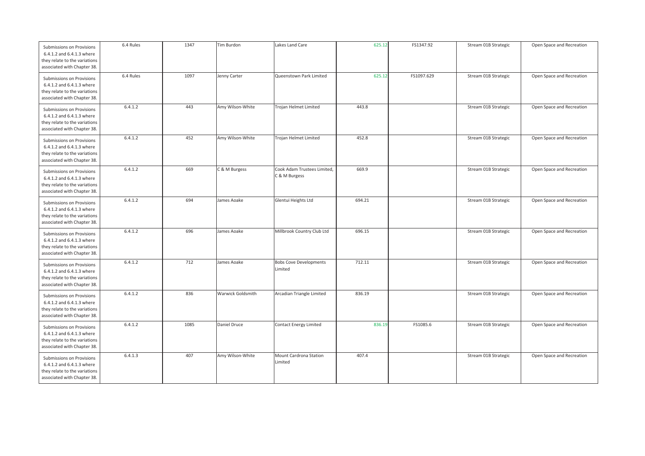| Submissions on Provisions<br>6.4.1.2 and 6.4.1.3 where<br>they relate to the variations<br>associated with Chapter 38. | 6.4 Rules | 1347 | Tim Burdon        | Lakes Land Care                              | 625.12 | FS1347.92  | Stream 01B Strategic | Open Space and Recreation |
|------------------------------------------------------------------------------------------------------------------------|-----------|------|-------------------|----------------------------------------------|--------|------------|----------------------|---------------------------|
| Submissions on Provisions<br>6.4.1.2 and 6.4.1.3 where<br>they relate to the variations<br>associated with Chapter 38. | 6.4 Rules | 1097 | Jenny Carter      | Queenstown Park Limited                      | 625.12 | FS1097.629 | Stream 01B Strategic | Open Space and Recreation |
| Submissions on Provisions<br>6.4.1.2 and 6.4.1.3 where<br>they relate to the variations<br>associated with Chapter 38. | 6.4.1.2   | 443  | Amy Wilson-White  | Trojan Helmet Limited                        | 443.8  |            | Stream 01B Strategic | Open Space and Recreation |
| Submissions on Provisions<br>6.4.1.2 and 6.4.1.3 where<br>they relate to the variations<br>associated with Chapter 38. | 6.4.1.2   | 452  | Amy Wilson-White  | Trojan Helmet Limited                        | 452.8  |            | Stream 01B Strategic | Open Space and Recreation |
| Submissions on Provisions<br>6.4.1.2 and 6.4.1.3 where<br>they relate to the variations<br>associated with Chapter 38. | 6.4.1.2   | 669  | C & M Burgess     | Cook Adam Trustees Limited,<br>C & M Burgess | 669.9  |            | Stream 01B Strategic | Open Space and Recreation |
| Submissions on Provisions<br>6.4.1.2 and 6.4.1.3 where<br>they relate to the variations<br>associated with Chapter 38. | 6.4.1.2   | 694  | James Aoake       | Glentui Heights Ltd                          | 694.21 |            | Stream 01B Strategic | Open Space and Recreation |
| Submissions on Provisions<br>6.4.1.2 and 6.4.1.3 where<br>they relate to the variations<br>associated with Chapter 38. | 6.4.1.2   | 696  | James Aoake       | Millbrook Country Club Ltd                   | 696.15 |            | Stream 01B Strategic | Open Space and Recreation |
| Submissions on Provisions<br>6.4.1.2 and 6.4.1.3 where<br>they relate to the variations<br>associated with Chapter 38. | 6.4.1.2   | 712  | James Aoake       | <b>Bobs Cove Developments</b><br>Limited     | 712.11 |            | Stream 01B Strategic | Open Space and Recreation |
| Submissions on Provisions<br>6.4.1.2 and 6.4.1.3 where<br>they relate to the variations<br>associated with Chapter 38. | 6.4.1.2   | 836  | Warwick Goldsmith | Arcadian Triangle Limited                    | 836.19 |            | Stream 01B Strategic | Open Space and Recreation |
| Submissions on Provisions<br>6.4.1.2 and 6.4.1.3 where<br>they relate to the variations<br>associated with Chapter 38. | 6.4.1.2   | 1085 | Daniel Druce      | <b>Contact Energy Limited</b>                | 836.19 | FS1085.6   | Stream 01B Strategic | Open Space and Recreation |
| Submissions on Provisions<br>6.4.1.2 and 6.4.1.3 where<br>they relate to the variations<br>associated with Chapter 38. | 6.4.1.3   | 407  | Amy Wilson-White  | Mount Cardrona Station<br>Limited            | 407.4  |            | Stream 01B Strategic | Open Space and Recreation |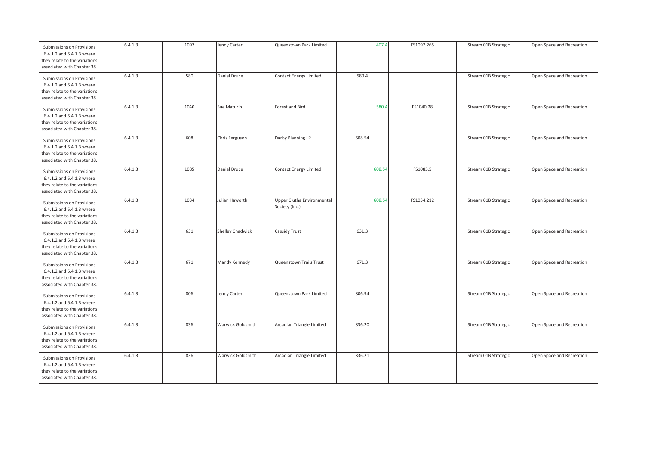| Submissions on Provisions<br>6.4.1.2 and 6.4.1.3 where<br>they relate to the variations<br>associated with Chapter 38. | 6.4.1.3 | 1097 | Jenny Carter             | Queenstown Park Limited                      | 407.4  | FS1097.265 | Stream 01B Strategic | Open Space and Recreation |
|------------------------------------------------------------------------------------------------------------------------|---------|------|--------------------------|----------------------------------------------|--------|------------|----------------------|---------------------------|
| Submissions on Provisions<br>6.4.1.2 and 6.4.1.3 where<br>they relate to the variations<br>associated with Chapter 38. | 6.4.1.3 | 580  | Daniel Druce             | <b>Contact Energy Limited</b>                | 580.4  |            | Stream 01B Strategic | Open Space and Recreation |
| Submissions on Provisions<br>6.4.1.2 and 6.4.1.3 where<br>they relate to the variations<br>associated with Chapter 38. | 6.4.1.3 | 1040 | Sue Maturin              | Forest and Bird                              | 580.   | FS1040.28  | Stream 01B Strategic | Open Space and Recreation |
| Submissions on Provisions<br>6.4.1.2 and 6.4.1.3 where<br>they relate to the variations<br>associated with Chapter 38. | 6.4.1.3 | 608  | Chris Ferguson           | Darby Planning LP                            | 608.54 |            | Stream 01B Strategic | Open Space and Recreation |
| Submissions on Provisions<br>6.4.1.2 and 6.4.1.3 where<br>they relate to the variations<br>associated with Chapter 38. | 6.4.1.3 | 1085 | Daniel Druce             | Contact Energy Limited                       | 608.54 | FS1085.5   | Stream 01B Strategic | Open Space and Recreation |
| Submissions on Provisions<br>6.4.1.2 and 6.4.1.3 where<br>they relate to the variations<br>associated with Chapter 38. | 6.4.1.3 | 1034 | Julian Haworth           | Upper Clutha Environmental<br>Society (Inc.) | 608.54 | FS1034.212 | Stream 01B Strategic | Open Space and Recreation |
| Submissions on Provisions<br>6.4.1.2 and 6.4.1.3 where<br>they relate to the variations<br>associated with Chapter 38. | 6.4.1.3 | 631  | Shelley Chadwick         | <b>Cassidy Trust</b>                         | 631.3  |            | Stream 01B Strategic | Open Space and Recreation |
| Submissions on Provisions<br>6.4.1.2 and 6.4.1.3 where<br>they relate to the variations<br>associated with Chapter 38. | 6.4.1.3 | 671  | Mandy Kennedy            | Queenstown Trails Trust                      | 671.3  |            | Stream 01B Strategic | Open Space and Recreation |
| Submissions on Provisions<br>6.4.1.2 and 6.4.1.3 where<br>they relate to the variations<br>associated with Chapter 38. | 6.4.1.3 | 806  | Jenny Carter             | Queenstown Park Limited                      | 806.94 |            | Stream 01B Strategic | Open Space and Recreation |
| Submissions on Provisions<br>6.4.1.2 and 6.4.1.3 where<br>they relate to the variations<br>associated with Chapter 38. | 6.4.1.3 | 836  | <b>Warwick Goldsmith</b> | Arcadian Triangle Limited                    | 836.20 |            | Stream 01B Strategic | Open Space and Recreation |
| Submissions on Provisions<br>6.4.1.2 and 6.4.1.3 where<br>they relate to the variations<br>associated with Chapter 38. | 6.4.1.3 | 836  | Warwick Goldsmith        | Arcadian Triangle Limited                    | 836.21 |            | Stream 01B Strategic | Open Space and Recreation |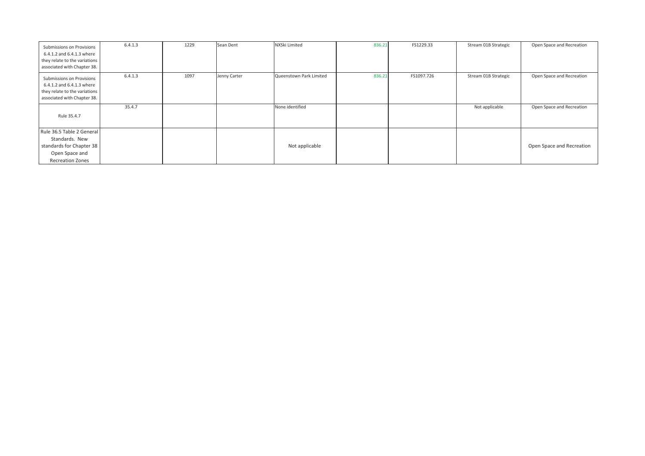| Submissions on Provisions<br>6.4.1.2 and 6.4.1.3 where<br>they relate to the variations<br>associated with Chapter 38. | 6.4.1.3 | 1229 | Sean Dent    | NXSki Limited           | 836.21 | FS1229.33  | Stream 01B Strategic | Open Space and Recreation |
|------------------------------------------------------------------------------------------------------------------------|---------|------|--------------|-------------------------|--------|------------|----------------------|---------------------------|
| Submissions on Provisions<br>6.4.1.2 and 6.4.1.3 where<br>they relate to the variations<br>associated with Chapter 38. | 6.4.1.3 | 1097 | Jenny Carter | Queenstown Park Limited | 836.21 | FS1097.726 | Stream 01B Strategic | Open Space and Recreation |
| Rule 35.4.7                                                                                                            | 35.4.7  |      |              | None identified         |        |            | Not applicable       | Open Space and Recreation |
| Rule 36.5 Table 2 General<br>Standards. New<br>standards for Chapter 38<br>Open Space and<br><b>Recreation Zones</b>   |         |      |              | Not applicable          |        |            |                      | Open Space and Recreation |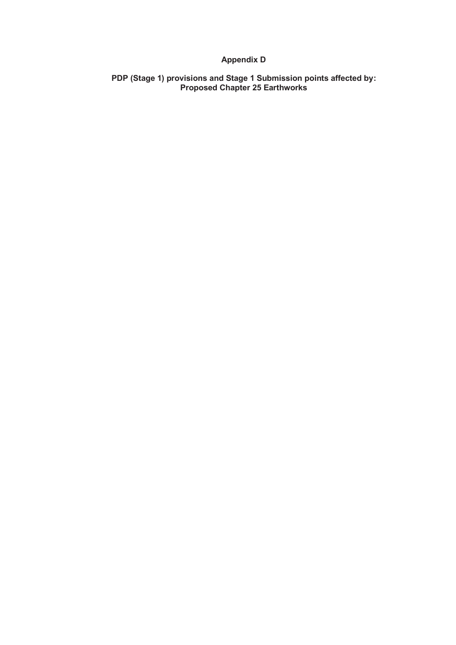## **Appendix D**

**PDP (Stage 1) provisions and Stage 1 Submission points affected by: Proposed Chapter 25 Earthworks**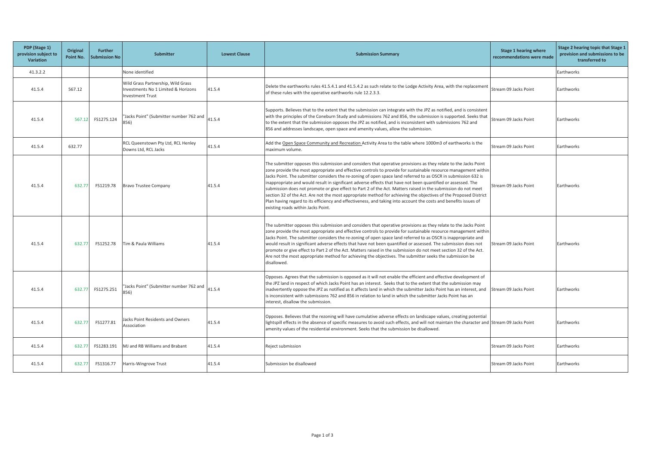| PDP (Stage 1)<br>provision subject to<br><b>Variation</b> | Original<br>Point No. | <b>Further</b><br><b>Submission No</b> | <b>Submitter</b><br><b>Lowest Clause</b><br><b>Submission Summary</b>                                |                                                                                                                                                                                                                                                                                                                                                                                                                                                     | Stage 1 hearing where<br>recommendations were made                                                                                                                                                                                                                                                                                                                                                                                                                                                                                                                                                                                                                                                                                                                                                                                                                 | Stage 2 hearing topic that Stage 1<br>provision and submissions to be<br>transferred to |            |
|-----------------------------------------------------------|-----------------------|----------------------------------------|------------------------------------------------------------------------------------------------------|-----------------------------------------------------------------------------------------------------------------------------------------------------------------------------------------------------------------------------------------------------------------------------------------------------------------------------------------------------------------------------------------------------------------------------------------------------|--------------------------------------------------------------------------------------------------------------------------------------------------------------------------------------------------------------------------------------------------------------------------------------------------------------------------------------------------------------------------------------------------------------------------------------------------------------------------------------------------------------------------------------------------------------------------------------------------------------------------------------------------------------------------------------------------------------------------------------------------------------------------------------------------------------------------------------------------------------------|-----------------------------------------------------------------------------------------|------------|
| 41.3.2.2                                                  |                       |                                        | None identified                                                                                      |                                                                                                                                                                                                                                                                                                                                                                                                                                                     |                                                                                                                                                                                                                                                                                                                                                                                                                                                                                                                                                                                                                                                                                                                                                                                                                                                                    |                                                                                         | Earthworks |
| 41.5.4                                                    | 567.12                |                                        | Wild Grass Partnership, Wild Grass<br>Investments No 1 Limited & Horizons<br><b>Investment Trust</b> | 41.5.4                                                                                                                                                                                                                                                                                                                                                                                                                                              | Delete the earthworks rules 41.5.4.1 and 41.5.4.2 as such relate to the Lodge Activity Area, with the replacement<br>of these rules with the operative earthworks rule 12.2.3.3.                                                                                                                                                                                                                                                                                                                                                                                                                                                                                                                                                                                                                                                                                   | Stream 09 Jacks Point                                                                   | Earthworks |
| 41.5.4                                                    | 567.12                | FS1275.124                             | "Jacks Point" (Submitter number 762 and<br>856)                                                      | Supports. Believes that to the extent that the submission can integrate with the JPZ as notified, and is consistent<br>with the principles of the Coneburn Study and submissions 762 and 856, the submission is supported. Seeks that<br>41.5.4<br>to the extent that the submission opposes the JPZ as notified, and is inconsistent with submissions 762 and<br>856 and addresses landscape, open space and amenity values, allow the submission. |                                                                                                                                                                                                                                                                                                                                                                                                                                                                                                                                                                                                                                                                                                                                                                                                                                                                    | Stream 09 Jacks Point                                                                   | Earthworks |
| 41.5.4                                                    | 632.77                |                                        | RCL Queenstown Pty Ltd, RCL Henley<br>Downs Ltd, RCL Jacks                                           | 41.5.4                                                                                                                                                                                                                                                                                                                                                                                                                                              | Add the Open Space Community and Recreation Activity Area to the table where 1000m3 of earthworks is the<br>maximum volume.                                                                                                                                                                                                                                                                                                                                                                                                                                                                                                                                                                                                                                                                                                                                        | Stream 09 Jacks Point                                                                   | Earthworks |
| 41.5.4                                                    | 632.77                | FS1219.78                              | <b>Bravo Trustee Company</b>                                                                         | 41.5.4                                                                                                                                                                                                                                                                                                                                                                                                                                              | The submitter opposes this submission and considers that operative provisions as they relate to the Jacks Point<br>zone provide the most appropriate and effective controls to provide for sustainable resource management within<br>Jacks Point. The submitter considers the re-zoning of open space land referred to as OSCR in submission 632 is<br>inappropriate and would result in significant adverse effects that have not been quantified or assessed. The<br>submission does not promote or give effect to Part 2 of the Act. Matters raised in the submission do not meet<br>section 32 of the Act. Are not the most appropriate method for achieving the objectives of the Proposed District<br>Plan having regard to its efficiency and effectiveness, and taking into account the costs and benefits issues of<br>existing roads within Jacks Point. | Stream 09 Jacks Point                                                                   | Earthworks |
| 41.5.4                                                    | 632.77                | FS1252.78                              | Tim & Paula Williams                                                                                 | 41.5.4                                                                                                                                                                                                                                                                                                                                                                                                                                              | The submitter opposes this submission and considers that operative provisions as they relate to the Jacks Point<br>zone provide the most appropriate and effective controls to provide for sustainable resource management within<br>Jacks Point. The submitter considers the re-zoning of open space land referred to as OSCR is inappropriate and<br>would result in significant adverse effects that have not been quantified or assessed. The submission does not<br>promote or give effect to Part 2 of the Act. Matters raised in the submission do not meet section 32 of the Act.<br>Are not the most appropriate method for achieving the objectives. The submitter seeks the submission be<br>disallowed.                                                                                                                                                | Stream 09 Jacks Point                                                                   | Earthworks |
| 41.5.4                                                    | 632.77                | FS1275.251                             | "Jacks Point" (Submitter number 762 and<br>856)                                                      | 41.5.4                                                                                                                                                                                                                                                                                                                                                                                                                                              | Opposes. Agrees that the submission is opposed as it will not enable the efficient and effective development of<br>the JPZ land in respect of which Jacks Point has an interest. Seeks that to the extent that the submission may<br>inadvertently oppose the JPZ as notified as it affects land in which the submitter Jacks Point has an interest, and Stream 09 Jacks Point<br>is inconsistent with submissions 762 and 856 in relation to land in which the submitter Jacks Point has an<br>interest. disallow the submission.                                                                                                                                                                                                                                                                                                                                 |                                                                                         | Earthworks |
| 41.5.4                                                    | 632.77                | FS1277.81                              | lacks Point Residents and Owners<br>Association                                                      | 41.5.4                                                                                                                                                                                                                                                                                                                                                                                                                                              | Opposes. Believes that the rezoning will have cumulative adverse effects on landscape values, creating potential<br>lightspill effects in the absence of specific measures to avoid such effects, and will not maintain the character and Stream 09 Jacks Point<br>amenity values of the residential environment. Seeks that the submission be disallowed.                                                                                                                                                                                                                                                                                                                                                                                                                                                                                                         |                                                                                         | Earthworks |
| 41.5.4                                                    | 632.77                | FS1283.191                             | MJ and RB Williams and Brabant                                                                       | 41.5.4                                                                                                                                                                                                                                                                                                                                                                                                                                              | Reject submission                                                                                                                                                                                                                                                                                                                                                                                                                                                                                                                                                                                                                                                                                                                                                                                                                                                  | Stream 09 Jacks Point                                                                   | Earthworks |
| 41.5.4                                                    | 632.77                | FS1316.77                              | Harris-Wingrove Trust                                                                                | 41.5.4                                                                                                                                                                                                                                                                                                                                                                                                                                              | Submission be disallowed                                                                                                                                                                                                                                                                                                                                                                                                                                                                                                                                                                                                                                                                                                                                                                                                                                           | Stream 09 Jacks Point                                                                   | Earthworks |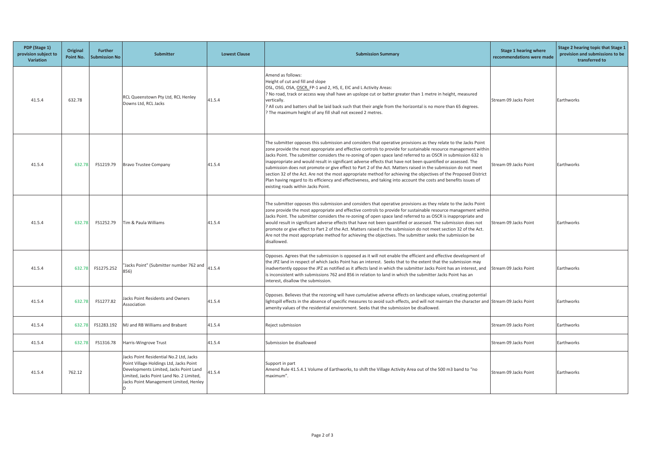| PDP (Stage 1)<br>provision subject to<br>Variation | Original<br>Point No. | Further<br><b>Submission No</b> | <b>Submitter</b>                                                                                                                                                                                                   | <b>Lowest Clause</b> | <b>Submission Summary</b>                                                                                                                                                                                                                                                                                                                                                                                                                                                                                                                                                                                                                                                                                                                                                                                                                                          | Stage 1 hearing where<br>recommendations were made | Stage 2 hearing topic that Stage 1<br>provision and submissions to be<br>transferred to |
|----------------------------------------------------|-----------------------|---------------------------------|--------------------------------------------------------------------------------------------------------------------------------------------------------------------------------------------------------------------|----------------------|--------------------------------------------------------------------------------------------------------------------------------------------------------------------------------------------------------------------------------------------------------------------------------------------------------------------------------------------------------------------------------------------------------------------------------------------------------------------------------------------------------------------------------------------------------------------------------------------------------------------------------------------------------------------------------------------------------------------------------------------------------------------------------------------------------------------------------------------------------------------|----------------------------------------------------|-----------------------------------------------------------------------------------------|
| 41.5.4                                             | 632.78                |                                 | RCL Queenstown Pty Ltd, RCL Henley<br>Downs Ltd, RCL Jacks                                                                                                                                                         | 41.5.4               | Amend as follows:<br>Height of cut and fill and slope<br>OSL, OSG, OSA, OSCR, FP-1 and 2, HS, E, EIC and L Activity Areas:<br>Mo road, track or access way shall have an upslope cut or batter greater than 1 metre in height, measured<br>vertically.<br>? All cuts and batters shall be laid back such that their angle from the horizontal is no more than 65 degrees.<br>? The maximum height of any fill shall not exceed 2 metres.                                                                                                                                                                                                                                                                                                                                                                                                                           | Stream 09 Jacks Point                              | Earthworks                                                                              |
| 41.5.4                                             | 632.78                | FS1219.79                       | <b>Bravo Trustee Company</b>                                                                                                                                                                                       | 41.5.4               | The submitter opposes this submission and considers that operative provisions as they relate to the Jacks Point<br>zone provide the most appropriate and effective controls to provide for sustainable resource management within<br>Jacks Point. The submitter considers the re-zoning of open space land referred to as OSCR in submission 632 is<br>inappropriate and would result in significant adverse effects that have not been quantified or assessed. The<br>submission does not promote or give effect to Part 2 of the Act. Matters raised in the submission do not meet<br>section 32 of the Act. Are not the most appropriate method for achieving the objectives of the Proposed District<br>Plan having regard to its efficiency and effectiveness, and taking into account the costs and benefits issues of<br>existing roads within Jacks Point. | Stream 09 Jacks Point                              | Earthworks                                                                              |
| 41.5.4                                             | 632.78                | FS1252.79                       | Tim & Paula Williams                                                                                                                                                                                               | 41.5.4               | The submitter opposes this submission and considers that operative provisions as they relate to the Jacks Point<br>zone provide the most appropriate and effective controls to provide for sustainable resource management within<br>Jacks Point. The submitter considers the re-zoning of open space land referred to as OSCR is inappropriate and<br>would result in significant adverse effects that have not been quantified or assessed. The submission does not<br>promote or give effect to Part 2 of the Act. Matters raised in the submission do not meet section 32 of the Act.<br>Are not the most appropriate method for achieving the objectives. The submitter seeks the submission be<br>disallowed.                                                                                                                                                | Stream 09 Jacks Point                              | Earthworks                                                                              |
| 41.5.4                                             | 632.78                | FS1275.252                      | Jacks Point" (Submitter number 762 and<br>856)                                                                                                                                                                     | 41.5.4               | Opposes. Agrees that the submission is opposed as it will not enable the efficient and effective development of<br>the JPZ land in respect of which Jacks Point has an interest. Seeks that to the extent that the submission may<br>inadvertently oppose the JPZ as notified as it affects land in which the submitter Jacks Point has an interest, and Stream 09 Jacks Point<br>is inconsistent with submissions 762 and 856 in relation to land in which the submitter Jacks Point has an<br>interest, disallow the submission.                                                                                                                                                                                                                                                                                                                                 |                                                    | Earthworks                                                                              |
| 41.5.4                                             | 632.78                | FS1277.82                       | Jacks Point Residents and Owners<br>Association                                                                                                                                                                    | 41.5.4               | Opposes. Believes that the rezoning will have cumulative adverse effects on landscape values, creating potential<br>lightspill effects in the absence of specific measures to avoid such effects, and will not maintain the character and Stream 09 Jacks Point<br>amenity values of the residential environment. Seeks that the submission be disallowed.                                                                                                                                                                                                                                                                                                                                                                                                                                                                                                         |                                                    | Earthworks                                                                              |
| 41.5.4                                             | 632.78                | FS1283.192                      | MJ and RB Williams and Brabant                                                                                                                                                                                     | 41.5.4               | Reject submission                                                                                                                                                                                                                                                                                                                                                                                                                                                                                                                                                                                                                                                                                                                                                                                                                                                  | Stream 09 Jacks Point                              | Earthworks                                                                              |
| 41.5.4                                             | 632.78                | FS1316.78                       | Harris-Wingrove Trust                                                                                                                                                                                              | 41.5.4               | Submission be disallowed                                                                                                                                                                                                                                                                                                                                                                                                                                                                                                                                                                                                                                                                                                                                                                                                                                           | Stream 09 Jacks Point                              | Earthworks                                                                              |
| 41.5.4                                             | 762.12                |                                 | Jacks Point Residential No.2 Ltd, Jacks<br>Point Village Holdings Ltd, Jacks Point<br>Developments Limited, Jacks Point Land<br>Limited, Jacks Point Land No. 2 Limited,<br>Jacks Point Management Limited, Henley | 41.5.4               | Support in part<br>Amend Rule 41.5.4.1 Volume of Earthworks, to shift the Village Activity Area out of the 500 m3 band to "no<br>maximum".                                                                                                                                                                                                                                                                                                                                                                                                                                                                                                                                                                                                                                                                                                                         | Stream 09 Jacks Point                              | Earthworks                                                                              |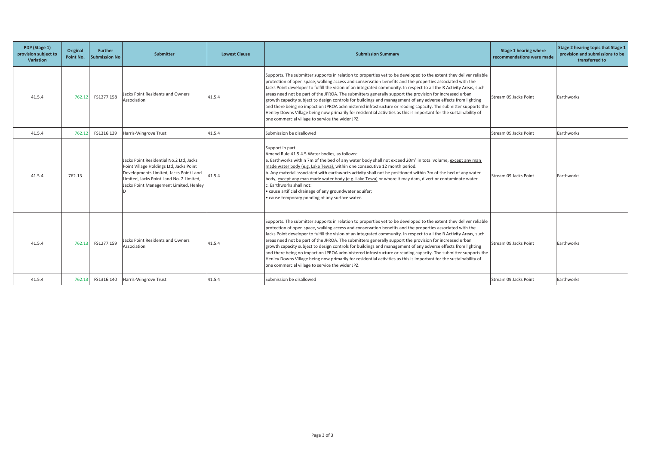| PDP (Stage 1)<br>provision subject to<br><b>Variation</b> | Original<br>Point No. | <b>Further</b><br><b>Submission No</b> | Submitter                                                                                                                                                                                                          | <b>Lowest Clause</b> | <b>Submission Summary</b>                                                                                                                                                                                                                                                                                                                                                                                                                                                                                                                                                                                                                                                                                                                                                                                                                                                      | Stage 1 hearing where<br>recommendations were made | Stage 2 hearing topic that Stage 1<br>provision and submissions to be<br>transferred to |
|-----------------------------------------------------------|-----------------------|----------------------------------------|--------------------------------------------------------------------------------------------------------------------------------------------------------------------------------------------------------------------|----------------------|--------------------------------------------------------------------------------------------------------------------------------------------------------------------------------------------------------------------------------------------------------------------------------------------------------------------------------------------------------------------------------------------------------------------------------------------------------------------------------------------------------------------------------------------------------------------------------------------------------------------------------------------------------------------------------------------------------------------------------------------------------------------------------------------------------------------------------------------------------------------------------|----------------------------------------------------|-----------------------------------------------------------------------------------------|
| 41.5.4                                                    | 762.12                | FS1277.158                             | Jacks Point Residents and Owners<br>Association                                                                                                                                                                    | 41.5.4               | Supports. The submitter supports in relation to properties yet to be developed to the extent they deliver reliable<br>protection of open space, walking access and conservation benefits and the properties associated with the<br>Jacks Point developer to fulfill the vision of an integrated community. In respect to all the R Activity Areas, such<br>areas need not be part of the JPROA. The submitters generally support the provision for increased urban<br>growth capacity subject to design controls for buildings and management of any adverse effects from lighting<br>and there being no impact on JPROA administered infrastructure or reading capacity. The submitter supports the<br>Henley Downs Village being now primarily for residential activities as this is important for the sustainability of<br>one commercial village to service the wider JPZ. | Stream 09 Jacks Point                              | Earthworks                                                                              |
| 41.5.4                                                    | 762.12                | FS1316.139                             | Harris-Wingrove Trust                                                                                                                                                                                              | 41.5.4               | Submission be disallowed                                                                                                                                                                                                                                                                                                                                                                                                                                                                                                                                                                                                                                                                                                                                                                                                                                                       | Stream 09 Jacks Point                              | Earthworks                                                                              |
| 41.5.4                                                    | 762.13                |                                        | Jacks Point Residential No.2 Ltd. Jacks<br>Point Village Holdings Ltd, Jacks Point<br>Developments Limited, Jacks Point Land<br>Limited. Jacks Point Land No. 2 Limited.<br>Jacks Point Management Limited, Henley | 41.5.4               | Support in part<br>Amend Rule 41.5.4.5 Water bodies, as follows:<br>a. Earthworks within 7m of the bed of any water body shall not exceed 20m <sup>3</sup> in total volume, except any man<br>made water body (e.g. Lake Tewa), within one consecutive 12 month period.<br>b. Any material associated with earthworks activity shall not be positioned within 7m of the bed of any water<br>body, except any man made water body (e.g. Lake Tewa) or where it may dam, divert or contaminate water.<br>Earthworks shall not:<br>cause artificial drainage of any groundwater aquifer;<br>cause temporary ponding of any surface water.                                                                                                                                                                                                                                         | Stream 09 Jacks Point                              | Earthworks                                                                              |
| 41.5.4                                                    | 762.13                | FS1277.159                             | Jacks Point Residents and Owners<br>Association                                                                                                                                                                    | 41.5.4               | Supports. The submitter supports in relation to properties yet to be developed to the extent they deliver reliable<br>protection of open space, walking access and conservation benefits and the properties associated with the<br>Jacks Point developer to fulfill the vision of an integrated community. In respect to all the R Activity Areas, such<br>areas need not be part of the JPROA. The submitters generally support the provision for increased urban<br>growth capacity subject to design controls for buildings and management of any adverse effects from lighting<br>and there being no impact on JPROA administered infrastructure or reading capacity. The submitter supports the<br>Henley Downs Village being now primarily for residential activities as this is important for the sustainability of<br>one commercial village to service the wider JPZ. | Stream 09 Jacks Point                              | Earthworks                                                                              |
| 41.5.4                                                    | 762.13                | FS1316.140                             | Harris-Wingrove Trust                                                                                                                                                                                              | 41.5.4               | Submission be disallowed                                                                                                                                                                                                                                                                                                                                                                                                                                                                                                                                                                                                                                                                                                                                                                                                                                                       | Stream 09 Jacks Point                              | Earthworks                                                                              |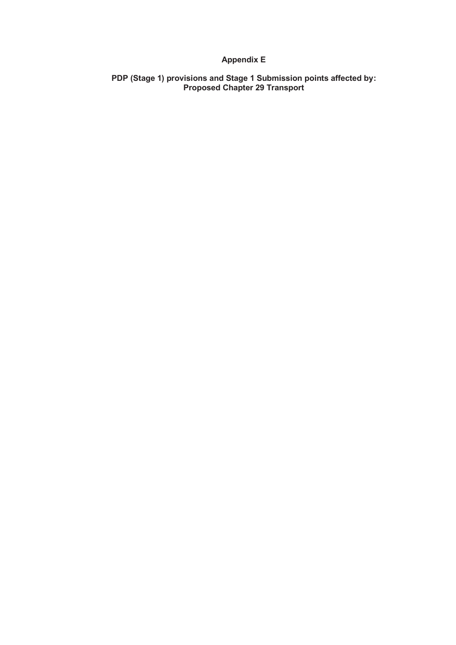## **Appendix E**

**PDP (Stage 1) provisions and Stage 1 Submission points affected by: Proposed Chapter 29 Transport**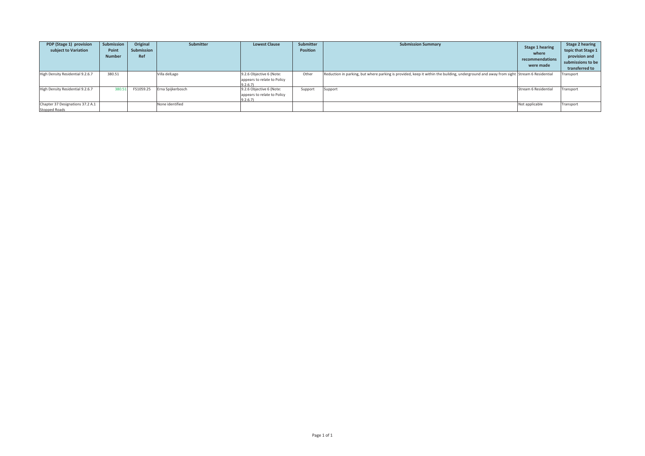| PDP (Stage 1) provision<br>subject to Variation   | <b>Submission</b><br>Point<br><b>Number</b> | Original<br>Submission<br>Ref | Submitter         | <b>Lowest Clause</b>                                               | Submitter<br><b>Position</b> | <b>Submission Summary</b>                                                                                                              | <b>Stage 1 hearing</b><br>where<br>recommendations<br>were made | <b>Stage 2 hearing</b><br>topic that Stage 1<br>provision and<br>submissions to be<br>transferred to |
|---------------------------------------------------|---------------------------------------------|-------------------------------|-------------------|--------------------------------------------------------------------|------------------------------|----------------------------------------------------------------------------------------------------------------------------------------|-----------------------------------------------------------------|------------------------------------------------------------------------------------------------------|
| High Density Residential 9.2.6.7                  | 380.51                                      |                               | Villa delLago     | 9.2.6 Objective 6 (Note:<br>appears to relate to Policy<br>9.2.6.7 | Other                        | Reduction in parking, but where parking is provided, keep it within the building, underground and away from sight Stream 6 Residential |                                                                 | <b>Transport</b>                                                                                     |
| High Density Residential 9.2.6.7                  | 380.5                                       | FS1059.25                     | Erna Spijkerbosch | 9.2.6 Objective 6 (Note:<br>appears to relate to Policy<br>9.2.6.7 | Support                      | Support                                                                                                                                | Stream 6 Residential                                            | Transport                                                                                            |
| Chapter 37 Designations 37.2 A.1<br>Stopped Roads |                                             |                               | None identified   |                                                                    |                              |                                                                                                                                        | Not applicable                                                  | Transport                                                                                            |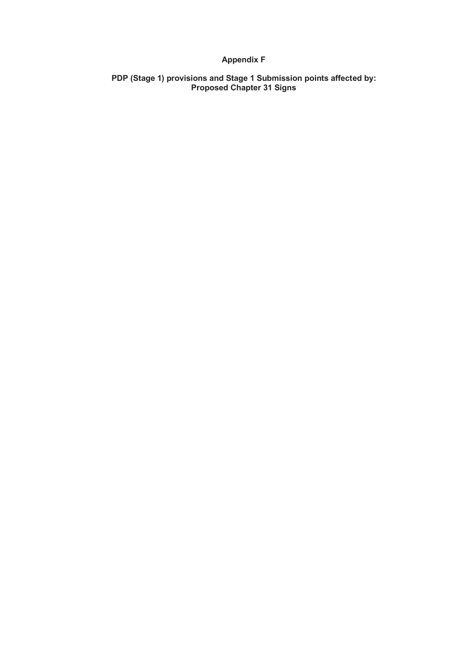## **Appendix F**

**PDP (Stage 1) provisions and Stage 1 Submission points affected by: Proposed Chapter 31 Signs**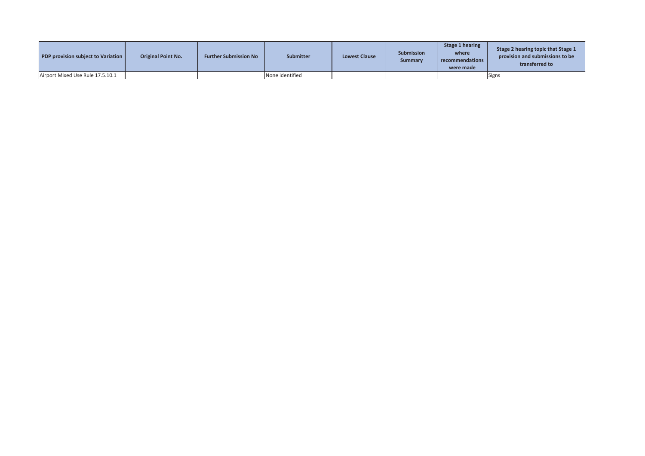| <b>PDP provision subject to Variation</b> | <b>Original Point No.</b> | <b>Further Submission No</b> | <b>Submitter</b> | <b>Lowest Clause</b> | <b>Submission</b><br>Summary | Stage 1 hearing<br>where<br>recommendations<br>were made | Stage 2 hearing topic that Stage 1<br>provision and submissions to be<br>transferred to |
|-------------------------------------------|---------------------------|------------------------------|------------------|----------------------|------------------------------|----------------------------------------------------------|-----------------------------------------------------------------------------------------|
| Airport Mixed Use Rule 17.5.10.1          |                           |                              | None identified  |                      |                              |                                                          | <b>Signs</b>                                                                            |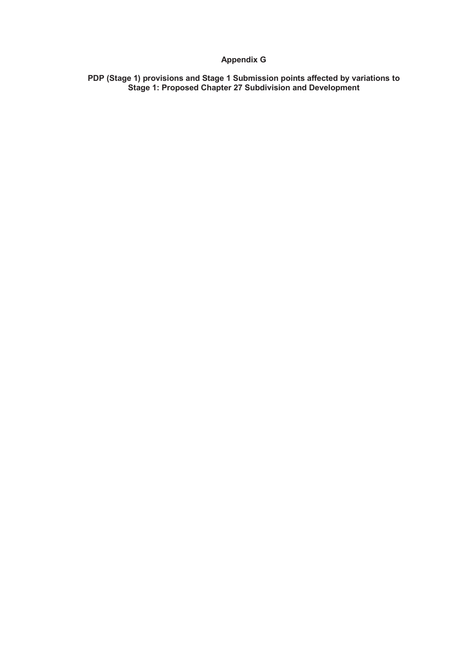## **Appendix G**

**PDP (Stage 1) provisions and Stage 1 Submission points affected by variations to Stage 1: Proposed Chapter 27 Subdivision and Development**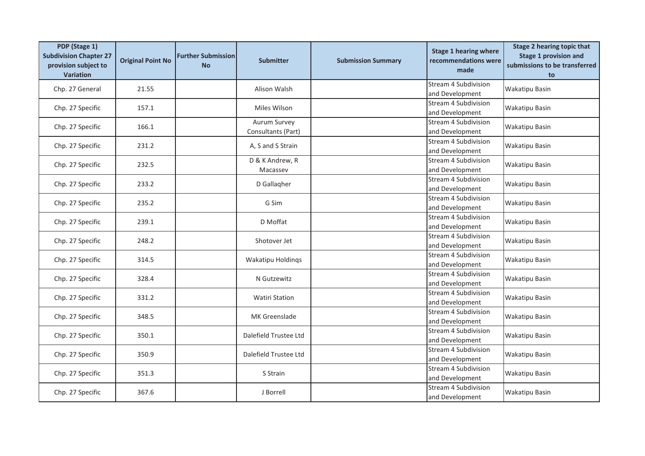| PDP (Stage 1)<br><b>Subdivision Chapter 27</b><br>provision subject to<br><b>Variation</b> | <b>Original Point No</b> | <b>Further Submission</b><br><b>No</b> | <b>Submitter</b>                   | <b>Submission Summary</b> | <b>Stage 1 hearing where</b><br>recommendations were<br>made | <b>Stage 2 hearing topic that</b><br><b>Stage 1 provision and</b><br>submissions to be transferred<br>to |
|--------------------------------------------------------------------------------------------|--------------------------|----------------------------------------|------------------------------------|---------------------------|--------------------------------------------------------------|----------------------------------------------------------------------------------------------------------|
| Chp. 27 General                                                                            | 21.55                    |                                        | Alison Walsh                       |                           | Stream 4 Subdivision<br>and Development                      | <b>Wakatipu Basin</b>                                                                                    |
| Chp. 27 Specific                                                                           | 157.1                    |                                        | Miles Wilson                       |                           | <b>Stream 4 Subdivision</b><br>and Development               | Wakatipu Basin                                                                                           |
| Chp. 27 Specific                                                                           | 166.1                    |                                        | Aurum Survey<br>Consultants (Part) |                           | Stream 4 Subdivision<br>and Development                      | <b>Wakatipu Basin</b>                                                                                    |
| Chp. 27 Specific                                                                           | 231.2                    |                                        | A, S and S Strain                  |                           | Stream 4 Subdivision<br>and Development                      | <b>Wakatipu Basin</b>                                                                                    |
| Chp. 27 Specific                                                                           | 232.5                    |                                        | D & K Andrew, R<br>Macassev        |                           | Stream 4 Subdivision<br>and Development                      | <b>Wakatipu Basin</b>                                                                                    |
| Chp. 27 Specific                                                                           | 233.2                    |                                        | D Gallagher                        |                           | <b>Stream 4 Subdivision</b><br>and Development               | <b>Wakatipu Basin</b>                                                                                    |
| Chp. 27 Specific                                                                           | 235.2                    |                                        | G Sim                              |                           | Stream 4 Subdivision<br>and Development                      | <b>Wakatipu Basin</b>                                                                                    |
| Chp. 27 Specific                                                                           | 239.1                    |                                        | D Moffat                           |                           | Stream 4 Subdivision<br>and Development                      | <b>Wakatipu Basin</b>                                                                                    |
| Chp. 27 Specific                                                                           | 248.2                    |                                        | Shotover Jet                       |                           | Stream 4 Subdivision<br>and Development                      | <b>Wakatipu Basin</b>                                                                                    |
| Chp. 27 Specific                                                                           | 314.5                    |                                        | Wakatipu Holdings                  |                           | <b>Stream 4 Subdivision</b><br>and Development               | <b>Wakatipu Basin</b>                                                                                    |
| Chp. 27 Specific                                                                           | 328.4                    |                                        | N Gutzewitz                        |                           | Stream 4 Subdivision<br>and Development                      | <b>Wakatipu Basin</b>                                                                                    |
| Chp. 27 Specific                                                                           | 331.2                    |                                        | <b>Watiri Station</b>              |                           | <b>Stream 4 Subdivision</b><br>and Development               | <b>Wakatipu Basin</b>                                                                                    |
| Chp. 27 Specific                                                                           | 348.5                    |                                        | MK Greenslade                      |                           | <b>Stream 4 Subdivision</b><br>and Development               | <b>Wakatipu Basin</b>                                                                                    |
| Chp. 27 Specific                                                                           | 350.1                    |                                        | Dalefield Trustee Ltd              |                           | Stream 4 Subdivision<br>and Development                      | <b>Wakatipu Basin</b>                                                                                    |
| Chp. 27 Specific                                                                           | 350.9                    |                                        | Dalefield Trustee Ltd              |                           | Stream 4 Subdivision<br>and Development                      | Wakatipu Basin                                                                                           |
| Chp. 27 Specific                                                                           | 351.3                    |                                        | S Strain                           |                           | Stream 4 Subdivision<br>and Development                      | <b>Wakatipu Basin</b>                                                                                    |
| Chp. 27 Specific                                                                           | 367.6                    |                                        | J Borrell                          |                           | Stream 4 Subdivision<br>and Development                      | <b>Wakatipu Basin</b>                                                                                    |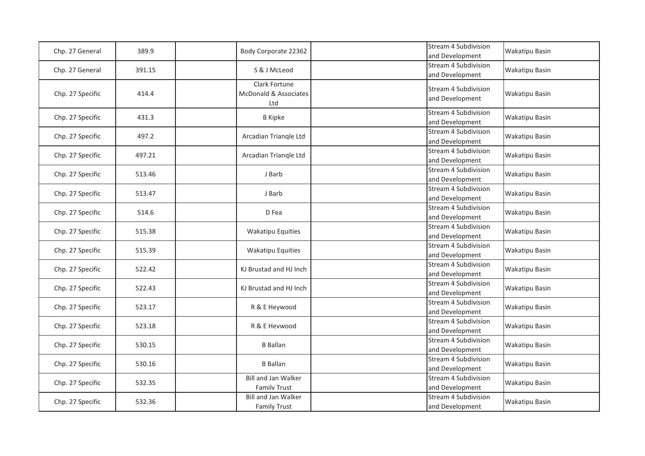| Chp. 27 General  | 389.9  | Body Corporate 22362                              | <b>Stream 4 Subdivision</b><br>and Development | <b>Wakatipu Basin</b> |
|------------------|--------|---------------------------------------------------|------------------------------------------------|-----------------------|
| Chp. 27 General  | 391.15 | S & J McLeod                                      | <b>Stream 4 Subdivision</b><br>and Development | <b>Wakatipu Basin</b> |
| Chp. 27 Specific | 414.4  | Clark Fortune<br>McDonald & Associates<br>Ltd     | Stream 4 Subdivision<br>and Development        | <b>Wakatipu Basin</b> |
| Chp. 27 Specific | 431.3  | <b>B</b> Kipke                                    | Stream 4 Subdivision<br>and Development        | <b>Wakatipu Basin</b> |
| Chp. 27 Specific | 497.2  | Arcadian Triangle Ltd                             | Stream 4 Subdivision<br>and Development        | <b>Wakatipu Basin</b> |
| Chp. 27 Specific | 497.21 | Arcadian Triangle Ltd                             | Stream 4 Subdivision<br>and Development        | <b>Wakatipu Basin</b> |
| Chp. 27 Specific | 513.46 | J Barb                                            | <b>Stream 4 Subdivision</b><br>and Development | <b>Wakatipu Basin</b> |
| Chp. 27 Specific | 513.47 | J Barb                                            | Stream 4 Subdivision<br>and Development        | <b>Wakatipu Basin</b> |
| Chp. 27 Specific | 514.6  | D Fea                                             | Stream 4 Subdivision<br>and Development        | <b>Wakatipu Basin</b> |
| Chp. 27 Specific | 515.38 | <b>Wakatipu Equities</b>                          | <b>Stream 4 Subdivision</b><br>and Development | <b>Wakatipu Basin</b> |
| Chp. 27 Specific | 515.39 | <b>Wakatipu Equities</b>                          | Stream 4 Subdivision<br>and Development        | <b>Wakatipu Basin</b> |
| Chp. 27 Specific | 522.42 | KJ Brustad and HJ Inch                            | Stream 4 Subdivision<br>and Development        | <b>Wakatipu Basin</b> |
| Chp. 27 Specific | 522.43 | KJ Brustad and HJ Inch                            | <b>Stream 4 Subdivision</b><br>and Development | <b>Wakatipu Basin</b> |
| Chp. 27 Specific | 523.17 | R & E Heywood                                     | Stream 4 Subdivision<br>and Development        | <b>Wakatipu Basin</b> |
| Chp. 27 Specific | 523.18 | R & E Hevwood                                     | Stream 4 Subdivision<br>and Development        | <b>Wakatipu Basin</b> |
| Chp. 27 Specific | 530.15 | <b>B</b> Ballan                                   | Stream 4 Subdivision<br>and Development        | <b>Wakatipu Basin</b> |
| Chp. 27 Specific | 530.16 | <b>B</b> Ballan                                   | <b>Stream 4 Subdivision</b><br>and Development | <b>Wakatipu Basin</b> |
| Chp. 27 Specific | 532.35 | <b>Bill and Jan Walker</b><br><b>Family Trust</b> | Stream 4 Subdivision<br>and Development        | <b>Wakatipu Basin</b> |
| Chp. 27 Specific | 532.36 | <b>Bill and Jan Walker</b><br><b>Family Trust</b> | Stream 4 Subdivision<br>and Development        | <b>Wakatipu Basin</b> |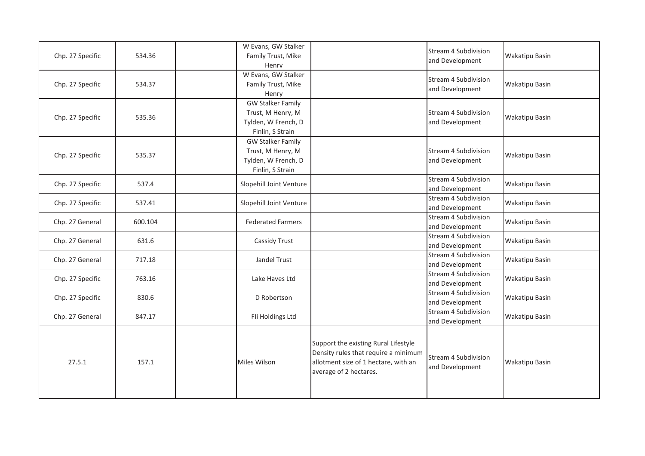| Chp. 27 Specific | 534.36  | W Evans, GW Stalker<br>Family Trust, Mike<br>Henry                                       |                                                                                                                                                | Stream 4 Subdivision<br>and Development | <b>Wakatipu Basin</b> |
|------------------|---------|------------------------------------------------------------------------------------------|------------------------------------------------------------------------------------------------------------------------------------------------|-----------------------------------------|-----------------------|
| Chp. 27 Specific | 534.37  | W Evans, GW Stalker<br>Family Trust, Mike<br>Henry                                       |                                                                                                                                                | Stream 4 Subdivision<br>and Development | <b>Wakatipu Basin</b> |
| Chp. 27 Specific | 535.36  | <b>GW Stalker Family</b><br>Trust, M Henry, M<br>Tylden, W French, D<br>Finlin, S Strain |                                                                                                                                                | Stream 4 Subdivision<br>and Development | <b>Wakatipu Basin</b> |
| Chp. 27 Specific | 535.37  | <b>GW Stalker Family</b><br>Trust, M Henry, M<br>Tylden, W French, D<br>Finlin, S Strain |                                                                                                                                                | Stream 4 Subdivision<br>and Development | <b>Wakatipu Basin</b> |
| Chp. 27 Specific | 537.4   | Slopehill Joint Venture                                                                  |                                                                                                                                                | Stream 4 Subdivision<br>and Development | <b>Wakatipu Basin</b> |
| Chp. 27 Specific | 537.41  | Slopehill Joint Venture                                                                  |                                                                                                                                                | Stream 4 Subdivision<br>and Development | <b>Wakatipu Basin</b> |
| Chp. 27 General  | 600.104 | <b>Federated Farmers</b>                                                                 |                                                                                                                                                | Stream 4 Subdivision<br>and Development | <b>Wakatipu Basin</b> |
| Chp. 27 General  | 631.6   | Cassidy Trust                                                                            |                                                                                                                                                | Stream 4 Subdivision<br>and Development | <b>Wakatipu Basin</b> |
| Chp. 27 General  | 717.18  | Jandel Trust                                                                             |                                                                                                                                                | Stream 4 Subdivision<br>and Development | <b>Wakatipu Basin</b> |
| Chp. 27 Specific | 763.16  | Lake Haves Ltd                                                                           |                                                                                                                                                | Stream 4 Subdivision<br>and Development | <b>Wakatipu Basin</b> |
| Chp. 27 Specific | 830.6   | D Robertson                                                                              |                                                                                                                                                | Stream 4 Subdivision<br>and Development | <b>Wakatipu Basin</b> |
| Chp. 27 General  | 847.17  | Fli Holdings Ltd                                                                         |                                                                                                                                                | Stream 4 Subdivision<br>and Development | <b>Wakatipu Basin</b> |
| 27.5.1           | 157.1   | Miles Wilson                                                                             | Support the existing Rural Lifestyle<br>Density rules that require a minimum<br>allotment size of 1 hectare, with an<br>average of 2 hectares. | Stream 4 Subdivision<br>and Development | <b>Wakatipu Basin</b> |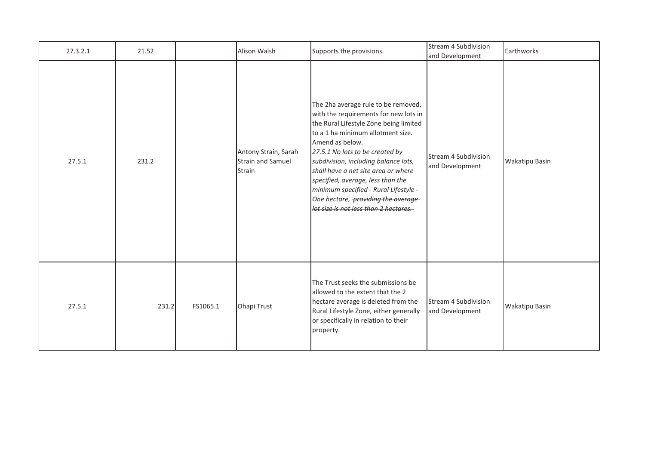| 27.3.2.1 | 21.52 |          | Alison Walsh                                               | Supports the provisions.                                                                                                                                                                                                                                                                                                                                                                                                                                       | Stream 4 Subdivision<br>and Development | Earthworks            |
|----------|-------|----------|------------------------------------------------------------|----------------------------------------------------------------------------------------------------------------------------------------------------------------------------------------------------------------------------------------------------------------------------------------------------------------------------------------------------------------------------------------------------------------------------------------------------------------|-----------------------------------------|-----------------------|
| 27.5.1   | 231.2 |          | Antony Strain, Sarah<br><b>Strain and Samuel</b><br>Strain | The 2ha average rule to be removed,<br>with the requirements for new lots in<br>the Rural Lifestyle Zone being limited<br>to a 1 ha minimum allotment size.<br>Amend as below.<br>27.5.1 No lots to be created by<br>subdivision, including balance lots,<br>shall have a net site area or where<br>specified, average, less than the<br>minimum specified - Rural Lifestyle -<br>One hectare, providing the average-<br>lot size is not less than 2 hectares. | Stream 4 Subdivision<br>and Development | <b>Wakatipu Basin</b> |
| 27.5.1   | 231.2 | FS1065.1 | Ohapi Trust                                                | The Trust seeks the submissions be<br>allowed to the extent that the 2<br>hectare average is deleted from the<br>Rural Lifestyle Zone, either generally<br>or specifically in relation to their<br>property.                                                                                                                                                                                                                                                   | Stream 4 Subdivision<br>and Development | <b>Wakatipu Basin</b> |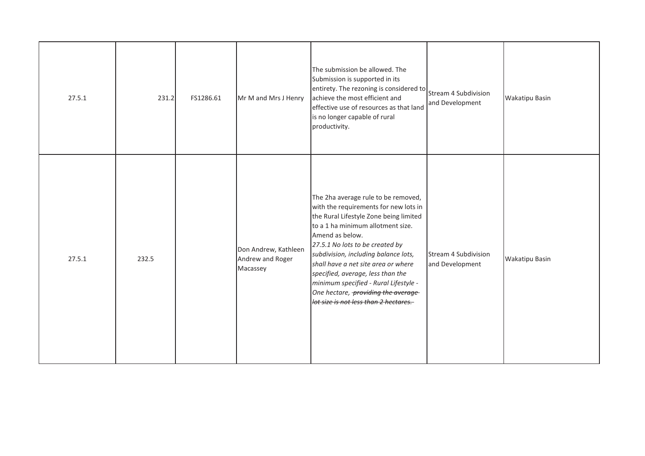| 27.5.1 | 231.2 | FS1286.61 | Mr M and Mrs J Henry                                 | The submission be allowed. The<br>Submission is supported in its<br>entirety. The rezoning is considered to<br>achieve the most efficient and<br>effective use of resources as that land<br>is no longer capable of rural<br>productivity.                                                                                                                                                                                                                     | Stream 4 Subdivision<br>and Development | <b>Wakatipu Basin</b> |
|--------|-------|-----------|------------------------------------------------------|----------------------------------------------------------------------------------------------------------------------------------------------------------------------------------------------------------------------------------------------------------------------------------------------------------------------------------------------------------------------------------------------------------------------------------------------------------------|-----------------------------------------|-----------------------|
| 27.5.1 | 232.5 |           | Don Andrew, Kathleen<br>Andrew and Roger<br>Macassey | The 2ha average rule to be removed,<br>with the requirements for new lots in<br>the Rural Lifestyle Zone being limited<br>to a 1 ha minimum allotment size.<br>Amend as below.<br>27.5.1 No lots to be created by<br>subdivision, including balance lots,<br>shall have a net site area or where<br>specified, average, less than the<br>minimum specified - Rural Lifestyle -<br>One hectare, providing the average-<br>lot size is not less than 2 hectares. | Stream 4 Subdivision<br>and Development | <b>Wakatipu Basin</b> |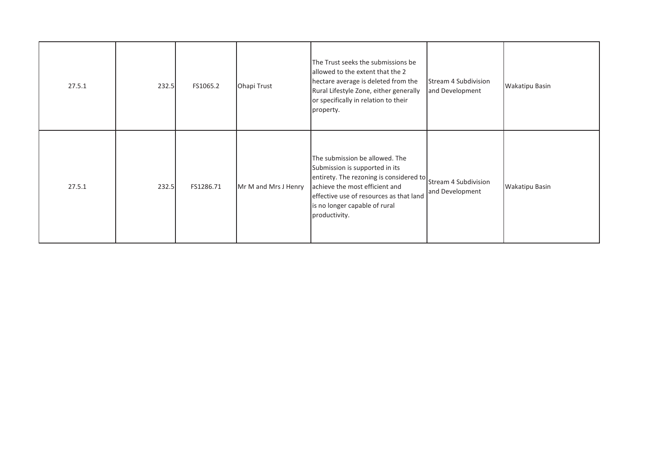| 27.5.1 | 232.5 | FS1065.2  | Ohapi Trust          | The Trust seeks the submissions be<br>allowed to the extent that the 2<br>hectare average is deleted from the<br>Rural Lifestyle Zone, either generally<br>or specifically in relation to their<br>property.                               | Stream 4 Subdivision<br>and Development | Wakatipu Basin        |
|--------|-------|-----------|----------------------|--------------------------------------------------------------------------------------------------------------------------------------------------------------------------------------------------------------------------------------------|-----------------------------------------|-----------------------|
| 27.5.1 | 232.5 | FS1286.71 | Mr M and Mrs J Henry | The submission be allowed. The<br>Submission is supported in its<br>entirety. The rezoning is considered to<br>achieve the most efficient and<br>effective use of resources as that land<br>is no longer capable of rural<br>productivity. | Stream 4 Subdivision<br>and Development | <b>Wakatipu Basin</b> |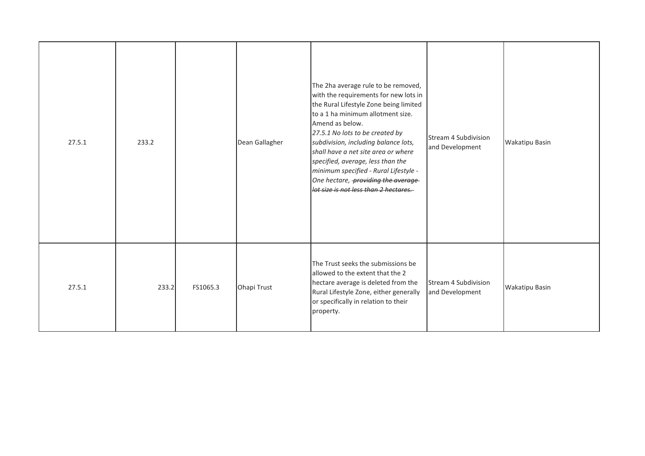| 27.5.1 | 233.2 |          | Dean Gallagher | The 2ha average rule to be removed,<br>with the requirements for new lots in<br>the Rural Lifestyle Zone being limited<br>to a 1 ha minimum allotment size.<br>Amend as below.<br>27.5.1 No lots to be created by<br>subdivision, including balance lots,<br>shall have a net site area or where<br>specified, average, less than the<br>minimum specified - Rural Lifestyle -<br>One hectare, providing the average-<br>lot size is not less than 2 hectares. | Stream 4 Subdivision<br>and Development | <b>Wakatipu Basin</b> |
|--------|-------|----------|----------------|----------------------------------------------------------------------------------------------------------------------------------------------------------------------------------------------------------------------------------------------------------------------------------------------------------------------------------------------------------------------------------------------------------------------------------------------------------------|-----------------------------------------|-----------------------|
| 27.5.1 | 233.2 | FS1065.3 | Ohapi Trust    | The Trust seeks the submissions be<br>allowed to the extent that the 2<br>hectare average is deleted from the<br>Rural Lifestyle Zone, either generally<br>or specifically in relation to their<br>property.                                                                                                                                                                                                                                                   | Stream 4 Subdivision<br>and Development | <b>Wakatipu Basin</b> |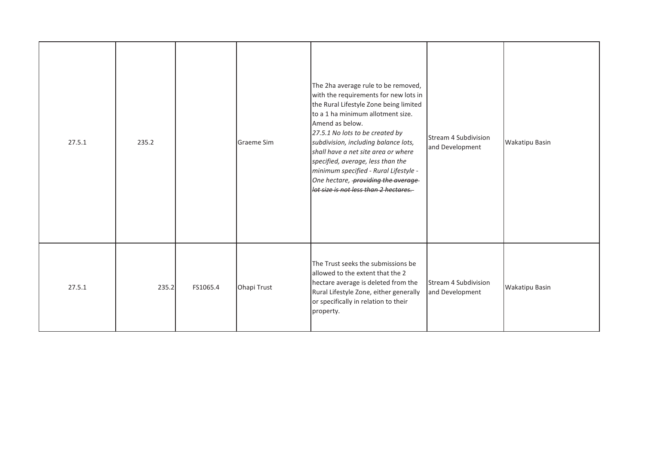| 27.5.1 | 235.2 |          | <b>Graeme Sim</b> | The 2ha average rule to be removed,<br>with the requirements for new lots in<br>the Rural Lifestyle Zone being limited<br>to a 1 ha minimum allotment size.<br>Amend as below.<br>27.5.1 No lots to be created by<br>subdivision, including balance lots,<br>shall have a net site area or where<br>specified, average, less than the<br>minimum specified - Rural Lifestyle -<br>One hectare, providing the average-<br>lot size is not less than 2 hectares. | Stream 4 Subdivision<br>and Development        | Wakatipu Basin        |
|--------|-------|----------|-------------------|----------------------------------------------------------------------------------------------------------------------------------------------------------------------------------------------------------------------------------------------------------------------------------------------------------------------------------------------------------------------------------------------------------------------------------------------------------------|------------------------------------------------|-----------------------|
| 27.5.1 | 235.2 | FS1065.4 | Ohapi Trust       | The Trust seeks the submissions be<br>allowed to the extent that the 2<br>hectare average is deleted from the<br>Rural Lifestyle Zone, either generally<br>or specifically in relation to their<br>property.                                                                                                                                                                                                                                                   | <b>Stream 4 Subdivision</b><br>and Development | <b>Wakatipu Basin</b> |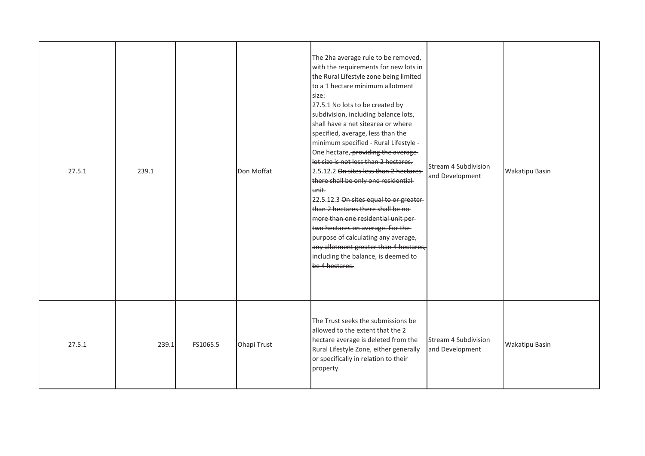| 27.5.1 | 239.1 |          | Don Moffat  | to a 1 hectare minimum allotment<br>size:<br>27.5.1 No lots to be created by<br>subdivision, including balance lots,<br>shall have a net sitearea or where<br>specified, average, less than the<br>minimum specified - Rural Lifestyle -<br>One hectare, providing the average-<br>lot size is not less than 2 hectares.<br>2.5.12.2 On sites less than 2 hectares<br>there shall be only one residential<br>unit.<br>22.5.12.3 On sites equal to or greater-<br>than 2 hectares there shall be no-<br>more than one residential unit per-<br>two hectares on average. For the-<br>purpose of calculating any average,<br>any allotment greater than 4 hectares,<br>including the balance, is deemed to-<br>be 4 hectares.<br>The Trust seeks the submissions be | Stream 4 Subdivision<br>and Development | <b>Wakatipu Basin</b> |
|--------|-------|----------|-------------|------------------------------------------------------------------------------------------------------------------------------------------------------------------------------------------------------------------------------------------------------------------------------------------------------------------------------------------------------------------------------------------------------------------------------------------------------------------------------------------------------------------------------------------------------------------------------------------------------------------------------------------------------------------------------------------------------------------------------------------------------------------|-----------------------------------------|-----------------------|
| 27.5.1 | 239.1 | FS1065.5 | Ohapi Trust | allowed to the extent that the 2<br>hectare average is deleted from the<br>Rural Lifestyle Zone, either generally<br>or specifically in relation to their<br>property.                                                                                                                                                                                                                                                                                                                                                                                                                                                                                                                                                                                           | Stream 4 Subdivision<br>and Development | <b>Wakatipu Basin</b> |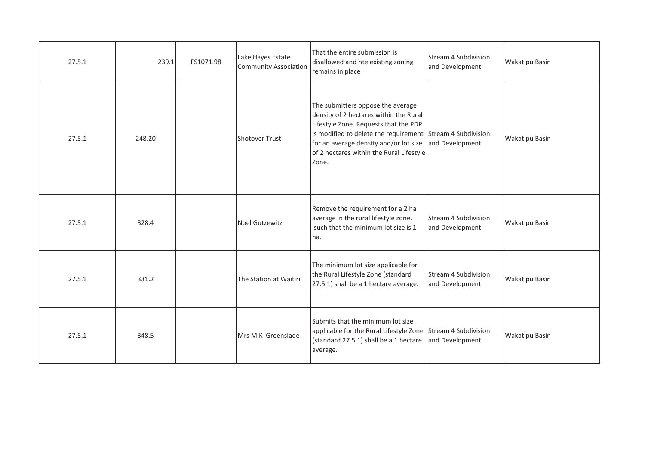| 27.5.1 | 239.1  | FS1071.98 | Lake Hayes Estate<br><b>Community Association</b> | That the entire submission is<br>disallowed and hte existing zoning<br>remains in place                                                                                                                                                                                           | Stream 4 Subdivision<br>and Development | Wakatipu Basin |
|--------|--------|-----------|---------------------------------------------------|-----------------------------------------------------------------------------------------------------------------------------------------------------------------------------------------------------------------------------------------------------------------------------------|-----------------------------------------|----------------|
| 27.5.1 | 248.20 |           | Shotover Trust                                    | The submitters oppose the average<br>density of 2 hectares within the Rural<br>Lifestyle Zone. Requests that the PDP<br>is modified to delete the requirement Stream 4 Subdivision<br>for an average density and/or lot size<br>of 2 hectares within the Rural Lifestyle<br>Zone. | and Development                         | Wakatipu Basin |
| 27.5.1 | 328.4  |           | <b>Noel Gutzewitz</b>                             | Remove the requirement for a 2 ha<br>average in the rural lifestyle zone.<br>such that the minimum lot size is 1<br>ha.                                                                                                                                                           | Stream 4 Subdivision<br>and Development | Wakatipu Basin |
| 27.5.1 | 331.2  |           | The Station at Waitiri                            | The minimum lot size applicable for<br>the Rural Lifestyle Zone (standard<br>27.5.1) shall be a 1 hectare average.                                                                                                                                                                | Stream 4 Subdivision<br>and Development | Wakatipu Basin |
| 27.5.1 | 348.5  |           | Mrs M K Greenslade                                | Submits that the minimum lot size<br>applicable for the Rural Lifestyle Zone Stream 4 Subdivision<br>(standard 27.5.1) shall be a 1 hectare<br>average.                                                                                                                           | and Development                         | Wakatipu Basin |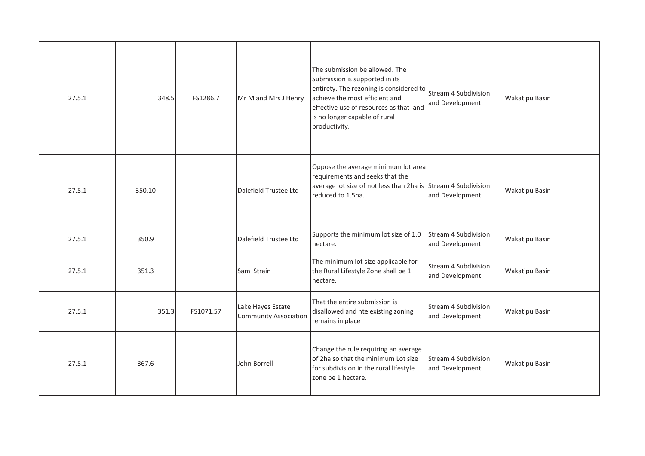| 27.5.1 | 348.5  | FS1286.7  | Mr M and Mrs J Henry                              | The submission be allowed. The<br>Submission is supported in its<br>entirety. The rezoning is considered to<br>achieve the most efficient and<br>effective use of resources as that land<br>is no longer capable of rural<br>productivity. | Stream 4 Subdivision<br>and Development | Wakatipu Basin        |
|--------|--------|-----------|---------------------------------------------------|--------------------------------------------------------------------------------------------------------------------------------------------------------------------------------------------------------------------------------------------|-----------------------------------------|-----------------------|
| 27.5.1 | 350.10 |           | Dalefield Trustee Ltd                             | Oppose the average minimum lot area<br>requirements and seeks that the<br>average lot size of not less than 2ha is Stream 4 Subdivision<br>reduced to 1.5ha.                                                                               | and Development                         | Wakatipu Basin        |
| 27.5.1 | 350.9  |           | Dalefield Trustee Ltd                             | Supports the minimum lot size of 1.0<br>hectare.                                                                                                                                                                                           | Stream 4 Subdivision<br>and Development | Wakatipu Basin        |
| 27.5.1 | 351.3  |           | Sam Strain                                        | The minimum lot size applicable for<br>the Rural Lifestyle Zone shall be 1<br>hectare.                                                                                                                                                     | Stream 4 Subdivision<br>and Development | <b>Wakatipu Basin</b> |
| 27.5.1 | 351.3  | FS1071.57 | Lake Hayes Estate<br><b>Community Association</b> | That the entire submission is<br>disallowed and hte existing zoning<br>remains in place                                                                                                                                                    | Stream 4 Subdivision<br>and Development | Wakatipu Basin        |
| 27.5.1 | 367.6  |           | John Borrell                                      | Change the rule requiring an average<br>of 2ha so that the minimum Lot size<br>for subdivision in the rural lifestyle<br>zone be 1 hectare.                                                                                                | Stream 4 Subdivision<br>and Development | Wakatipu Basin        |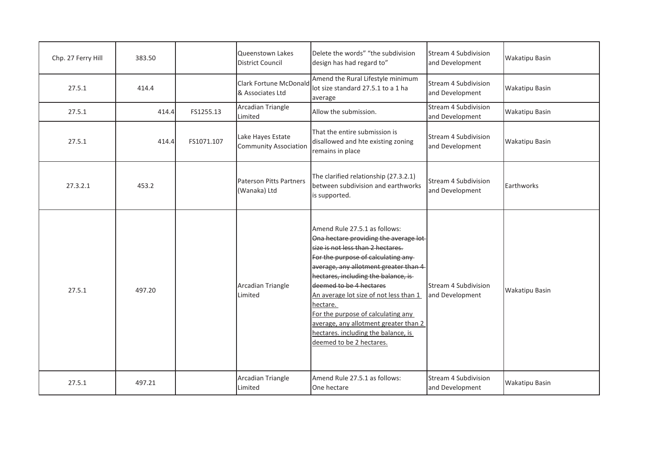| Chp. 27 Ferry Hill | 383.50 |            | Queenstown Lakes<br><b>District Council</b>       | Delete the words" "the subdivision<br>design has had regard to"                                                                                                                                                                                                                                                                                                                                                                                                         | Stream 4 Subdivision<br>and Development | <b>Wakatipu Basin</b> |
|--------------------|--------|------------|---------------------------------------------------|-------------------------------------------------------------------------------------------------------------------------------------------------------------------------------------------------------------------------------------------------------------------------------------------------------------------------------------------------------------------------------------------------------------------------------------------------------------------------|-----------------------------------------|-----------------------|
| 27.5.1             | 414.4  |            | <b>Clark Fortune McDonald</b><br>& Associates Ltd | Amend the Rural Lifestyle minimum<br>lot size standard 27.5.1 to a 1 ha<br>average                                                                                                                                                                                                                                                                                                                                                                                      | Stream 4 Subdivision<br>and Development | Wakatipu Basin        |
| 27.5.1             | 414.4  | FS1255.13  | Arcadian Triangle<br>Limited                      | Allow the submission.                                                                                                                                                                                                                                                                                                                                                                                                                                                   | Stream 4 Subdivision<br>and Development | Wakatipu Basin        |
| 27.5.1             | 414.4  | FS1071.107 | Lake Hayes Estate<br><b>Community Association</b> | That the entire submission is<br>disallowed and hte existing zoning<br>remains in place                                                                                                                                                                                                                                                                                                                                                                                 | Stream 4 Subdivision<br>and Development | Wakatipu Basin        |
| 27.3.2.1           | 453.2  |            | Paterson Pitts Partners<br>(Wanaka) Ltd           | The clarified relationship (27.3.2.1)<br>between subdivision and earthworks<br>is supported.                                                                                                                                                                                                                                                                                                                                                                            | Stream 4 Subdivision<br>and Development | Earthworks            |
| 27.5.1             | 497.20 |            | Arcadian Triangle<br>Limited                      | Amend Rule 27.5.1 as follows:<br>Ona hectare providing the average lot-<br>size is not less than 2 hectares.<br>For the purpose of calculating any-<br>average, any allotment greater than 4<br>hectares, including the balance, is-<br>deemed to be 4 hectares<br>An average lot size of not less than 1<br>hectare.<br>For the purpose of calculating any<br>average, any allotment greater than 2<br>hectares. including the balance, is<br>deemed to be 2 hectares. | Stream 4 Subdivision<br>and Development | Wakatipu Basin        |
| 27.5.1             | 497.21 |            | Arcadian Triangle<br>Limited                      | Amend Rule 27.5.1 as follows:<br>One hectare                                                                                                                                                                                                                                                                                                                                                                                                                            | Stream 4 Subdivision<br>and Development | Wakatipu Basin        |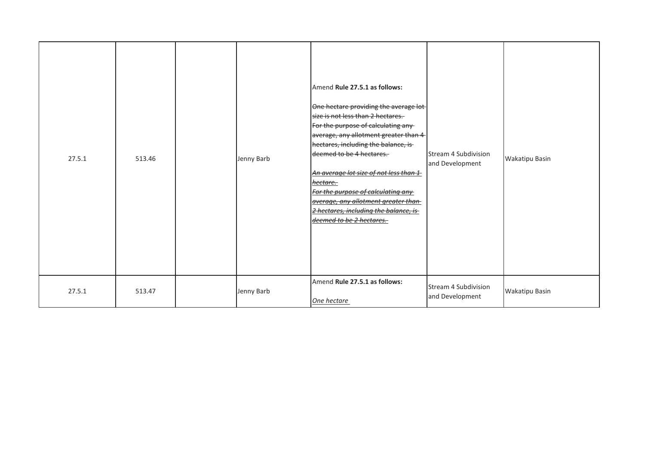| 27.5.1 | 513.46 | Jenny Barb | Amend Rule 27.5.1 as follows:<br>One hectare providing the average lot-<br>size is not less than 2 hectares.<br>For the purpose of calculating any<br>average, any allotment greater than 4<br>hectares, including the balance, is<br>deemed to be 4 hectares.<br>An average lot size of not less than 1<br>hectare.<br>For the purpose of calculating any<br>average, any allotment greater than<br>2 hectares, including the balance, is<br>deemed to be 2 hectares. | <b>Stream 4 Subdivision</b><br>and Development | Wakatipu Basin |
|--------|--------|------------|------------------------------------------------------------------------------------------------------------------------------------------------------------------------------------------------------------------------------------------------------------------------------------------------------------------------------------------------------------------------------------------------------------------------------------------------------------------------|------------------------------------------------|----------------|
| 27.5.1 | 513.47 | Jenny Barb | Amend Rule 27.5.1 as follows:<br>One hectare                                                                                                                                                                                                                                                                                                                                                                                                                           | Stream 4 Subdivision<br>and Development        | Wakatipu Basin |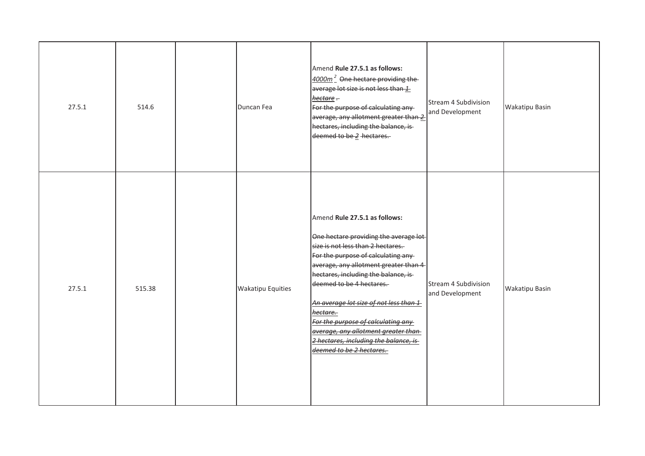| 27.5.1 | 514.6  | Duncan Fea               | Amend Rule 27.5.1 as follows:<br>4000m <sup>2</sup> One hectare providing the<br>average lot size is not less than 1<br>hectare -<br>For the purpose of calculating any-<br>average, any allotment greater than 2<br>hectares, including the balance, is-<br>deemed to be 2 hectares.                                                                                                                                                                                    | Stream 4 Subdivision<br>and Development | <b>Wakatipu Basin</b> |
|--------|--------|--------------------------|--------------------------------------------------------------------------------------------------------------------------------------------------------------------------------------------------------------------------------------------------------------------------------------------------------------------------------------------------------------------------------------------------------------------------------------------------------------------------|-----------------------------------------|-----------------------|
| 27.5.1 | 515.38 | <b>Wakatipu Equities</b> | Amend Rule 27.5.1 as follows:<br>One hectare providing the average lot-<br>size is not less than 2 hectares.<br>For the purpose of calculating any-<br>average, any allotment greater than 4<br>hectares, including the balance, is-<br>deemed to be 4 hectares.<br>An average lot size of not less than 1<br>hectare.<br>For the purpose of calculating any<br>average, any allotment greater than<br>2 hectares, including the balance, is<br>deemed to be 2 hectares. | Stream 4 Subdivision<br>and Development | <b>Wakatipu Basin</b> |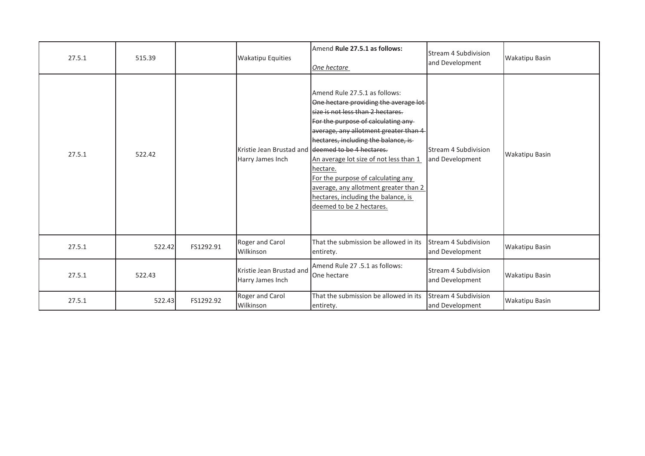| 27.5.1 | 515.39 |           | <b>Wakatipu Equities</b>                     | Amend Rule 27.5.1 as follows:<br>One hectare                                                                                                                                                                                                                                                                                                                                                                                                                                                     | Stream 4 Subdivision<br>and Development        | <b>Wakatipu Basin</b> |
|--------|--------|-----------|----------------------------------------------|--------------------------------------------------------------------------------------------------------------------------------------------------------------------------------------------------------------------------------------------------------------------------------------------------------------------------------------------------------------------------------------------------------------------------------------------------------------------------------------------------|------------------------------------------------|-----------------------|
| 27.5.1 | 522.42 |           | Harry James Inch                             | Amend Rule 27.5.1 as follows:<br>One hectare providing the average lot-<br>size is not less than 2 hectares.<br>For the purpose of calculating any<br>average, any allotment greater than 4<br>hectares, including the balance, is<br>Kristie Jean Brustad and decemed to be 4 hectares.<br>An average lot size of not less than 1<br>hectare.<br>For the purpose of calculating any<br>average, any allotment greater than 2<br>hectares, including the balance, is<br>deemed to be 2 hectares. | Stream 4 Subdivision<br>and Development        | <b>Wakatipu Basin</b> |
| 27.5.1 | 522.42 | FS1292.91 | Roger and Carol<br>Wilkinson                 | That the submission be allowed in its<br>entirety.                                                                                                                                                                                                                                                                                                                                                                                                                                               | Stream 4 Subdivision<br>and Development        | <b>Wakatipu Basin</b> |
| 27.5.1 | 522.43 |           | Kristie Jean Brustad and<br>Harry James Inch | Amend Rule 27 .5.1 as follows:<br>One hectare                                                                                                                                                                                                                                                                                                                                                                                                                                                    | <b>Stream 4 Subdivision</b><br>and Development | <b>Wakatipu Basin</b> |
| 27.5.1 | 522.43 | FS1292.92 | Roger and Carol<br>Wilkinson                 | That the submission be allowed in its<br>entirety.                                                                                                                                                                                                                                                                                                                                                                                                                                               | Stream 4 Subdivision<br>and Development        | <b>Wakatipu Basin</b> |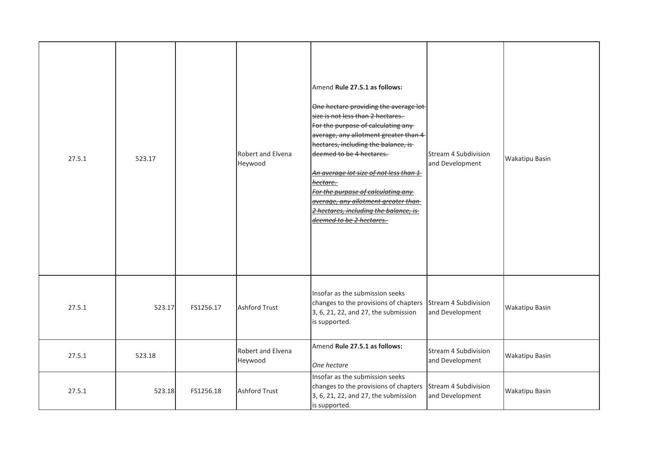| 27.5.1 | 523.17 |           | Robert and Elvena<br>Heywood | Amend Rule 27.5.1 as follows:<br>One hectare providing the average lot<br>size is not less than 2 hectares.<br>For the purpose of calculating any-<br>average, any allotment greater than 4<br>hectares, including the balance, is-<br>deemed to be 4 hectares.<br>An average lot size of not less than 1<br>hectare.<br>For the purpose of calculating any<br>average, any allotment greater than<br>2 hectares, including the balance, is-<br>deemed to be 2 hectares. | Stream 4 Subdivision<br>and Development | Wakatipu Basin |
|--------|--------|-----------|------------------------------|--------------------------------------------------------------------------------------------------------------------------------------------------------------------------------------------------------------------------------------------------------------------------------------------------------------------------------------------------------------------------------------------------------------------------------------------------------------------------|-----------------------------------------|----------------|
| 27.5.1 | 523.17 | FS1256.17 | <b>Ashford Trust</b>         | Insofar as the submission seeks<br>changes to the provisions of chapters<br>3, 6, 21, 22, and 27, the submission<br>is supported.                                                                                                                                                                                                                                                                                                                                        | Stream 4 Subdivision<br>and Development | Wakatipu Basin |
| 27.5.1 | 523.18 |           | Robert and Elvena<br>Heywood | Amend Rule 27.5.1 as follows:<br>One hectare                                                                                                                                                                                                                                                                                                                                                                                                                             | Stream 4 Subdivision<br>and Development | Wakatipu Basin |
| 27.5.1 | 523.18 | FS1256.18 | <b>Ashford Trust</b>         | Insofar as the submission seeks<br>changes to the provisions of chapters<br>3, 6, 21, 22, and 27, the submission<br>is supported.                                                                                                                                                                                                                                                                                                                                        | Stream 4 Subdivision<br>and Development | Wakatipu Basin |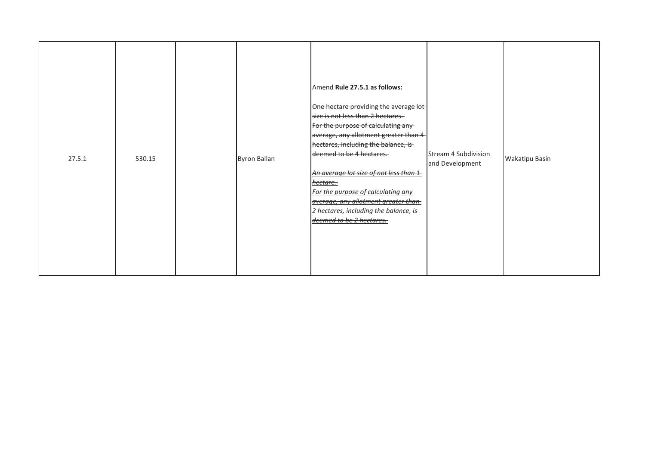| 27.5.1 | 530.15 |  | Byron Ballan | Amend Rule 27.5.1 as follows:<br>One hectare providing the average lot-<br>size is not less than 2 hectares.<br>For the purpose of calculating any<br>average, any allotment greater than 4<br>hectares, including the balance, is<br>deemed to be 4 hectares.<br>An average lot size of not less than 1<br><u>hectare.</u><br>For the purpose of calculating any<br>average, any allotment greater than<br>2 hectares, including the balance, is<br>deemed to be 2 hectares. | Stream 4 Subdivision<br>and Development | <b>Wakatipu Basin</b> |
|--------|--------|--|--------------|-------------------------------------------------------------------------------------------------------------------------------------------------------------------------------------------------------------------------------------------------------------------------------------------------------------------------------------------------------------------------------------------------------------------------------------------------------------------------------|-----------------------------------------|-----------------------|
|--------|--------|--|--------------|-------------------------------------------------------------------------------------------------------------------------------------------------------------------------------------------------------------------------------------------------------------------------------------------------------------------------------------------------------------------------------------------------------------------------------------------------------------------------------|-----------------------------------------|-----------------------|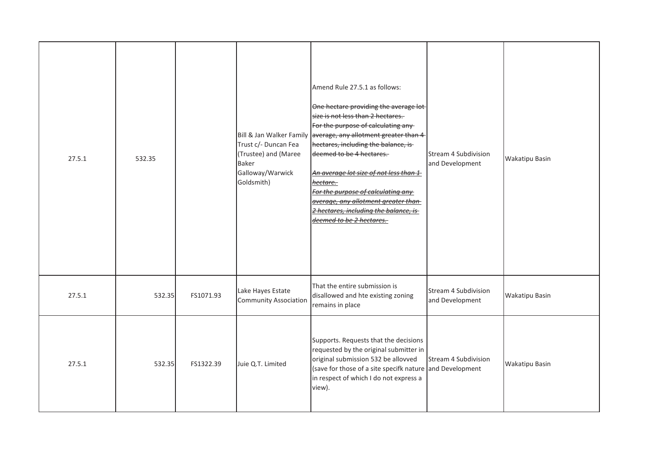| 27.5.1 | 532.35 |           | Bill & Jan Walker Family<br>Trust c/- Duncan Fea<br>(Trustee) and (Maree<br><b>Baker</b><br>Galloway/Warwick<br>Goldsmith) | Amend Rule 27.5.1 as follows:<br>One hectare providing the average lot-<br>size is not less than 2 hectares.<br>For the purpose of calculating any<br>average, any allotment greater than 4<br>hectares, including the balance, is-<br>deemed to be 4 hectares.<br>An average lot size of not less than 1<br>hectare.<br>For the purpose of calculating any<br>average, any allotment greater than<br>2 hectares, including the balance, is<br>deemed to be 2 hectares. | <b>Stream 4 Subdivision</b><br>and Development | <b>Wakatipu Basin</b> |
|--------|--------|-----------|----------------------------------------------------------------------------------------------------------------------------|-------------------------------------------------------------------------------------------------------------------------------------------------------------------------------------------------------------------------------------------------------------------------------------------------------------------------------------------------------------------------------------------------------------------------------------------------------------------------|------------------------------------------------|-----------------------|
| 27.5.1 | 532.35 | FS1071.93 | Lake Hayes Estate<br><b>Community Association</b>                                                                          | That the entire submission is<br>disallowed and hte existing zoning<br>remains in place                                                                                                                                                                                                                                                                                                                                                                                 | Stream 4 Subdivision<br>and Development        | <b>Wakatipu Basin</b> |
| 27.5.1 | 532.35 | FS1322.39 | Juie Q.T. Limited                                                                                                          | Supports. Requests that the decisions<br>requested by the original submitter in<br>original submission 532 be allovved<br>(save for those of a site specifk nature and Development<br>in respect of which I do not express a<br>view).                                                                                                                                                                                                                                  | Stream 4 Subdivision                           | <b>Wakatipu Basin</b> |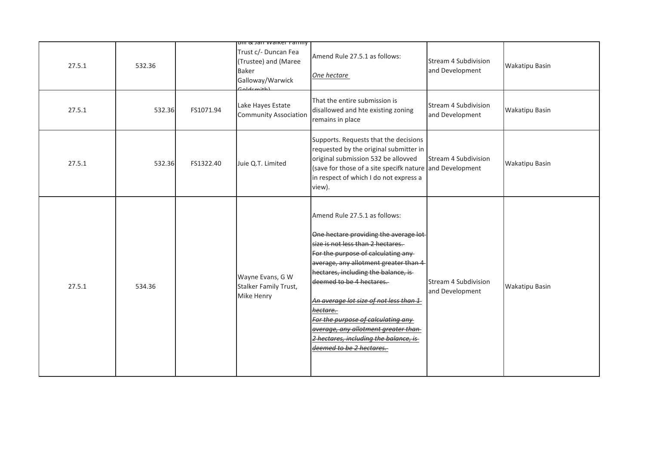| 27.5.1 | 532.36 |           | <b>bili &amp; Jari Walker Farmly</b><br>Trust c/- Duncan Fea<br>(Trustee) and (Maree<br><b>Baker</b><br>Galloway/Warwick<br>aldemith) | Amend Rule 27.5.1 as follows:<br>One hectare                                                                                                                                                                                                                                                                                                                                                                                                                                                 | Stream 4 Subdivision<br>and Development | <b>Wakatipu Basin</b> |
|--------|--------|-----------|---------------------------------------------------------------------------------------------------------------------------------------|----------------------------------------------------------------------------------------------------------------------------------------------------------------------------------------------------------------------------------------------------------------------------------------------------------------------------------------------------------------------------------------------------------------------------------------------------------------------------------------------|-----------------------------------------|-----------------------|
| 27.5.1 | 532.36 | FS1071.94 | Lake Hayes Estate<br><b>Community Association</b>                                                                                     | That the entire submission is<br>disallowed and hte existing zoning<br>remains in place                                                                                                                                                                                                                                                                                                                                                                                                      | Stream 4 Subdivision<br>and Development | <b>Wakatipu Basin</b> |
| 27.5.1 | 532.36 | FS1322.40 | Juie Q.T. Limited                                                                                                                     | Supports. Requests that the decisions<br>requested by the original submitter in<br>original submission 532 be allovved<br>(save for those of a site specifk nature and Development<br>in respect of which I do not express a<br>view).                                                                                                                                                                                                                                                       | Stream 4 Subdivision                    | <b>Wakatipu Basin</b> |
| 27.5.1 | 534.36 |           | Wayne Evans, G W<br>Stalker Family Trust,<br>Mike Henry                                                                               | Amend Rule 27.5.1 as follows:<br>One hectare providing the average lot-<br>size is not less than 2 hectares.<br>For the purpose of calculating any<br>average, any allotment greater than 4<br>hectares, including the balance, is-<br>deemed to be 4 hectares.<br>An average lot size of not less than 1<br><del>hectare.-</del><br>For t <u>he purpose of calculating any </u><br>average, any allotment greater than<br>2 hectares, including the balance, is<br>deemed to be 2 hectares. | Stream 4 Subdivision<br>and Development | <b>Wakatipu Basin</b> |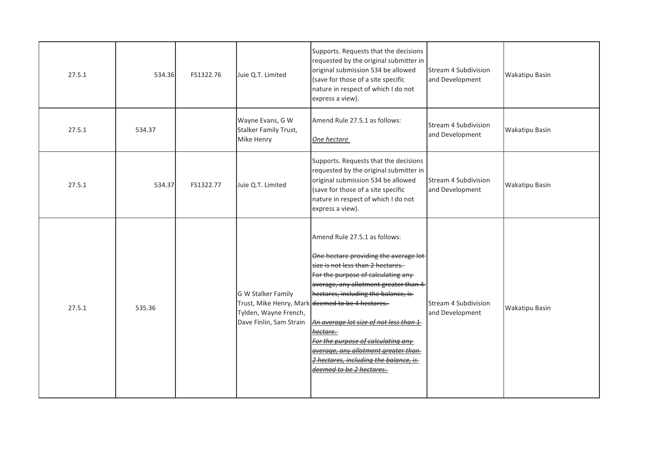| 27.5.1 | 534.36 | FS1322.76 | Juie Q.T. Limited                                                      | Supports. Requests that the decisions<br>requested by the original submitter in<br>original submission 534 be allowed<br>(save for those of a site specific<br>nature in respect of which I do not<br>express a view).                                                                                                                                                                                                                                                                          | Stream 4 Subdivision<br>and Development | <b>Wakatipu Basin</b> |
|--------|--------|-----------|------------------------------------------------------------------------|-------------------------------------------------------------------------------------------------------------------------------------------------------------------------------------------------------------------------------------------------------------------------------------------------------------------------------------------------------------------------------------------------------------------------------------------------------------------------------------------------|-----------------------------------------|-----------------------|
| 27.5.1 | 534.37 |           | Wayne Evans, G W<br>Stalker Family Trust,<br>Mike Henry                | Amend Rule 27.5.1 as follows:<br>One hectare                                                                                                                                                                                                                                                                                                                                                                                                                                                    | Stream 4 Subdivision<br>and Development | <b>Wakatipu Basin</b> |
| 27.5.1 | 534.37 | FS1322.77 | Juie Q.T. Limited                                                      | Supports. Requests that the decisions<br>requested by the original submitter in<br>original submission 534 be allowed<br>(save for those of a site specific<br>nature in respect of which I do not<br>express a view).                                                                                                                                                                                                                                                                          | Stream 4 Subdivision<br>and Development | <b>Wakatipu Basin</b> |
| 27.5.1 | 535.36 |           | G W Stalker Family<br>Tylden, Wayne French,<br>Dave Finlin, Sam Strain | Amend Rule 27.5.1 as follows:<br>One hectare providing the average lot-<br>size is not less than 2 hectares.<br>For the purpose of calculating any<br>average, any allotment greater than 4<br>hectares, including the balance, is-<br>Trust, Mike Henry, Mark deemed to be 4 hectares.<br>An average lot size of not less than 1<br>hectare.<br>For the purpose of calculating any<br>average, any allotment greater than<br>2 hectares, including the balance, is<br>deemed to be 2 hectares. | Stream 4 Subdivision<br>and Development | <b>Wakatipu Basin</b> |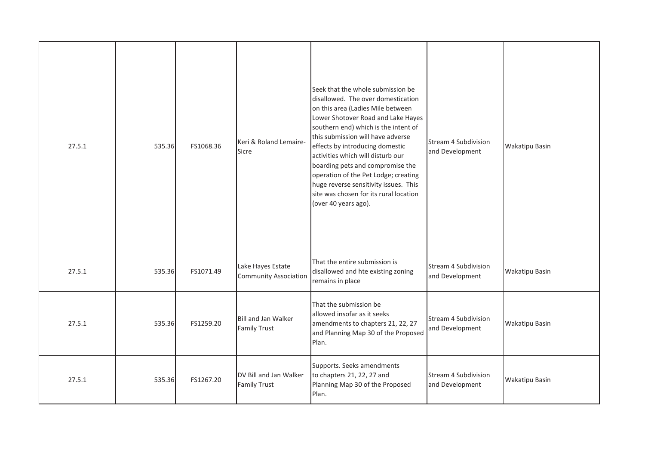| 27.5.1 | 535.36 | FS1068.36 | Keri & Roland Lemaire-<br>Sicre                   | Seek that the whole submission be<br>disallowed. The over domestication<br>on this area (Ladies Mile between<br>Lower Shotover Road and Lake Hayes<br>southern end) which is the intent of<br>this submission will have adverse<br>effects by introducing domestic<br>activities which will disturb our<br>boarding pets and compromise the<br>operation of the Pet Lodge; creating<br>huge reverse sensitivity issues. This<br>site was chosen for its rural location<br>(over 40 years ago). | <b>Stream 4 Subdivision</b><br>and Development | <b>Wakatipu Basin</b> |
|--------|--------|-----------|---------------------------------------------------|------------------------------------------------------------------------------------------------------------------------------------------------------------------------------------------------------------------------------------------------------------------------------------------------------------------------------------------------------------------------------------------------------------------------------------------------------------------------------------------------|------------------------------------------------|-----------------------|
| 27.5.1 | 535.36 | FS1071.49 | Lake Hayes Estate<br><b>Community Association</b> | That the entire submission is<br>disallowed and hte existing zoning<br>remains in place                                                                                                                                                                                                                                                                                                                                                                                                        | Stream 4 Subdivision<br>and Development        | <b>Wakatipu Basin</b> |
| 27.5.1 | 535.36 | FS1259.20 | Bill and Jan Walker<br><b>Family Trust</b>        | That the submission be<br>allowed insofar as it seeks<br>amendments to chapters 21, 22, 27<br>and Planning Map 30 of the Proposed<br>Plan.                                                                                                                                                                                                                                                                                                                                                     | Stream 4 Subdivision<br>and Development        | <b>Wakatipu Basin</b> |
| 27.5.1 | 535.36 | FS1267.20 | DV Bill and Jan Walker<br><b>Family Trust</b>     | Supports. Seeks amendments<br>to chapters 21, 22, 27 and<br>Planning Map 30 of the Proposed<br>Plan.                                                                                                                                                                                                                                                                                                                                                                                           | Stream 4 Subdivision<br>and Development        | <b>Wakatipu Basin</b> |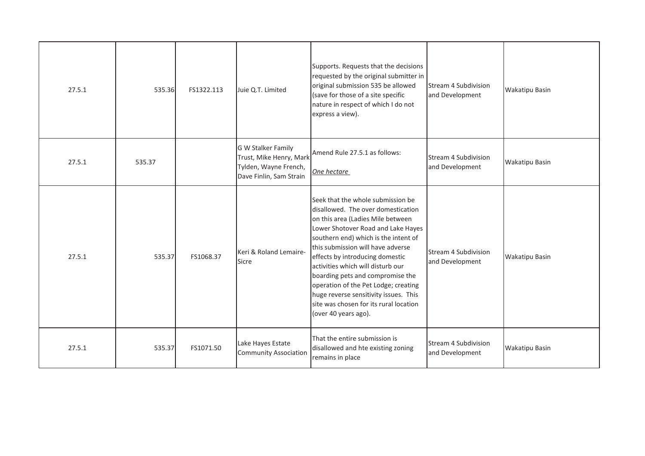| 27.5.1 | 535.36 | FS1322.113 | Juie Q.T. Limited                                                                                 | Supports. Requests that the decisions<br>requested by the original submitter in<br>original submission 535 be allowed<br>(save for those of a site specific<br>nature in respect of which I do not<br>express a view).                                                                                                                                                                                                                                                                         | Stream 4 Subdivision<br>and Development        | Wakatipu Basin |
|--------|--------|------------|---------------------------------------------------------------------------------------------------|------------------------------------------------------------------------------------------------------------------------------------------------------------------------------------------------------------------------------------------------------------------------------------------------------------------------------------------------------------------------------------------------------------------------------------------------------------------------------------------------|------------------------------------------------|----------------|
| 27.5.1 | 535.37 |            | G W Stalker Family<br>Trust, Mike Henry, Mark<br>Tylden, Wayne French,<br>Dave Finlin, Sam Strain | Amend Rule 27.5.1 as follows:<br>One hectare                                                                                                                                                                                                                                                                                                                                                                                                                                                   | Stream 4 Subdivision<br>and Development        | Wakatipu Basin |
| 27.5.1 | 535.37 | FS1068.37  | Keri & Roland Lemaire-<br>Sicre                                                                   | Seek that the whole submission be<br>disallowed. The over domestication<br>on this area (Ladies Mile between<br>Lower Shotover Road and Lake Hayes<br>southern end) which is the intent of<br>this submission will have adverse<br>effects by introducing domestic<br>activities which will disturb our<br>boarding pets and compromise the<br>operation of the Pet Lodge; creating<br>huge reverse sensitivity issues. This<br>site was chosen for its rural location<br>(over 40 years ago). | <b>Stream 4 Subdivision</b><br>and Development | Wakatipu Basin |
| 27.5.1 | 535.37 | FS1071.50  | Lake Hayes Estate<br><b>Community Association</b>                                                 | That the entire submission is<br>disallowed and hte existing zoning<br>remains in place                                                                                                                                                                                                                                                                                                                                                                                                        | Stream 4 Subdivision<br>and Development        | Wakatipu Basin |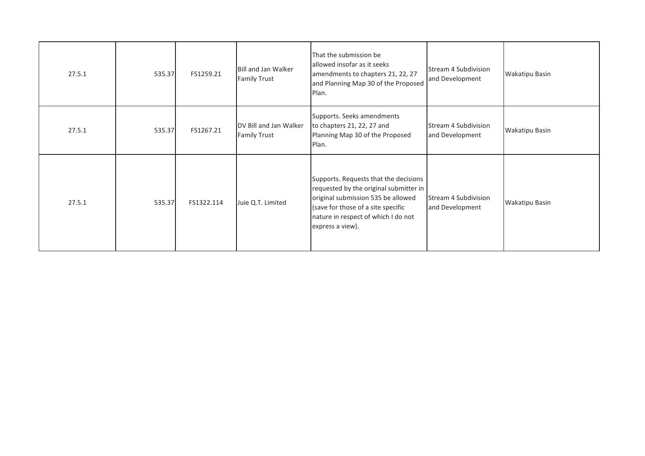| 27.5.1 | 535.37 | FS1259.21  | Bill and Jan Walker<br><b>Family Trust</b>    | That the submission be<br>allowed insofar as it seeks<br>amendments to chapters 21, 22, 27<br>and Planning Map 30 of the Proposed<br>Plan.                                                                             | Stream 4 Subdivision<br>and Development | <b>Wakatipu Basin</b> |
|--------|--------|------------|-----------------------------------------------|------------------------------------------------------------------------------------------------------------------------------------------------------------------------------------------------------------------------|-----------------------------------------|-----------------------|
| 27.5.1 | 535.37 | FS1267.21  | DV Bill and Jan Walker<br><b>Family Trust</b> | Supports. Seeks amendments<br>to chapters 21, 22, 27 and<br>Planning Map 30 of the Proposed<br>Plan.                                                                                                                   | Stream 4 Subdivision<br>and Development | <b>Wakatipu Basin</b> |
| 27.5.1 | 535.37 | FS1322.114 | Juie Q.T. Limited                             | Supports. Requests that the decisions<br>requested by the original submitter in<br>original submission 535 be allowed<br>(save for those of a site specific<br>nature in respect of which I do not<br>express a view). | Stream 4 Subdivision<br>and Development | <b>Wakatipu Basin</b> |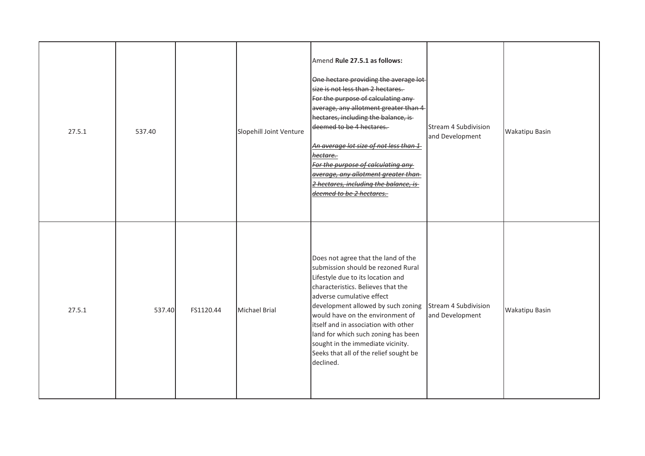| 27.5.1 | 537.40 |           | Slopehill Joint Venture | Amend Rule 27.5.1 as follows:<br>One hectare providing the average lot-<br>size is not less than 2 hectares.<br>For the purpose of calculating any<br>average, any allotment greater than 4<br>hectares, including the balance, is-<br>deemed to be 4 hectares.<br>An average lot size of not less than 1<br><del>hectare.-</del><br>For the purpose of calculating any<br>average, any allotment greater than<br>2 hectares, including the balance, is<br>deemed to be 2 hectares. | Stream 4 Subdivision<br>and Development | <b>Wakatipu Basin</b> |
|--------|--------|-----------|-------------------------|-------------------------------------------------------------------------------------------------------------------------------------------------------------------------------------------------------------------------------------------------------------------------------------------------------------------------------------------------------------------------------------------------------------------------------------------------------------------------------------|-----------------------------------------|-----------------------|
| 27.5.1 | 537.40 | FS1120.44 | <b>Michael Brial</b>    | Does not agree that the land of the<br>submission should be rezoned Rural<br>Lifestyle due to its location and<br>characteristics. Believes that the<br>adverse cumulative effect<br>development allowed by such zoning<br>would have on the environment of<br>itself and in association with other<br>land for which such zoning has been<br>sought in the immediate vicinity.<br>Seeks that all of the relief sought be<br>declined.                                              | Stream 4 Subdivision<br>and Development | <b>Wakatipu Basin</b> |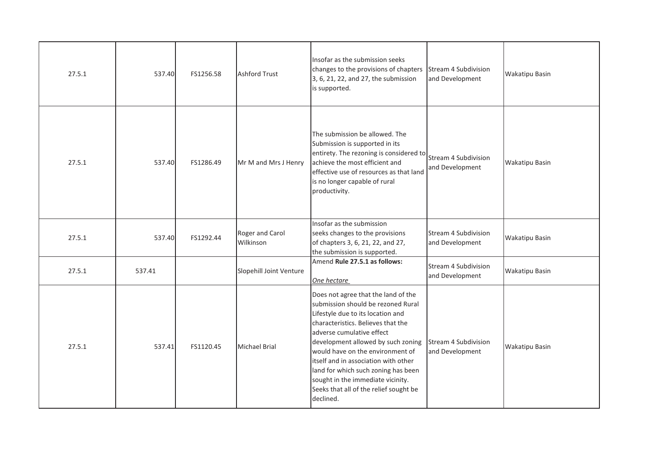| 27.5.1 | 537.40 | FS1256.58                                                                                                                                                                                                                                                                                                              | Ashford Trust                | Insofar as the submission seeks<br>changes to the provisions of chapters<br>3, 6, 21, 22, and 27, the submission<br>is supported.                                                                                                                                                                                                                                                                                                      | Stream 4 Subdivision<br>and Development        | <b>Wakatipu Basin</b> |
|--------|--------|------------------------------------------------------------------------------------------------------------------------------------------------------------------------------------------------------------------------------------------------------------------------------------------------------------------------|------------------------------|----------------------------------------------------------------------------------------------------------------------------------------------------------------------------------------------------------------------------------------------------------------------------------------------------------------------------------------------------------------------------------------------------------------------------------------|------------------------------------------------|-----------------------|
| 27.5.1 |        | The submission be allowed. The<br>Submission is supported in its<br>entirety. The rezoning is considered to<br>achieve the most efficient and<br>537.40<br>FS1286.49<br>Mr M and Mrs J Henry<br>effective use of resources as that land<br>is no longer capable of rural<br>productivity.<br>Insofar as the submission |                              | Stream 4 Subdivision<br>and Development                                                                                                                                                                                                                                                                                                                                                                                                | <b>Wakatipu Basin</b>                          |                       |
| 27.5.1 | 537.40 | FS1292.44                                                                                                                                                                                                                                                                                                              | Roger and Carol<br>Wilkinson | seeks changes to the provisions<br>of chapters 3, 6, 21, 22, and 27,<br>the submission is supported.                                                                                                                                                                                                                                                                                                                                   | <b>Stream 4 Subdivision</b><br>and Development | <b>Wakatipu Basin</b> |
| 27.5.1 | 537.41 |                                                                                                                                                                                                                                                                                                                        | Slopehill Joint Venture      | Amend Rule 27.5.1 as follows:<br>One hectare                                                                                                                                                                                                                                                                                                                                                                                           | Stream 4 Subdivision<br>and Development        | <b>Wakatipu Basin</b> |
| 27.5.1 | 537.41 | FS1120.45                                                                                                                                                                                                                                                                                                              | Michael Brial                | Does not agree that the land of the<br>submission should be rezoned Rural<br>Lifestyle due to its location and<br>characteristics. Believes that the<br>adverse cumulative effect<br>development allowed by such zoning<br>would have on the environment of<br>itself and in association with other<br>land for which such zoning has been<br>sought in the immediate vicinity.<br>Seeks that all of the relief sought be<br>declined. | Stream 4 Subdivision<br>and Development        | <b>Wakatipu Basin</b> |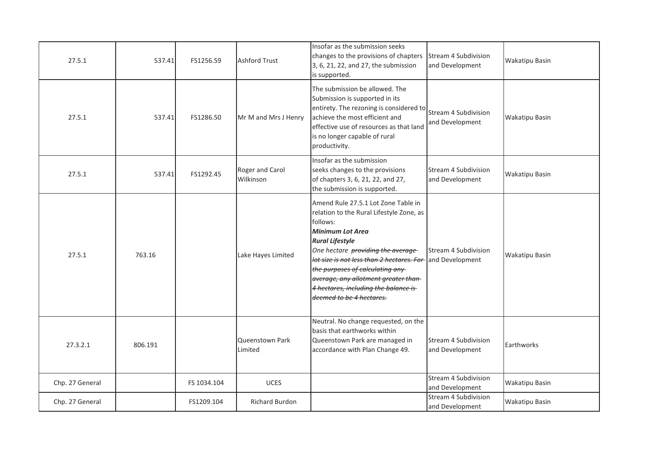| 27.5.1          | 537.41  | FS1256.59   | <b>Ashford Trust</b>              | Insofar as the submission seeks<br>changes to the provisions of chapters<br>3, 6, 21, 22, and 27, the submission<br>is supported.                                                                                                                                                                                                                                                                   | Stream 4 Subdivision<br>and Development | Wakatipu Basin |
|-----------------|---------|-------------|-----------------------------------|-----------------------------------------------------------------------------------------------------------------------------------------------------------------------------------------------------------------------------------------------------------------------------------------------------------------------------------------------------------------------------------------------------|-----------------------------------------|----------------|
| 27.5.1          | 537.41  | FS1286.50   | Mr M and Mrs J Henry              | The submission be allowed. The<br>Submission is supported in its<br>entirety. The rezoning is considered to<br>achieve the most efficient and<br>effective use of resources as that land<br>is no longer capable of rural<br>productivity.                                                                                                                                                          | Stream 4 Subdivision<br>and Development | Wakatipu Basin |
| 27.5.1          | 537.41  | FS1292.45   | Roger and Carol<br>Wilkinson      | Insofar as the submission<br>seeks changes to the provisions<br>of chapters 3, 6, 21, 22, and 27,<br>the submission is supported.                                                                                                                                                                                                                                                                   | Stream 4 Subdivision<br>and Development | Wakatipu Basin |
| 27.5.1          | 763.16  |             | Lake Hayes Limited                | Amend Rule 27.5.1 Lot Zone Table in<br>relation to the Rural Lifestyle Zone, as<br>follows:<br><b>Minimum Lot Area</b><br><b>Rural Lifestyle</b><br>One hectare providing the average-<br>lot size is not less than 2 hectares. For and Development<br>the purposes of calculating any-<br>average, any allotment greater than-<br>4 hectares, including the balance is<br>deemed to be 4 hectares. | Stream 4 Subdivision                    | Wakatipu Basin |
| 27.3.2.1        | 806.191 |             | <b>Queenstown Park</b><br>Limited | Neutral. No change requested, on the<br>basis that earthworks within<br>Queenstown Park are managed in<br>accordance with Plan Change 49.                                                                                                                                                                                                                                                           | Stream 4 Subdivision<br>and Development | Earthworks     |
| Chp. 27 General |         | FS 1034.104 | UCES                              |                                                                                                                                                                                                                                                                                                                                                                                                     | Stream 4 Subdivision<br>and Development | Wakatipu Basin |
| Chp. 27 General |         | FS1209.104  | Richard Burdon                    |                                                                                                                                                                                                                                                                                                                                                                                                     | Stream 4 Subdivision<br>and Development | Wakatipu Basin |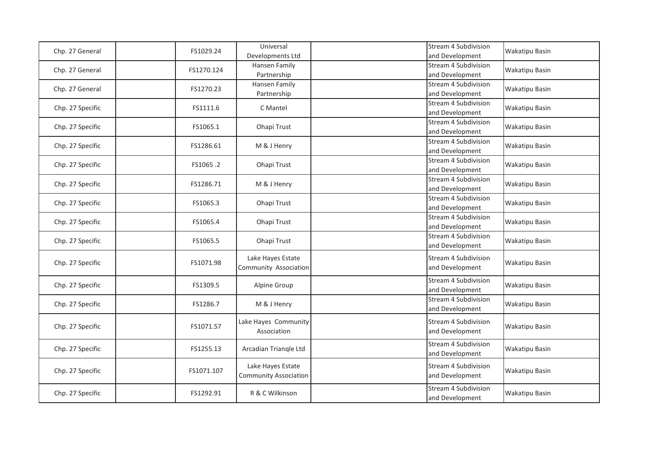| Chp. 27 General  | FS1029.24  | Universal<br>Developments Ltd                     | Stream 4 Subdivision<br>and Development        | <b>Wakatipu Basin</b> |
|------------------|------------|---------------------------------------------------|------------------------------------------------|-----------------------|
| Chp. 27 General  | FS1270.124 | Hansen Family<br>Partnership                      | Stream 4 Subdivision<br>and Development        | <b>Wakatipu Basin</b> |
| Chp. 27 General  | FS1270.23  | Hansen Family<br>Partnership                      | Stream 4 Subdivision<br>and Development        | <b>Wakatipu Basin</b> |
| Chp. 27 Specific | FS1111.6   | C Mantel                                          | Stream 4 Subdivision<br>and Development        | <b>Wakatipu Basin</b> |
| Chp. 27 Specific | FS1065.1   | Ohapi Trust                                       | Stream 4 Subdivision<br>and Development        | <b>Wakatipu Basin</b> |
| Chp. 27 Specific | FS1286.61  | M & J Henry                                       | Stream 4 Subdivision<br>and Development        | <b>Wakatipu Basin</b> |
| Chp. 27 Specific | FS1065.2   | Ohapi Trust                                       | Stream 4 Subdivision<br>and Development        | <b>Wakatipu Basin</b> |
| Chp. 27 Specific | FS1286.71  | M & J Henry                                       | <b>Stream 4 Subdivision</b><br>and Development | <b>Wakatipu Basin</b> |
| Chp. 27 Specific | FS1065.3   | Ohapi Trust                                       | Stream 4 Subdivision<br>and Development        | <b>Wakatipu Basin</b> |
| Chp. 27 Specific | FS1065.4   | Ohapi Trust                                       | Stream 4 Subdivision<br>and Development        | Wakatipu Basin        |
| Chp. 27 Specific | FS1065.5   | Ohapi Trust                                       | <b>Stream 4 Subdivision</b><br>and Development | <b>Wakatipu Basin</b> |
| Chp. 27 Specific | FS1071.98  | Lake Hayes Estate<br>Community Association        | <b>Stream 4 Subdivision</b><br>and Development | <b>Wakatipu Basin</b> |
| Chp. 27 Specific | FS1309.5   | Alpine Group                                      | Stream 4 Subdivision<br>and Development        | <b>Wakatipu Basin</b> |
| Chp. 27 Specific | FS1286.7   | M & J Henry                                       | Stream 4 Subdivision<br>and Development        | <b>Wakatipu Basin</b> |
| Chp. 27 Specific | FS1071.57  | Lake Hayes Community<br>Association               | Stream 4 Subdivision<br>and Development        | <b>Wakatipu Basin</b> |
| Chp. 27 Specific | FS1255.13  | Arcadian Triangle Ltd                             | Stream 4 Subdivision<br>and Development        | <b>Wakatipu Basin</b> |
| Chp. 27 Specific | FS1071.107 | Lake Hayes Estate<br><b>Community Association</b> | Stream 4 Subdivision<br>and Development        | <b>Wakatipu Basin</b> |
| Chp. 27 Specific | FS1292.91  | R & C Wilkinson                                   | Stream 4 Subdivision<br>and Development        | <b>Wakatipu Basin</b> |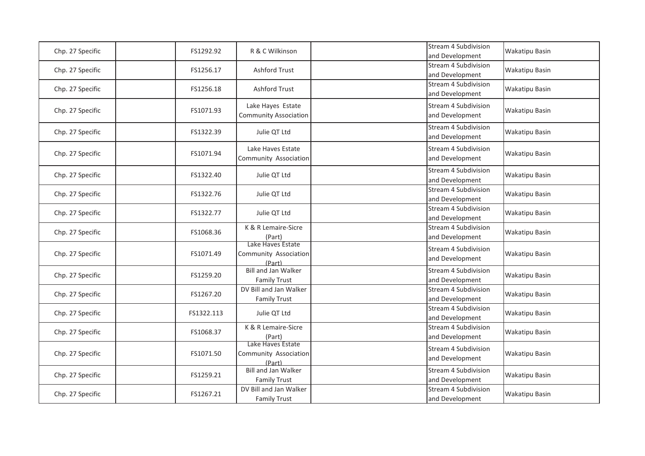| Chp. 27 Specific | FS1292.92  | R & C Wilkinson                                      | <b>Stream 4 Subdivision</b><br>and Development | <b>Wakatipu Basin</b> |
|------------------|------------|------------------------------------------------------|------------------------------------------------|-----------------------|
| Chp. 27 Specific | FS1256.17  | <b>Ashford Trust</b>                                 | <b>Stream 4 Subdivision</b><br>and Development | <b>Wakatipu Basin</b> |
| Chp. 27 Specific | FS1256.18  | <b>Ashford Trust</b>                                 | Stream 4 Subdivision<br>and Development        | <b>Wakatipu Basin</b> |
| Chp. 27 Specific | FS1071.93  | Lake Hayes Estate<br><b>Community Association</b>    | Stream 4 Subdivision<br>and Development        | <b>Wakatipu Basin</b> |
| Chp. 27 Specific | FS1322.39  | Julie QT Ltd                                         | Stream 4 Subdivision<br>and Development        | <b>Wakatipu Basin</b> |
| Chp. 27 Specific | FS1071.94  | Lake Haves Estate<br>Community Association           | Stream 4 Subdivision<br>and Development        | <b>Wakatipu Basin</b> |
| Chp. 27 Specific | FS1322.40  | Julie QT Ltd                                         | Stream 4 Subdivision<br>and Development        | <b>Wakatipu Basin</b> |
| Chp. 27 Specific | FS1322.76  | Julie QT Ltd                                         | Stream 4 Subdivision<br>and Development        | <b>Wakatipu Basin</b> |
| Chp. 27 Specific | FS1322.77  | Julie QT Ltd                                         | Stream 4 Subdivision<br>and Development        | <b>Wakatipu Basin</b> |
| Chp. 27 Specific | FS1068.36  | K & R Lemaire-Sicre<br>(Part)                        | Stream 4 Subdivision<br>and Development        | Wakatipu Basin        |
| Chp. 27 Specific | FS1071.49  | Lake Haves Estate<br>Community Association<br>(Part) | Stream 4 Subdivision<br>and Development        | <b>Wakatipu Basin</b> |
| Chp. 27 Specific | FS1259.20  | <b>Bill and Jan Walker</b><br><b>Family Trust</b>    | Stream 4 Subdivision<br>and Development        | <b>Wakatipu Basin</b> |
| Chp. 27 Specific | FS1267.20  | DV Bill and Jan Walker<br><b>Family Trust</b>        | Stream 4 Subdivision<br>and Development        | <b>Wakatipu Basin</b> |
| Chp. 27 Specific | FS1322.113 | Julie QT Ltd                                         | Stream 4 Subdivision<br>and Development        | <b>Wakatipu Basin</b> |
| Chp. 27 Specific | FS1068.37  | K & R Lemaire-Sicre<br>(Part)                        | Stream 4 Subdivision<br>and Development        | <b>Wakatipu Basin</b> |
| Chp. 27 Specific | FS1071.50  | Lake Haves Estate<br>Community Association<br>(Part) | <b>Stream 4 Subdivision</b><br>and Development | <b>Wakatipu Basin</b> |
| Chp. 27 Specific | FS1259.21  | <b>Bill and Jan Walker</b><br><b>Family Trust</b>    | Stream 4 Subdivision<br>and Development        | <b>Wakatipu Basin</b> |
| Chp. 27 Specific | FS1267.21  | DV Bill and Jan Walker<br><b>Family Trust</b>        | Stream 4 Subdivision<br>and Development        | <b>Wakatipu Basin</b> |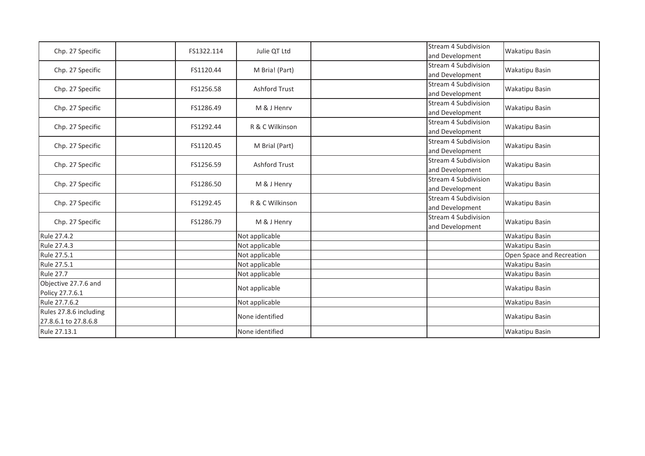| Chp. 27 Specific                               | FS1322.114 | Julie QT Ltd         | Stream 4 Subdivision<br>and Development        | <b>Wakatipu Basin</b>     |
|------------------------------------------------|------------|----------------------|------------------------------------------------|---------------------------|
| Chp. 27 Specific                               | FS1120.44  | M Bria! (Part)       | Stream 4 Subdivision<br>and Development        | <b>Wakatipu Basin</b>     |
| Chp. 27 Specific                               | FS1256.58  | <b>Ashford Trust</b> | <b>Stream 4 Subdivision</b><br>and Development | <b>Wakatipu Basin</b>     |
| Chp. 27 Specific                               | FS1286.49  | M & J Henry          | Stream 4 Subdivision<br>and Development        | <b>Wakatipu Basin</b>     |
| Chp. 27 Specific                               | FS1292.44  | R & C Wilkinson      | <b>Stream 4 Subdivision</b><br>and Development | <b>Wakatipu Basin</b>     |
| Chp. 27 Specific                               | FS1120.45  | M Brial (Part)       | Stream 4 Subdivision<br>and Development        | <b>Wakatipu Basin</b>     |
| Chp. 27 Specific                               | FS1256.59  | <b>Ashford Trust</b> | <b>Stream 4 Subdivision</b><br>and Development | <b>Wakatipu Basin</b>     |
| Chp. 27 Specific                               | FS1286.50  | M & J Henry          | Stream 4 Subdivision<br>and Development        | Wakatipu Basin            |
| Chp. 27 Specific                               | FS1292.45  | R & C Wilkinson      | Stream 4 Subdivision<br>and Development        | <b>Wakatipu Basin</b>     |
| Chp. 27 Specific                               | FS1286.79  | M & J Henry          | Stream 4 Subdivision<br>and Development        | <b>Wakatipu Basin</b>     |
| Rule 27.4.2                                    |            | Not applicable       |                                                | <b>Wakatipu Basin</b>     |
| Rule 27.4.3                                    |            | Not applicable       |                                                | <b>Wakatipu Basin</b>     |
| Rule 27.5.1                                    |            | Not applicable       |                                                | Open Space and Recreation |
| Rule 27.5.1                                    |            | Not applicable       |                                                | Wakatipu Basin            |
| <b>Rule 27.7</b>                               |            | Not applicable       |                                                | <b>Wakatipu Basin</b>     |
| Objective 27.7.6 and<br>Policy 27.7.6.1        |            | Not applicable       |                                                | <b>Wakatipu Basin</b>     |
| Rule 27.7.6.2                                  |            | Not applicable       |                                                | Wakatipu Basin            |
| Rules 27.8.6 including<br>27.8.6.1 to 27.8.6.8 |            | None identified      |                                                | <b>Wakatipu Basin</b>     |
| Rule 27.13.1                                   |            | None identified      |                                                | <b>Wakatipu Basin</b>     |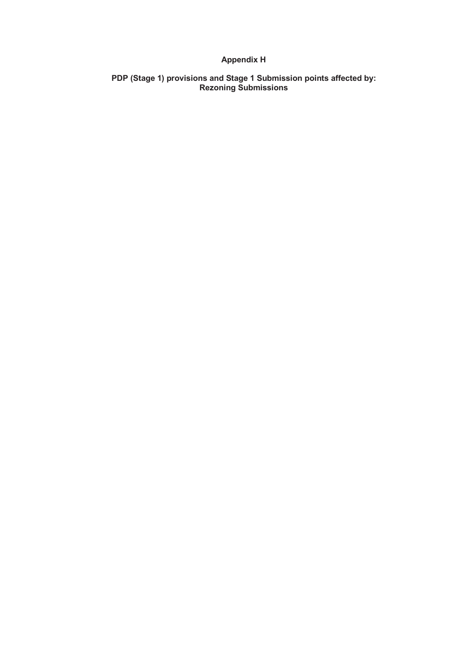## **Appendix H**

**PDP (Stage 1) provisions and Stage 1 Submission points affected by: Rezoning Submissions**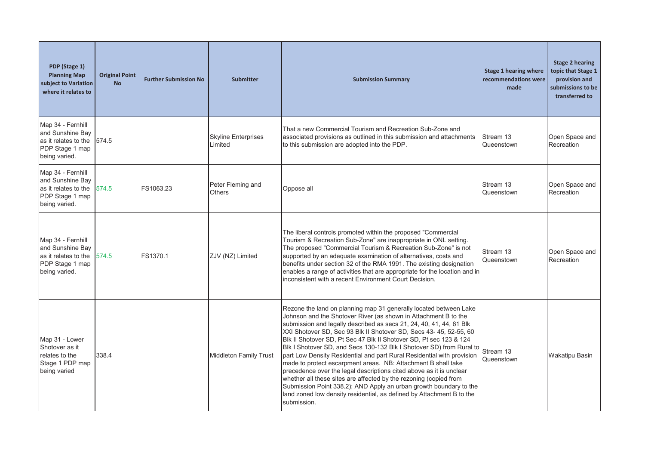| PDP (Stage 1)<br><b>Planning Map</b><br>subject to Variation<br>where it relates to                | <b>Original Point</b><br><b>No</b> | <b>Further Submission No</b> | <b>Submitter</b>                      | <b>Submission Summary</b>                                                                                                                                                                                                                                                                                                                                                                                                                                                                                                                                                                                                                                                                                                                                                                                                                                                            | Stage 1 hearing where<br>recommendations were<br>made | <b>Stage 2 hearing</b><br>topic that Stage 1<br>provision and<br>submissions to be<br>transferred to |
|----------------------------------------------------------------------------------------------------|------------------------------------|------------------------------|---------------------------------------|--------------------------------------------------------------------------------------------------------------------------------------------------------------------------------------------------------------------------------------------------------------------------------------------------------------------------------------------------------------------------------------------------------------------------------------------------------------------------------------------------------------------------------------------------------------------------------------------------------------------------------------------------------------------------------------------------------------------------------------------------------------------------------------------------------------------------------------------------------------------------------------|-------------------------------------------------------|------------------------------------------------------------------------------------------------------|
| Map 34 - Fernhill<br>and Sunshine Bay<br>as it relates to the<br>PDP Stage 1 map<br>being varied.  | 574.5                              |                              | <b>Skyline Enterprises</b><br>Limited | That a new Commercial Tourism and Recreation Sub-Zone and<br>associated provisions as outlined in this submission and attachments<br>to this submission are adopted into the PDP.                                                                                                                                                                                                                                                                                                                                                                                                                                                                                                                                                                                                                                                                                                    | Stream 13<br>Queenstown                               | Open Space and<br>Recreation                                                                         |
| Map 34 - Fernhill<br>and Sunshine Bay<br>as it relates to the<br>PDP Stage 1 map<br>being varied.  | 574.5                              | FS1063.23                    | Peter Fleming and<br>Others           | Oppose all                                                                                                                                                                                                                                                                                                                                                                                                                                                                                                                                                                                                                                                                                                                                                                                                                                                                           | Stream 13<br>Queenstown                               | Open Space and<br>Recreation                                                                         |
| Map 34 - Fernhill<br>and Sunshine Bay<br>las it relates to the<br>PDP Stage 1 map<br>being varied. | 574.5                              | FS1370.1                     | ZJV (NZ) Limited                      | The liberal controls promoted within the proposed "Commercial<br>Tourism & Recreation Sub-Zone" are inappropriate in ONL setting.<br>The proposed "Commercial Tourism & Recreation Sub-Zone" is not<br>supported by an adequate examination of alternatives, costs and<br>benefits under section 32 of the RMA 1991. The existing designation<br>enables a range of activities that are appropriate for the location and in<br>inconsistent with a recent Environment Court Decision.                                                                                                                                                                                                                                                                                                                                                                                                | Stream 13<br>Queenstown                               | Open Space and<br>Recreation                                                                         |
| Map 31 - Lower<br>Shotover as it<br>relates to the<br>Stage 1 PDP map<br>being varied              | 338.4                              |                              | <b>Middleton Family Trust</b>         | Rezone the land on planning map 31 generally located between Lake<br>Johnson and the Shotover River (as shown in Attachment B to the<br>submission and legally described as secs 21, 24, 40, 41, 44, 61 Blk<br>XXI Shotover SD, Sec 93 Blk II Shotover SD, Secs 43- 45, 52-55, 60<br>Blk II Shotover SD, Pt Sec 47 Blk II Shotover SD, Pt sec 123 & 124<br>Blk I Shotover SD, and Secs 130-132 Blk I Shotover SD) from Rural to<br>part Low Density Residential and part Rural Residential with provision<br>made to protect escarpment areas. NB: Attachment B shall take<br>precedence over the legal descriptions cited above as it is unclear<br>whether all these sites are affected by the rezoning (copied from<br>Submission Point 338.2); AND Apply an urban growth boundary to the<br>land zoned low density residential, as defined by Attachment B to the<br>submission. | Stream 13<br>Queenstown                               | <b>Wakatipu Basin</b>                                                                                |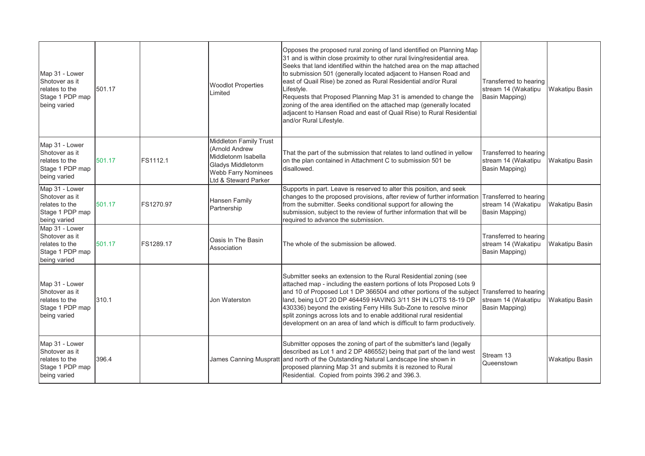| Map 31 - Lower<br>Shotover as it<br>relates to the<br>Stage 1 PDP map<br>being varied | 501.17 |           | <b>Woodlot Properties</b><br>Limited                                                                                                       | Opposes the proposed rural zoning of land identified on Planning Map<br>31 and is within close proximity to other rural living/residential area.<br>Seeks that land identified within the hatched area on the map attached<br>to submission 501 (generally located adjacent to Hansen Road and<br>east of Quail Rise) be zoned as Rural Residential and/or Rural<br>Lifestyle.<br>Requests that Proposed Planning Map 31 is amended to change the<br>zoning of the area identified on the attached map (generally located<br>adjacent to Hansen Road and east of Quail Rise) to Rural Residential<br>and/or Rural Lifestyle. | Transferred to hearing<br>stream 14 (Wakatipu<br>Basin Mapping) | Wakatipu Basin        |
|---------------------------------------------------------------------------------------|--------|-----------|--------------------------------------------------------------------------------------------------------------------------------------------|------------------------------------------------------------------------------------------------------------------------------------------------------------------------------------------------------------------------------------------------------------------------------------------------------------------------------------------------------------------------------------------------------------------------------------------------------------------------------------------------------------------------------------------------------------------------------------------------------------------------------|-----------------------------------------------------------------|-----------------------|
| Map 31 - Lower<br>Shotover as it<br>relates to the<br>Stage 1 PDP map<br>being varied | 501.17 | FS1112.1  | <b>Middleton Family Trust</b><br>(Arnold Andrew<br>Middletonm Isabella<br>Gladys Middletonm<br>Webb Farry Nominees<br>Ltd & Steward Parker | That the part of the submission that relates to land outlined in yellow<br>on the plan contained in Attachment C to submission 501 be<br>disallowed.                                                                                                                                                                                                                                                                                                                                                                                                                                                                         | Transferred to hearing<br>stream 14 (Wakatipu<br>Basin Mapping) | Wakatipu Basin        |
| Map 31 - Lower<br>Shotover as it<br>relates to the<br>Stage 1 PDP map<br>being varied | 501.17 | FS1270.97 | Hansen Family<br>Partnership                                                                                                               | Supports in part. Leave is reserved to alter this position, and seek<br>changes to the proposed provisions, after review of further information Transferred to hearing<br>from the submitter. Seeks conditional support for allowing the<br>submission, subject to the review of further information that will be<br>required to advance the submission.                                                                                                                                                                                                                                                                     | stream 14 (Wakatipu<br>Basin Mapping)                           | <b>Wakatipu Basin</b> |
| Map 31 - Lower<br>Shotover as it<br>relates to the<br>Stage 1 PDP map<br>being varied | 501.17 | FS1289.17 | Oasis In The Basin<br>Association                                                                                                          | The whole of the submission be allowed.                                                                                                                                                                                                                                                                                                                                                                                                                                                                                                                                                                                      | Transferred to hearing<br>stream 14 (Wakatipu<br>Basin Mapping) | <b>Wakatipu Basin</b> |
| Map 31 - Lower<br>Shotover as it<br>relates to the<br>Stage 1 PDP map<br>being varied | 310.1  |           | Jon Waterston                                                                                                                              | Submitter seeks an extension to the Rural Residential zoning (see<br>attached map - including the eastern portions of lots Proposed Lots 9<br>and 10 of Proposed Lot 1 DP 366504 and other portions of the subject Transferred to hearing<br>land, being LOT 20 DP 464459 HAVING 3/11 SH IN LOTS 18-19 DP<br>430336) beyond the existing Ferry Hills Sub-Zone to resolve minor<br>split zonings across lots and to enable additional rural residential<br>development on an area of land which is difficult to farm productively.                                                                                            | stream 14 (Wakatipu<br>Basin Mapping)                           | <b>Wakatipu Basin</b> |
| Map 31 - Lower<br>Shotover as it<br>relates to the<br>Stage 1 PDP map<br>being varied | 396.4  |           |                                                                                                                                            | Submitter opposes the zoning of part of the submitter's land (legally<br>described as Lot 1 and 2 DP 486552) being that part of the land west<br>James Canning Muspratt and north of the Outstanding Natural Landscape line shown in<br>proposed planning Map 31 and submits it is rezoned to Rural<br>Residential. Copied from points 396.2 and 396.3.                                                                                                                                                                                                                                                                      | Stream 13<br>Queenstown                                         | Wakatipu Basin        |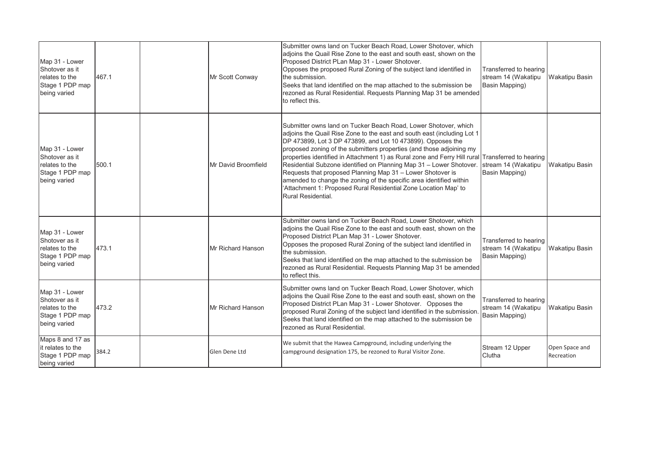| Map 31 - Lower<br>Shotover as it<br>relates to the<br>Stage 1 PDP map<br>being varied | 467.1 | Mr Scott Conway     | Submitter owns land on Tucker Beach Road, Lower Shotover, which<br>adjoins the Quail Rise Zone to the east and south east, shown on the<br>Proposed District PLan Map 31 - Lower Shotover.<br>Opposes the proposed Rural Zoning of the subject land identified in<br>the submission.<br>Seeks that land identified on the map attached to the submission be<br>rezoned as Rural Residential. Requests Planning Map 31 be amended<br>to reflect this.                                                                                                                                                                                                                                                           | Transferred to hearing<br>stream 14 (Wakatipu<br>Basin Mapping) | <b>Wakatipu Basin</b>        |
|---------------------------------------------------------------------------------------|-------|---------------------|----------------------------------------------------------------------------------------------------------------------------------------------------------------------------------------------------------------------------------------------------------------------------------------------------------------------------------------------------------------------------------------------------------------------------------------------------------------------------------------------------------------------------------------------------------------------------------------------------------------------------------------------------------------------------------------------------------------|-----------------------------------------------------------------|------------------------------|
| Map 31 - Lower<br>Shotover as it<br>relates to the<br>Stage 1 PDP map<br>being varied | 500.1 | Mr David Broomfield | Submitter owns land on Tucker Beach Road, Lower Shotover, which<br>adjoins the Quail Rise Zone to the east and south east (including Lot 1<br>DP 473899, Lot 3 DP 473899, and Lot 10 473899). Opposes the<br>proposed zoning of the submitters properties (and those adjoining my<br>properties identified in Attachment 1) as Rural zone and Ferry Hill rural Transferred to hearing<br>Residential Subzone identified on Planning Map 31 - Lower Shotover. stream 14 (Wakatipu<br>Requests that proposed Planning Map 31 - Lower Shotover is<br>amended to change the zoning of the specific area identified within<br>'Attachment 1: Proposed Rural Residential Zone Location Map' to<br>Rural Residential. | Basin Mapping)                                                  | <b>Wakatipu Basin</b>        |
| Map 31 - Lower<br>Shotover as it<br>relates to the<br>Stage 1 PDP map<br>being varied | 473.1 | Mr Richard Hanson   | Submitter owns land on Tucker Beach Road, Lower Shotover, which<br>adjoins the Quail Rise Zone to the east and south east, shown on the<br>Proposed District PLan Map 31 - Lower Shotover.<br>Opposes the proposed Rural Zoning of the subject land identified in<br>the submission.<br>Seeks that land identified on the map attached to the submission be<br>rezoned as Rural Residential. Requests Planning Map 31 be amended<br>to reflect this.                                                                                                                                                                                                                                                           | Transferred to hearing<br>stream 14 (Wakatipu<br>Basin Mapping) | <b>Wakatipu Basin</b>        |
| Map 31 - Lower<br>Shotover as it<br>relates to the<br>Stage 1 PDP map<br>being varied | 473.2 | Mr Richard Hanson   | Submitter owns land on Tucker Beach Road, Lower Shotover, which<br>adjoins the Quail Rise Zone to the east and south east, shown on the<br>Proposed District PLan Map 31 - Lower Shotover. Opposes the<br>proposed Rural Zoning of the subject land identified in the submission<br>Seeks that land identified on the map attached to the submission be<br>rezoned as Rural Residential.                                                                                                                                                                                                                                                                                                                       | Transferred to hearing<br>stream 14 (Wakatipu<br>Basin Mapping) | <b>Wakatipu Basin</b>        |
| Maps 8 and 17 as<br>lit relates to the<br>Stage 1 PDP map<br>being varied             | 384.2 | Glen Dene Ltd       | We submit that the Hawea Campground, including underlying the<br>campground designation 175, be rezoned to Rural Visitor Zone.                                                                                                                                                                                                                                                                                                                                                                                                                                                                                                                                                                                 | Stream 12 Upper<br>Clutha                                       | Open Space and<br>Recreation |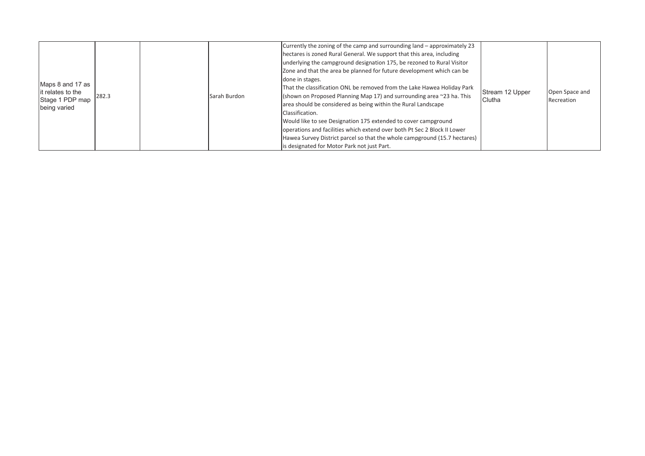| Maps 8 and 17 as<br>lit relates to the<br>Stage 1 PDP map<br>being varied | 282.3 |  | Sarah Burdon | Currently the zoning of the camp and surrounding land – approximately 23<br>hectares is zoned Rural General. We support that this area, including<br>underlying the campground designation 175, be rezoned to Rural Visitor<br>Zone and that the area be planned for future development which can be<br>done in stages.<br>That the classification ONL be removed from the Lake Hawea Holiday Park<br>(shown on Proposed Planning Map 17) and surrounding area $\approx$ 23 ha. This<br>area should be considered as being within the Rural Landscape<br>Classification.<br>Would like to see Designation 175 extended to cover campground<br>operations and facilities which extend over both Pt Sec 2 Block II Lower<br>Hawea Survey District parcel so that the whole campground (15.7 hectares)<br>is designated for Motor Park not just Part. | Stream 12 Upper<br>Clutha | Open Space and<br>Recreation |
|---------------------------------------------------------------------------|-------|--|--------------|----------------------------------------------------------------------------------------------------------------------------------------------------------------------------------------------------------------------------------------------------------------------------------------------------------------------------------------------------------------------------------------------------------------------------------------------------------------------------------------------------------------------------------------------------------------------------------------------------------------------------------------------------------------------------------------------------------------------------------------------------------------------------------------------------------------------------------------------------|---------------------------|------------------------------|
|---------------------------------------------------------------------------|-------|--|--------------|----------------------------------------------------------------------------------------------------------------------------------------------------------------------------------------------------------------------------------------------------------------------------------------------------------------------------------------------------------------------------------------------------------------------------------------------------------------------------------------------------------------------------------------------------------------------------------------------------------------------------------------------------------------------------------------------------------------------------------------------------------------------------------------------------------------------------------------------------|---------------------------|------------------------------|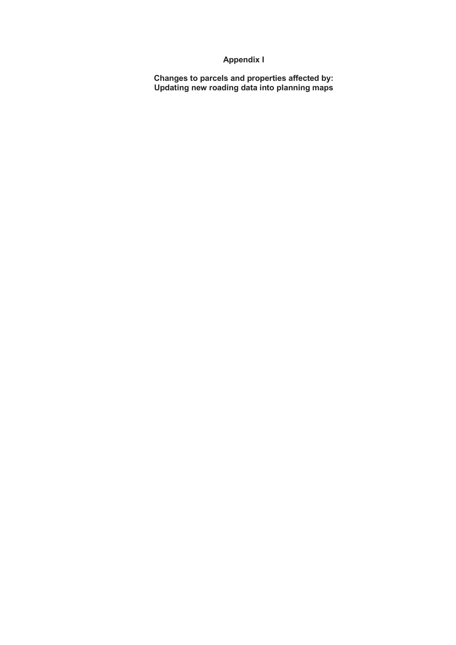## **Appendix I**

**Changes to parcels and properties affected by: Updating new roading data into planning maps**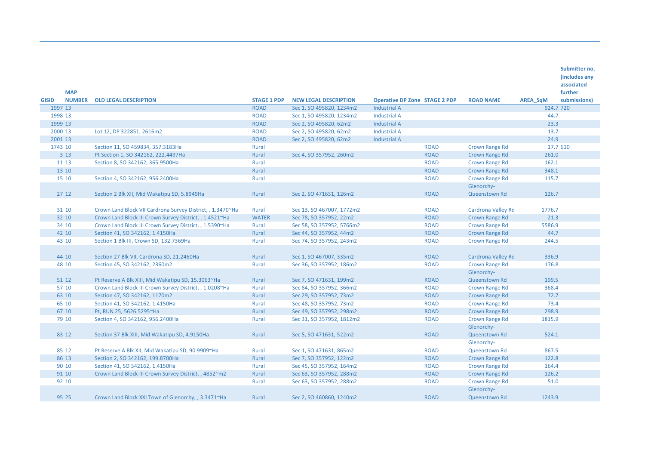|              | <b>MAP</b>    |                                                            |                    |                              |                                      |             |                       |                 | Submitter no.<br>(includes any<br>associated<br>further |
|--------------|---------------|------------------------------------------------------------|--------------------|------------------------------|--------------------------------------|-------------|-----------------------|-----------------|---------------------------------------------------------|
| <b>GISID</b> | <b>NUMBER</b> | <b>OLD LEGAL DESCRIPTION</b>                               | <b>STAGE 1 PDP</b> | <b>NEW LEGAL DESCRIPTION</b> | <b>Operative DP Zone STAGE 2 PDP</b> |             | <b>ROAD NAME</b>      | <b>AREA SqM</b> | submissions)                                            |
| 1997 13      |               |                                                            | <b>ROAD</b>        | Sec 1, SO 495820, 1234m2     | <b>Industrial A</b>                  |             |                       |                 | 924.7 720                                               |
| 1998 13      |               |                                                            | <b>ROAD</b>        | Sec 1, SO 495820, 1234m2     | <b>Industrial A</b>                  |             |                       | 44.7            |                                                         |
| 1999 13      |               |                                                            | <b>ROAD</b>        | Sec 2, SO 495820, 62m2       | <b>Industrial A</b>                  |             |                       | 23.3            |                                                         |
| 2000 13      |               | Lot 12, DP 322851, 2616m2                                  | <b>ROAD</b>        | Sec 2, SO 495820, 62m2       | <b>Industrial A</b>                  |             |                       | 13.7            |                                                         |
| 2001 13      |               |                                                            | <b>ROAD</b>        | Sec 2, SO 495820, 62m2       | <b>Industrial A</b>                  |             |                       | 24.9            |                                                         |
| 1743 10      |               | Section 11, SO 459834, 357.3183Ha                          | Rural              |                              |                                      | <b>ROAD</b> | <b>Crown Range Rd</b> |                 | 17.7 610                                                |
|              | 3 1 3         | Pt Section 1, SO 342162, 222.4497Ha                        | Rural              | Sec 4, SO 357952, 260m2      |                                      | <b>ROAD</b> | Crown Range Rd        | 261.0           |                                                         |
|              | 11 13         | Section 8, SO 342162, 365.9500Ha                           | Rural              |                              |                                      | <b>ROAD</b> | <b>Crown Range Rd</b> | 162.1           |                                                         |
|              | 13 10         |                                                            | Rural              |                              |                                      | <b>ROAD</b> | Crown Range Rd        | 348.1           |                                                         |
|              | 15 10         | Section 4, SO 342162, 956.2400Ha                           | Rural              |                              |                                      | <b>ROAD</b> | Crown Range Rd        | 115.7           |                                                         |
|              |               |                                                            |                    |                              |                                      |             | Glenorchy-            |                 |                                                         |
|              | 27 12         | Section 2 Blk XII, Mid Wakatipu SD, 5.8949Ha               | <b>Rural</b>       | Sec 2, SO 471631, 126m2      |                                      | <b>ROAD</b> | Queenstown Rd         | 126.7           |                                                         |
|              | 31 10         | Crown Land Block VII Cardrona Survey District, , 1.3470~Ha | Rural              | Sec 13, SO 467007, 1772m2    |                                      | <b>ROAD</b> | Cardrona Valley Rd    | 1776.7          |                                                         |
|              | 32 10         | Crown Land Block III Crown Survey District, , 1.4521~Ha    | <b>WATER</b>       | Sec 78, SO 357952, 22m2      |                                      | <b>ROAD</b> | <b>Crown Range Rd</b> | 21.3            |                                                         |
|              | 34 10         | Crown Land Block III Crown Survey District, , 1.5390~Ha    | Rural              | Sec 58, SO 357952, 5766m2    |                                      | <b>ROAD</b> | Crown Range Rd        | 5586.9          |                                                         |
|              | 42 10         | Section 41, SO 342162, 1.4150Ha                            | Rural              | Sec 44, SO 357952, 44m2      |                                      | <b>ROAD</b> | Crown Range Rd        | 44.7            |                                                         |
|              | 43 10         | Section 1 Blk III, Crown SD, 132.7369Ha                    | Rural              | Sec 74, SO 357952, 243m2     |                                      | <b>ROAD</b> | <b>Crown Range Rd</b> | 244.5           |                                                         |
|              |               |                                                            |                    |                              |                                      |             |                       |                 |                                                         |
|              | 44 10         | Section 27 Blk VII, Cardrona SD, 21.2460Ha                 | Rural              | Sec 1, SO 467007, 335m2      |                                      | <b>ROAD</b> | Cardrona Valley Rd    | 336.9           |                                                         |
|              | 48 10         | Section 45, SO 342162, 2360m2                              | Rural              | Sec 36, SO 357952, 186m2     |                                      | <b>ROAD</b> | <b>Crown Range Rd</b> | 176.8           |                                                         |
|              |               |                                                            |                    |                              |                                      |             | Glenorchy-            |                 |                                                         |
|              | 51 12         | Pt Reserve A Blk XIII, Mid Wakatipu SD, 15.3063~Ha         | Rural              | Sec 7, SO 471631, 199m2      |                                      | <b>ROAD</b> | Queenstown Rd         | 199.5           |                                                         |
|              | 57 10         | Crown Land Block III Crown Survey District, , 1.0208~Ha    | Rural              | Sec 84, SO 357952, 366m2     |                                      | <b>ROAD</b> | Crown Range Rd        | 368.4           |                                                         |
|              | 63 10         | Section 47, SO 342162, 1170m2                              | Rural              | Sec 29, SO 357952, 73m2      |                                      | <b>ROAD</b> | Crown Range Rd        | 72.7            |                                                         |
|              | 65 10         | Section 41, SO 342162, 1.4150Ha                            | Rural              | Sec 48, SO 357952, 73m2      |                                      | <b>ROAD</b> | <b>Crown Range Rd</b> | 73.4            |                                                         |
|              | 67 10         | Pt, RUN 25, 5626.5295~Ha                                   | Rural              | Sec 49, SO 357952, 298m2     |                                      | <b>ROAD</b> | Crown Range Rd        | 298.9           |                                                         |
|              | 79 10         | Section 4, SO 342162, 956.2400Ha                           | Rural              | Sec 31, SO 357952, 1812m2    |                                      | <b>ROAD</b> | <b>Crown Range Rd</b> | 1815.9          |                                                         |
|              |               |                                                            |                    |                              |                                      |             | Glenorchy-            |                 |                                                         |
|              | 83 12         | Section 37 Blk XIII, Mid Wakatipu SD, 4.9150Ha             | Rural              | Sec 5, SO 471631, 522m2      |                                      | <b>ROAD</b> | Queenstown Rd         | 524.1           |                                                         |
|              |               |                                                            |                    |                              |                                      |             | Glenorchy-            |                 |                                                         |
|              | 85 12         | Pt Reserve A Blk XII, Mid Wakatipu SD, 90.9909~Ha          | Rural              | Sec 1, SO 471631, 865m2      |                                      | <b>ROAD</b> | Queenstown Rd         | 867.5           |                                                         |
|              | 86 13         | Section 2, SO 342162, 199.8700Ha                           | Rural              | Sec 7, SO 357952, 122m2      |                                      | <b>ROAD</b> | <b>Crown Range Rd</b> | 122.8           |                                                         |
|              | 90 10         | Section 41, SO 342162, 1.4150Ha                            | Rural              | Sec 45, SO 357952, 164m2     |                                      | <b>ROAD</b> | <b>Crown Range Rd</b> | 164.4           |                                                         |
|              | 91 10         | Crown Land Block III Crown Survey District, , 4852~m2      | Rural              | Sec 63, SO 357952, 288m2     |                                      | <b>ROAD</b> | Crown Range Rd        | 126.2           |                                                         |
|              | 92 10         |                                                            | Rural              | Sec 63, SO 357952, 288m2     |                                      | <b>ROAD</b> | <b>Crown Range Rd</b> | 51.0            |                                                         |
|              |               |                                                            |                    |                              |                                      |             | Glenorchy-            |                 |                                                         |
|              | 95 25         | Crown Land Block XXI Town of Glenorchy, , 3.3471~Ha        | Rural              | Sec 2, SO 460860, 1240m2     |                                      | <b>ROAD</b> | <b>Queenstown Rd</b>  | 1243.9          |                                                         |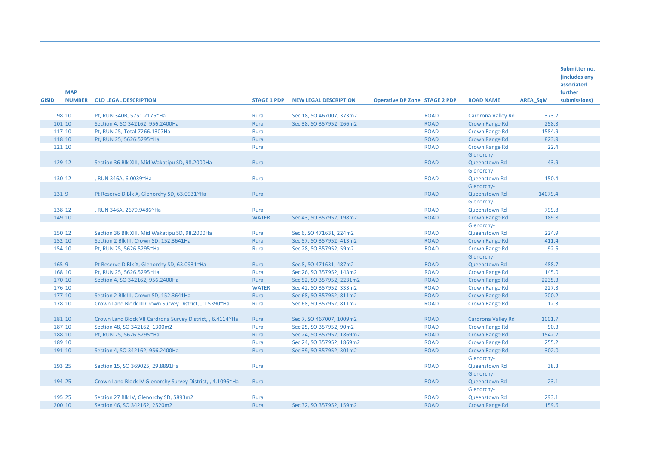|              | <b>MAP</b>       |                                                                                            |                    |                                                     |                                      |                                        |          | Submitter no.<br>(includes any<br>associated<br>further |
|--------------|------------------|--------------------------------------------------------------------------------------------|--------------------|-----------------------------------------------------|--------------------------------------|----------------------------------------|----------|---------------------------------------------------------|
| <b>GISID</b> |                  | <b>NUMBER OLD LEGAL DESCRIPTION</b>                                                        | <b>STAGE 1 PDP</b> | <b>NEW LEGAL DESCRIPTION</b>                        | <b>Operative DP Zone STAGE 2 PDP</b> | <b>ROAD NAME</b>                       | AREA_SqM | submissions)                                            |
|              | 98 10            | Pt, RUN 340B, 5751.2176~Ha                                                                 | Rural              | Sec 18, SO 467007, 373m2                            | <b>ROAD</b>                          | Cardrona Valley Rd                     | 373.7    |                                                         |
|              | 101 10           | Section 4, SO 342162, 956.2400Ha                                                           | Rural              | Sec 38, SO 357952, 266m2                            | <b>ROAD</b>                          | Crown Range Rd                         | 258.3    |                                                         |
|              | 117 10           | Pt, RUN 25, Total 7266.1307Ha                                                              | Rural              |                                                     | <b>ROAD</b>                          | <b>Crown Range Rd</b>                  | 1584.9   |                                                         |
|              | 118 10           | Pt, RUN 25, 5626.5295~Ha                                                                   | Rural              |                                                     | <b>ROAD</b>                          | <b>Crown Range Rd</b>                  | 823.9    |                                                         |
|              | 121 10           |                                                                                            | Rural              |                                                     | <b>ROAD</b>                          | Crown Range Rd                         | 22.4     |                                                         |
|              |                  |                                                                                            |                    |                                                     |                                      | Glenorchy-                             |          |                                                         |
|              | 129 12           | Section 36 Blk XIII, Mid Wakatipu SD, 98.2000Ha                                            | Rural              |                                                     | <b>ROAD</b>                          | Queenstown Rd                          | 43.9     |                                                         |
|              |                  |                                                                                            |                    |                                                     |                                      | Glenorchy-                             |          |                                                         |
|              | 130 12           | , RUN 346A, 6.0039~Ha                                                                      | Rural              |                                                     | <b>ROAD</b>                          | Queenstown Rd                          | 150.4    |                                                         |
|              |                  |                                                                                            |                    |                                                     |                                      | Glenorchy-                             |          |                                                         |
|              | 1319             | Pt Reserve D Blk X, Glenorchy SD, 63.0931~Ha                                               | Rural              |                                                     | <b>ROAD</b>                          | Queenstown Rd                          | 14079.4  |                                                         |
|              |                  |                                                                                            |                    |                                                     |                                      | Glenorchy-                             |          |                                                         |
|              | 138 12           | , RUN 346A, 2679.9486~Ha                                                                   | Rural              |                                                     | <b>ROAD</b>                          | Queenstown Rd                          | 799.8    |                                                         |
|              | 149 10           |                                                                                            | <b>WATER</b>       | Sec 43, SO 357952, 198m2                            | <b>ROAD</b>                          | Crown Range Rd                         | 189.8    |                                                         |
|              |                  |                                                                                            |                    |                                                     | <b>ROAD</b>                          | Glenorchy-                             | 224.9    |                                                         |
|              | 150 12<br>152 10 | Section 36 Blk XIII, Mid Wakatipu SD, 98.2000Ha<br>Section 2 Blk III, Crown SD, 152.3641Ha | Rural<br>Rural     | Sec 6, SO 471631, 224m2<br>Sec 57, SO 357952, 413m2 | <b>ROAD</b>                          | Queenstown Rd<br><b>Crown Range Rd</b> | 411.4    |                                                         |
|              | 154 10           | Pt, RUN 25, 5626.5295~Ha                                                                   | Rural              | Sec 28, SO 357952, 59m2                             | <b>ROAD</b>                          | <b>Crown Range Rd</b>                  | 92.5     |                                                         |
|              |                  |                                                                                            |                    |                                                     |                                      | Glenorchy-                             |          |                                                         |
|              | 165 9            | Pt Reserve D Blk X, Glenorchy SD, 63.0931~Ha                                               | Rural              | Sec 8, SO 471631, 487m2                             | <b>ROAD</b>                          | Queenstown Rd                          | 488.7    |                                                         |
|              | 168 10           | Pt, RUN 25, 5626.5295~Ha                                                                   | Rural              | Sec 26, SO 357952, 143m2                            | <b>ROAD</b>                          | <b>Crown Range Rd</b>                  | 145.0    |                                                         |
|              | 170 10           | Section 4, SO 342162, 956.2400Ha                                                           | Rural              | Sec 52, SO 357952, 2231m2                           | <b>ROAD</b>                          | Crown Range Rd                         | 2235.3   |                                                         |
|              | 176 10           |                                                                                            | <b>WATER</b>       | Sec 42, SO 357952, 333m2                            | <b>ROAD</b>                          | <b>Crown Range Rd</b>                  | 227.3    |                                                         |
|              | 177 10           | Section 2 Blk III, Crown SD, 152.3641Ha                                                    | Rural              | Sec 68, SO 357952, 811m2                            | <b>ROAD</b>                          | <b>Crown Range Rd</b>                  | 700.2    |                                                         |
|              | 178 10           | Crown Land Block III Crown Survey District, , 1.5390~Ha                                    | Rural              | Sec 68, SO 357952, 811m2                            | <b>ROAD</b>                          | Crown Range Rd                         | 12.3     |                                                         |
|              |                  |                                                                                            |                    |                                                     |                                      |                                        |          |                                                         |
|              | 181 10           | Crown Land Block VII Cardrona Survey District, , 6.4114~Ha                                 | Rural              | Sec 7, SO 467007, 1009m2                            | <b>ROAD</b>                          | Cardrona Valley Rd                     | 1001.7   |                                                         |
|              | 187 10           | Section 48, SO 342162, 1300m2                                                              | Rural              | Sec 25, SO 357952, 90m2                             | <b>ROAD</b>                          | <b>Crown Range Rd</b>                  | 90.3     |                                                         |
|              | 188 10           | Pt, RUN 25, 5626.5295~Ha                                                                   | Rural              | Sec 24, SO 357952, 1869m2                           | <b>ROAD</b>                          | <b>Crown Range Rd</b>                  | 1542.7   |                                                         |
|              | 189 10           |                                                                                            | Rural              | Sec 24, SO 357952, 1869m2                           | <b>ROAD</b>                          | <b>Crown Range Rd</b>                  | 255.2    |                                                         |
|              | 191 10           | Section 4, SO 342162, 956.2400Ha                                                           | Rural              | Sec 39, SO 357952, 301m2                            | <b>ROAD</b>                          | Crown Range Rd                         | 302.0    |                                                         |
|              |                  |                                                                                            |                    |                                                     |                                      | Glenorchy-                             |          |                                                         |
|              | 193 25           | Section 15, SO 369025, 29.8891Ha                                                           | Rural              |                                                     | <b>ROAD</b>                          | Queenstown Rd                          | 38.3     |                                                         |
|              |                  |                                                                                            |                    |                                                     |                                      | Glenorchy-                             |          |                                                         |
|              | 194 25           | Crown Land Block IV Glenorchy Survey District, , 4.1096~Ha                                 | Rural              |                                                     | <b>ROAD</b>                          | Queenstown Rd                          | 23.1     |                                                         |
|              |                  |                                                                                            |                    |                                                     |                                      | Glenorchy-                             |          |                                                         |
|              | 195 25           | Section 27 Blk IV, Glenorchy SD, 5893m2                                                    | Rural              |                                                     | <b>ROAD</b>                          | Queenstown Rd                          | 293.1    |                                                         |
|              | 200 10           | Section 46, SO 342162, 2520m2                                                              | Rural              | Sec 32, SO 357952, 159m2                            | <b>ROAD</b>                          | Crown Range Rd                         | 159.6    |                                                         |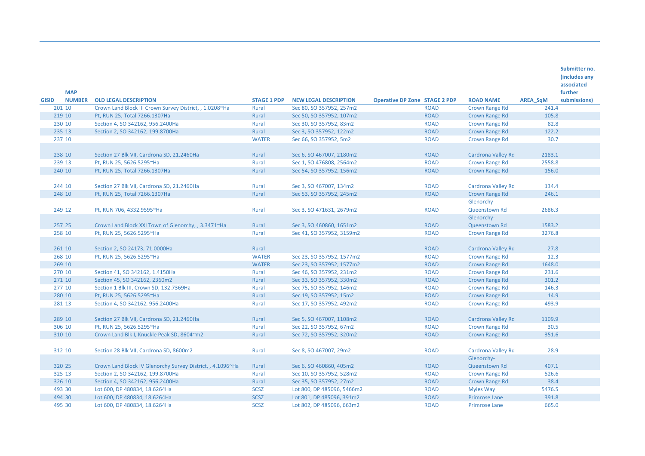|              |               |                                                            |                    |                              |                                      |             |                       |                 | Submitter no. |
|--------------|---------------|------------------------------------------------------------|--------------------|------------------------------|--------------------------------------|-------------|-----------------------|-----------------|---------------|
|              |               |                                                            |                    |                              |                                      |             |                       |                 | (includes any |
|              |               |                                                            |                    |                              |                                      |             |                       |                 | associated    |
|              | <b>MAP</b>    |                                                            |                    |                              |                                      |             |                       |                 | further       |
| <b>GISID</b> | <b>NUMBER</b> | <b>OLD LEGAL DESCRIPTION</b>                               | <b>STAGE 1 PDP</b> | <b>NEW LEGAL DESCRIPTION</b> | <b>Operative DP Zone STAGE 2 PDP</b> |             | <b>ROAD NAME</b>      | <b>AREA SqM</b> | submissions)  |
|              | 201 10        | Crown Land Block III Crown Survey District, , 1.0208~Ha    | Rural              | Sec 80, SO 357952, 257m2     |                                      | <b>ROAD</b> | <b>Crown Range Rd</b> | 241.4           |               |
|              | 219 10        | Pt, RUN 25, Total 7266.1307Ha                              | Rural              | Sec 50, SO 357952, 107m2     |                                      | <b>ROAD</b> | <b>Crown Range Rd</b> | 105.8           |               |
|              | 230 10        | Section 4, SO 342162, 956.2400Ha                           | Rural              | Sec 30, SO 357952, 83m2      |                                      | <b>ROAD</b> | <b>Crown Range Rd</b> | 82.8            |               |
|              | 235 13        | Section 2, SO 342162, 199.8700Ha                           | Rural              | Sec 3, SO 357952, 122m2      |                                      | <b>ROAD</b> | <b>Crown Range Rd</b> | 122.2           |               |
|              | 237 10        |                                                            | <b>WATER</b>       | Sec 66, SO 357952, 5m2       |                                      | <b>ROAD</b> | <b>Crown Range Rd</b> | 30.7            |               |
|              |               |                                                            |                    |                              |                                      |             |                       |                 |               |
|              | 238 10        | Section 27 Blk VII, Cardrona SD, 21.2460Ha                 | Rural              | Sec 6, SO 467007, 2180m2     |                                      | <b>ROAD</b> | Cardrona Valley Rd    | 2183.1          |               |
|              | 239 13        | Pt, RUN 25, 5626.5295~Ha                                   | Rural              | Sec 1, SO 476808, 2564m2     |                                      | <b>ROAD</b> | <b>Crown Range Rd</b> | 2558.8          |               |
|              | 240 10        | Pt, RUN 25, Total 7266.1307Ha                              | Rural              | Sec 54, SO 357952, 156m2     |                                      | <b>ROAD</b> | Crown Range Rd        | 156.0           |               |
|              |               |                                                            |                    |                              |                                      |             |                       |                 |               |
|              | 244 10        | Section 27 Blk VII, Cardrona SD, 21.2460Ha                 | Rural              | Sec 3, SO 467007, 134m2      |                                      | <b>ROAD</b> | Cardrona Valley Rd    | 134.4           |               |
|              | 248 10        | Pt, RUN 25, Total 7266.1307Ha                              | Rural              | Sec 53, SO 357952, 245m2     |                                      | <b>ROAD</b> | <b>Crown Range Rd</b> | 246.1           |               |
|              |               |                                                            |                    |                              |                                      |             | Glenorchy-            |                 |               |
|              | 249 12        | Pt, RUN 706, 4332.9595~Ha                                  | Rural              | Sec 3, SO 471631, 2679m2     |                                      | <b>ROAD</b> | Queenstown Rd         | 2686.3          |               |
|              |               |                                                            |                    |                              |                                      |             | Glenorchy-            |                 |               |
|              | 257 25        | Crown Land Block XXI Town of Glenorchy, , 3.3471~Ha        | Rural              | Sec 3, SO 460860, 1651m2     |                                      | <b>ROAD</b> | Queenstown Rd         | 1583.2          |               |
|              | 258 10        | Pt, RUN 25, 5626.5295~Ha                                   | Rural              | Sec 41, SO 357952, 3159m2    |                                      | <b>ROAD</b> | <b>Crown Range Rd</b> | 3276.8          |               |
|              |               |                                                            |                    |                              |                                      |             |                       |                 |               |
|              | 261 10        | Section 2, SO 24173, 71.0000Ha                             | Rural              |                              |                                      | <b>ROAD</b> | Cardrona Valley Rd    | 27.8            |               |
|              | 268 10        | Pt, RUN 25, 5626.5295~Ha                                   | <b>WATER</b>       | Sec 23, SO 357952, 1577m2    |                                      | <b>ROAD</b> | <b>Crown Range Rd</b> | 12.3            |               |
|              | 269 10        |                                                            | <b>WATER</b>       | Sec 23, SO 357952, 1577m2    |                                      | <b>ROAD</b> | Crown Range Rd        | 1648.0          |               |
|              | 270 10        | Section 41, SO 342162, 1.4150Ha                            | Rural              | Sec 46, SO 357952, 231m2     |                                      | <b>ROAD</b> | Crown Range Rd        | 231.6           |               |
|              | 271 10        | Section 45, SO 342162, 2360m2                              | Rural              | Sec 33, SO 357952, 330m2     |                                      | <b>ROAD</b> | Crown Range Rd        | 301.2           |               |
|              | 277 10        | Section 1 Blk III, Crown SD, 132.7369Ha                    | Rural              | Sec 75, SO 357952, 146m2     |                                      | <b>ROAD</b> | <b>Crown Range Rd</b> | 146.3           |               |
|              | 280 10        | Pt, RUN 25, 5626.5295~Ha                                   | Rural              | Sec 19, SO 357952, 15m2      |                                      | <b>ROAD</b> | <b>Crown Range Rd</b> | 14.9            |               |
|              | 281 13        | Section 4, SO 342162, 956.2400Ha                           | Rural              | Sec 17, SO 357952, 492m2     |                                      | <b>ROAD</b> | <b>Crown Range Rd</b> | 493.9           |               |
|              |               |                                                            |                    |                              |                                      |             |                       |                 |               |
|              | 289 10        | Section 27 Blk VII, Cardrona SD, 21.2460Ha                 | Rural              | Sec 5, SO 467007, 1108m2     |                                      | <b>ROAD</b> | Cardrona Valley Rd    | 1109.9          |               |
|              | 306 10        | Pt, RUN 25, 5626.5295~Ha                                   | Rural              | Sec 22, SO 357952, 67m2      |                                      | <b>ROAD</b> | <b>Crown Range Rd</b> | 30.5            |               |
|              | 310 10        | Crown Land Blk I, Knuckle Peak SD, 8604~m2                 | Rural              | Sec 72, SO 357952, 320m2     |                                      | <b>ROAD</b> | <b>Crown Range Rd</b> | 351.6           |               |
|              |               |                                                            |                    |                              |                                      |             |                       |                 |               |
|              | 312 10        | Section 28 Blk VII, Cardrona SD, 8600m2                    | Rural              | Sec 8, SO 467007, 29m2       |                                      | <b>ROAD</b> | Cardrona Valley Rd    | 28.9            |               |
|              |               |                                                            |                    |                              |                                      |             | Glenorchy-            |                 |               |
|              | 320 25        | Crown Land Block IV Glenorchy Survey District, , 4.1096~Ha | Rural              | Sec 6, SO 460860, 405m2      |                                      | <b>ROAD</b> | Queenstown Rd         | 407.1           |               |
|              | 325 13        | Section 2, SO 342162, 199.8700Ha                           | Rural              | Sec 10, SO 357952, 528m2     |                                      | <b>ROAD</b> | Crown Range Rd        | 526.6           |               |
|              | 326 10        | Section 4, SO 342162, 956.2400Ha                           | Rural              | Sec 35, SO 357952, 27m2      |                                      | <b>ROAD</b> | Crown Range Rd        | 38.4            |               |
|              | 493 30        | Lot 600, DP 480834, 18.6264Ha                              | <b>SCSZ</b>        | Lot 800, DP 485096, 5466m2   |                                      | <b>ROAD</b> | <b>Myles Way</b>      | 5476.5          |               |
|              | 494 30        | Lot 600, DP 480834, 18.6264Ha                              | <b>SCSZ</b>        | Lot 801, DP 485096, 391m2    |                                      | <b>ROAD</b> | <b>Primrose Lane</b>  | 391.8           |               |
|              | 495 30        | Lot 600, DP 480834, 18.6264Ha                              | <b>SCSZ</b>        | Lot 802, DP 485096, 663m2    |                                      | <b>ROAD</b> | <b>Primrose Lane</b>  | 665.0           |               |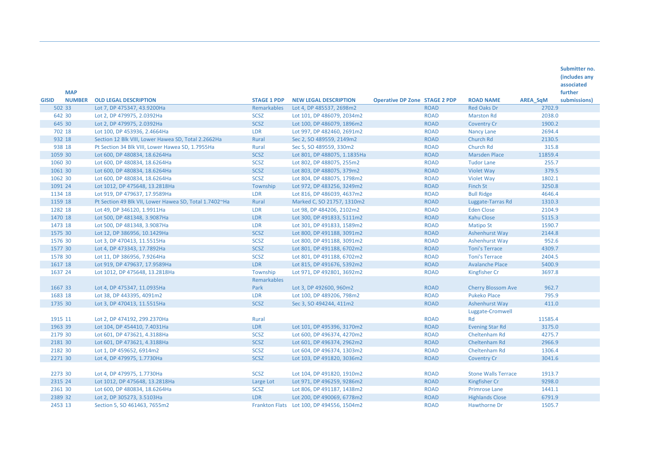|                                                                                                                                                             |                            |                 | (includes any |
|-------------------------------------------------------------------------------------------------------------------------------------------------------------|----------------------------|-----------------|---------------|
|                                                                                                                                                             |                            |                 | associated    |
| <b>MAP</b>                                                                                                                                                  |                            |                 | further       |
| <b>NUMBER</b><br><b>GISID</b><br><b>OLD LEGAL DESCRIPTION</b><br><b>STAGE 1 PDP</b><br><b>NEW LEGAL DESCRIPTION</b><br><b>Operative DP Zone STAGE 2 PDP</b> | <b>ROAD NAME</b>           | <b>AREA SqM</b> | submissions)  |
| 502 33<br>Remarkables<br><b>ROAD</b><br>Lot 7, DP 475347, 43.9200Ha<br>Lot 4, DP 485537, 2698m2                                                             | <b>Red Oaks Dr</b>         | 2702.9          |               |
| 642 30<br><b>SCSZ</b><br><b>ROAD</b><br>Lot 2, DP 479975, 2.0392Ha<br>Lot 101, DP 486079, 2034m2                                                            | <b>Marston Rd</b>          | 2038.0          |               |
| <b>SCSZ</b><br>645 30<br><b>ROAD</b><br>Lot 2, DP 479975, 2.0392Ha<br>Lot 100, DP 486079, 1896m2                                                            | <b>Coventry Cr</b>         | 1900.2          |               |
| LDR<br>702 18<br>Lot 100, DP 453936, 2.4664Ha<br>Lot 997, DP 482460, 2691m2<br><b>ROAD</b>                                                                  | <b>Nancy Lane</b>          | 2694.4          |               |
| Rural<br>932 18<br><b>ROAD</b><br>Section 12 Blk VIII, Lower Hawea SD, Total 2.2662Ha<br>Sec 2, SO 489559, 2149m2                                           | Church Rd                  | 2130.5          |               |
| 938 18<br>Rural<br><b>ROAD</b><br>Pt Section 34 Blk VIII, Lower Hawea SD, 1.7955Ha<br>Sec 5, SO 489559, 330m2                                               | Church Rd                  | 315.8           |               |
| 1059 30<br><b>SCSZ</b><br><b>ROAD</b><br>Lot 600, DP 480834, 18.6264Ha<br>Lot 801, DP 488075, 1.1835Ha                                                      | <b>Marsden Place</b>       | 11859.4         |               |
| 1060 30<br><b>SCSZ</b><br>Lot 600, DP 480834, 18.6264Ha<br>Lot 802, DP 488075, 255m2<br><b>ROAD</b>                                                         | <b>Tudor Lane</b>          | 255.7           |               |
| <b>SCSZ</b><br>1061 30<br>Lot 803, DP 488075, 379m2<br><b>ROAD</b><br>Lot 600, DP 480834, 18.6264Ha                                                         | Violet Way                 | 379.5           |               |
| 1062 30<br><b>SCSZ</b><br>Lot 600, DP 480834, 18.6264Ha<br>Lot 804, DP 488075, 1798m2<br><b>ROAD</b>                                                        | Violet Way                 | 1802.1          |               |
| 1091 24<br>Township<br><b>ROAD</b><br>Lot 1012, DP 475648, 13.2818Ha<br>Lot 972, DP 483256, 3249m2                                                          | Finch St                   | 3250.8          |               |
| <b>LDR</b><br><b>ROAD</b><br>1134 18<br>Lot 919, DP 479637, 17.9589Ha<br>Lot 816, DP 486039, 4637m2                                                         | <b>Bull Ridge</b>          | 4646.4          |               |
| 1159 18<br>Rural<br><b>ROAD</b><br>Pt Section 49 Blk VII, Lower Hawea SD, Total 1.7402~Ha<br>Marked C, SO 21757, 1310m2                                     | Luggate-Tarras Rd          | 1310.3          |               |
| 1282 18<br>LDR<br>Lot 98, DP 484206, 2102m2<br><b>ROAD</b><br>Lot 49, DP 346120, 1.9911Ha                                                                   | <b>Eden Close</b>          | 2104.9          |               |
| 1470 18<br><b>LDR</b><br>Lot 500, DP 481348, 3.9087Ha<br>Lot 300, DP 491833, 5111m2<br><b>ROAD</b>                                                          | Kahu Close                 | 5115.3          |               |
| 1473 18<br>LDR<br><b>ROAD</b><br>Lot 500, DP 481348, 3.9087Ha<br>Lot 301, DP 491833, 1589m2                                                                 | <b>Matipo St</b>           | 1590.7          |               |
| 1575 30<br><b>SCSZ</b><br><b>ROAD</b><br>Lot 800, DP 491188, 3091m2<br>Lot 12, DP 386956, 10.1429Ha                                                         | Ashenhurst Way             | 2144.8          |               |
| 1576 30<br><b>SCSZ</b><br><b>ROAD</b><br>Lot 3, DP 470413, 11.5515Ha<br>Lot 800, DP 491188, 3091m2                                                          | Ashenhurst Way             | 952.6           |               |
| 1577 30<br><b>SCSZ</b><br>Lot 801, DP 491188, 6702m2<br><b>ROAD</b><br>Lot 4, DP 473343, 17.7892Ha                                                          | <b>Toni's Terrace</b>      | 4309.7          |               |
| 1578 30<br><b>SCSZ</b><br><b>ROAD</b><br>Lot 11, DP 386956, 7.9264Ha<br>Lot 801, DP 491188, 6702m2                                                          | <b>Toni's Terrace</b>      | 2404.5          |               |
| 1617 18<br><b>LDR</b><br>Lot 815, DP 491676, 5392m2<br><b>ROAD</b><br>Lot 919, DP 479637, 17.9589Ha                                                         | <b>Avalanche Place</b>     | 5400.9          |               |
| 1637 24<br>Township<br>Lot 971, DP 492801, 3692m2<br><b>ROAD</b><br>Lot 1012, DP 475648, 13.2818Ha                                                          | <b>Kingfisher Cr</b>       | 3697.8          |               |
| <b>Remarkables</b>                                                                                                                                          |                            |                 |               |
| Park<br>1667 33<br>Lot 4, DP 475347, 11.0935Ha<br>Lot 3, DP 492600, 960m2<br><b>ROAD</b>                                                                    | <b>Cherry Blossom Ave</b>  | 962.7           |               |
| 1683 18<br><b>LDR</b><br><b>ROAD</b><br>Lot 38, DP 443395, 4091m2<br>Lot 100, DP 489206, 798m2                                                              | <b>Pukeko Place</b>        | 795.9           |               |
| <b>SCSZ</b><br>1735 30<br><b>ROAD</b><br>Lot 3, DP 470413, 11.5515Ha<br>Sec 3, SO 494244, 411m2                                                             | Ashenhurst Way             | 411.0           |               |
|                                                                                                                                                             | Luggate-Cromwell           |                 |               |
| 1915 11<br>Rural<br><b>ROAD</b><br>Lot 2, DP 474192, 299.2370Ha                                                                                             | Rd                         | 11585.4         |               |
| 1963 39<br><b>LDR</b><br>Lot 101, DP 495396, 3170m2<br><b>ROAD</b><br>Lot 104, DP 454410, 7.4031Ha                                                          | <b>Evening Star Rd</b>     | 3175.0          |               |
| 2179 30<br><b>SCSZ</b><br>Lot 601, DP 473621, 4.3188Ha<br>Lot 600, DP 496374, 4270m2<br><b>ROAD</b>                                                         | Cheltenham Rd              | 4275.7          |               |
| 2181 30<br><b>SCSZ</b><br>Lot 601, DP 496374, 2962m2<br><b>ROAD</b><br>Lot 601, DP 473621, 4.3188Ha                                                         | Cheltenham Rd              | 2966.9          |               |
| 2182 30<br><b>SCSZ</b><br><b>ROAD</b><br>Lot 1, DP 459652, 6914m2<br>Lot 604, DP 496374, 1303m2                                                             | Cheltenham Rd              | 1306.4          |               |
| <b>SCSZ</b><br>2271 30<br><b>ROAD</b><br>Lot 4, DP 479975, 1.7730Ha<br>Lot 103, DP 491820, 3036m2                                                           | <b>Coventry Cr</b>         | 3041.6          |               |
|                                                                                                                                                             |                            |                 |               |
| <b>SCSZ</b><br>2273 30<br><b>ROAD</b><br>Lot 4, DP 479975, 1.7730Ha<br>Lot 104, DP 491820, 1910m2                                                           | <b>Stone Walls Terrace</b> | 1913.7          |               |
| 2315 24<br><b>ROAD</b><br>Lot 1012, DP 475648, 13.2818Ha<br>Large Lot<br>Lot 971, DP 496259, 9286m2                                                         | Kingfisher Cr              | 9298.0          |               |
| 2361 30<br><b>SCSZ</b><br><b>ROAD</b><br>Lot 600, DP 480834, 18.6264Ha<br>Lot 806, DP 491187, 1438m2                                                        | <b>Primrose Lane</b>       | 1441.1          |               |
| 2389 32<br><b>LDR</b><br>Lot 2, DP 305273, 3.5103Ha<br>Lot 200, DP 490069, 6778m2<br><b>ROAD</b>                                                            | <b>Highlands Close</b>     | 6791.9          |               |
| <b>ROAD</b><br>2453 13<br>Section 5, SO 461463, 7655m2<br>Frankton Flats Lot 100, DP 494556, 1504m2                                                         | Hawthorne Dr               | 1505.7          |               |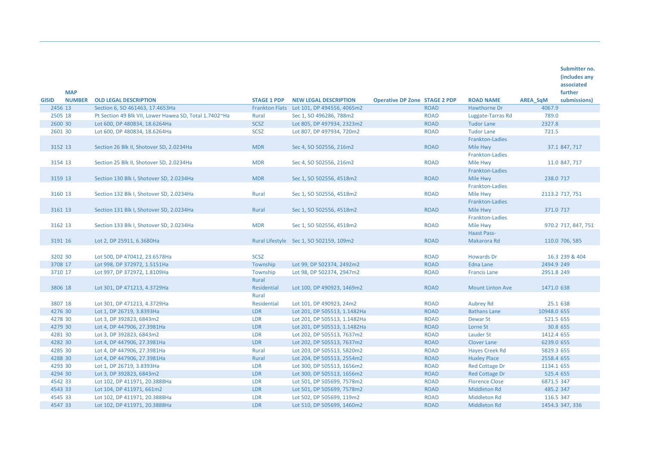|                    | <b>MAP</b>    |                                                        |                      |                                           |                                      |             |                             |                 | (includes any<br>associated<br>further |
|--------------------|---------------|--------------------------------------------------------|----------------------|-------------------------------------------|--------------------------------------|-------------|-----------------------------|-----------------|----------------------------------------|
| <b>GISID</b>       | <b>NUMBER</b> | <b>OLD LEGAL DESCRIPTION</b>                           | <b>STAGE 1 PDP</b>   | <b>NEW LEGAL DESCRIPTION</b>              | <b>Operative DP Zone STAGE 2 PDP</b> |             | <b>ROAD NAME</b>            | <b>AREA SqM</b> | submissions)                           |
| 2456 13            |               | Section 6, SO 461463, 17.4653Ha                        |                      | Frankton Flats Lot 101, DP 494556, 4065m2 |                                      | <b>ROAD</b> | Hawthorne Dr                | 4067.9          |                                        |
| 2505 18<br>2600 30 |               | Pt Section 49 Blk VII, Lower Hawea SD, Total 1.7402~Ha | Rural<br><b>SCSZ</b> | Sec 1, SO 496286, 788m2                   |                                      | <b>ROAD</b> | Luggate-Tarras Rd           | 789.0           |                                        |
|                    |               | Lot 600, DP 480834, 18.6264Ha                          |                      | Lot 805, DP 497934, 2323m2                |                                      | <b>ROAD</b> | <b>Tudor Lane</b>           | 2327.8          |                                        |
| 2601 30            |               | Lot 600, DP 480834, 18.6264Ha                          | <b>SCSZ</b>          | Lot 807, DP 497934, 720m2                 |                                      | <b>ROAD</b> | <b>Tudor Lane</b>           | 721.5           |                                        |
|                    |               |                                                        |                      |                                           |                                      |             | Frankton-Ladies             |                 |                                        |
| 3152 13            |               | Section 26 Blk II, Shotover SD, 2.0234Ha               | <b>MDR</b>           | Sec 4, SO 502556, 216m2                   |                                      | <b>ROAD</b> | Mile Hwy                    |                 | 37.1 847, 717                          |
| 3154 13            |               |                                                        | <b>MDR</b>           | Sec 4, SO 502556, 216m2                   |                                      | <b>ROAD</b> | Frankton-Ladies             |                 | 11.0 847, 717                          |
|                    |               | Section 25 Blk II, Shotover SD, 2.0234Ha               |                      |                                           |                                      |             | Mile Hwy<br>Frankton-Ladies |                 |                                        |
| 3159 13            |               | Section 130 Blk I, Shotover SD, 2.0234Ha               | <b>MDR</b>           | Sec 1, SO 502556, 4518m2                  |                                      | <b>ROAD</b> | Mile Hwy                    | 238.0 717       |                                        |
|                    |               |                                                        |                      |                                           |                                      |             | Frankton-Ladies             |                 |                                        |
| 3160 13            |               | Section 132 Blk I, Shotover SD, 2.0234Ha               | Rural                | Sec 1, SO 502556, 4518m2                  |                                      | <b>ROAD</b> | Mile Hwy                    |                 | 2113.2 717, 751                        |
|                    |               |                                                        |                      |                                           |                                      |             | Frankton-Ladies             |                 |                                        |
| 3161 13            |               | Section 131 Blk I, Shotover SD, 2.0234Ha               | Rural                | Sec 1, SO 502556, 4518m2                  |                                      | <b>ROAD</b> | Mile Hwy                    | 371.0 717       |                                        |
|                    |               |                                                        |                      |                                           |                                      |             | Frankton-Ladies             |                 |                                        |
| 3162 13            |               | Section 133 Blk I, Shotover SD, 2.0234Ha               | <b>MDR</b>           | Sec 1, SO 502556, 4518m2                  |                                      | <b>ROAD</b> | Mile Hwy                    |                 | 970.2 717, 847, 751                    |
|                    |               |                                                        |                      |                                           |                                      |             | <b>Haast Pass-</b>          |                 |                                        |
| 3191 16            |               | Lot 2, DP 25911, 6.3680Ha                              |                      | Rural Lifestyle Sec 1, SO 502159, 109m2   |                                      | <b>ROAD</b> | Makarora Rd                 |                 | 110.0 706, 585                         |
|                    |               |                                                        |                      |                                           |                                      |             |                             |                 |                                        |
| 3202 30            |               | Lot 500, DP 470412, 23.6578Ha                          | <b>SCSZ</b>          |                                           |                                      | <b>ROAD</b> | <b>Howards Dr</b>           |                 | 16.3 239 & 404                         |
| 3708 17            |               | Lot 998, DP 372972, 1.5151Ha                           | Township             | Lot 99, DP 502374, 2492m2                 |                                      | <b>ROAD</b> | <b>Edna Lane</b>            | 2494.9 249      |                                        |
| 3710 17            |               | Lot 997, DP 372972, 1.8109Ha                           | Township             | Lot 98, DP 502374, 2947m2                 |                                      | <b>ROAD</b> | <b>Francis Lane</b>         | 2951.8 249      |                                        |
|                    |               |                                                        | Rural                |                                           |                                      |             |                             |                 |                                        |
| 3806 18            |               | Lot 301, DP 471213, 4.3729Ha                           | Residential          | Lot 100, DP 490923, 1469m2                |                                      | <b>ROAD</b> | <b>Mount Linton Ave</b>     | 1471.0 638      |                                        |
|                    |               |                                                        | Rural                |                                           |                                      |             |                             |                 |                                        |
| 3807 18            |               | Lot 301, DP 471213, 4.3729Ha                           | Residential          | Lot 101, DP 490923, 24m2                  |                                      | <b>ROAD</b> | <b>Aubrey Rd</b>            |                 | 25.1 638                               |
| 4276 30            |               | Lot 1, DP 26719, 3.8393Ha                              | <b>LDR</b>           | Lot 201, DP 505513, 1.1482Ha              |                                      | <b>ROAD</b> | <b>Bathans Lane</b>         | 10948.0 655     |                                        |
| 4278 30            |               | Lot 3, DP 392823, 6843m2                               | <b>LDR</b>           | Lot 201, DP 505513, 1.1482Ha              |                                      | <b>ROAD</b> | <b>Dewar St</b>             | 521.5 655       |                                        |
| 4279 30            |               | Lot 4, DP 447906, 27.3981Ha                            | LDR                  | Lot 201, DP 505513, 1.1482Ha              |                                      | <b>ROAD</b> | Lorne St                    |                 | 30.8 655                               |
| 4281 30            |               | Lot 3, DP 392823, 6843m2                               | LDR                  | Lot 202, DP 505513, 7637m2                |                                      | <b>ROAD</b> | Lauder St                   | 1412.4 655      |                                        |
| 4282 30            |               | Lot 4, DP 447906, 27.3981Ha                            | LDR                  | Lot 202, DP 505513, 7637m2                |                                      | <b>ROAD</b> | <b>Clover Lane</b>          | 6239.0 655      |                                        |
| 4285 30            |               | Lot 4, DP 447906, 27.3981Ha                            | Rural                | Lot 203, DP 505513, 5820m2                |                                      | <b>ROAD</b> | <b>Hayes Creek Rd</b>       | 5829.3 655      |                                        |
| 4288 30            |               | Lot 4, DP 447906, 27.3981Ha                            | Rural                | Lot 204, DP 505513, 2554m2                |                                      | <b>ROAD</b> | <b>Huxley Place</b>         | 2558.4 655      |                                        |
| 4293 30            |               | Lot 1, DP 26719, 3.8393Ha                              | <b>LDR</b>           | Lot 300, DP 505513, 1656m2                |                                      | <b>ROAD</b> | <b>Red Cottage Dr</b>       | 1134.1 655      |                                        |
| 4294 30            |               | Lot 3, DP 392823, 6843m2                               | <b>LDR</b>           | Lot 300, DP 505513, 1656m2                |                                      | <b>ROAD</b> | <b>Red Cottage Dr</b>       | 525.4 655       |                                        |
| 4542 33            |               | Lot 102, DP 411971, 20.3888Ha                          | <b>LDR</b>           | Lot 501, DP 505699, 7578m2                |                                      | <b>ROAD</b> | <b>Florence Close</b>       | 6871.5 347      |                                        |
| 4543 33            |               | Lot 104, DP 411971, 661m2                              | LDR                  | Lot 501, DP 505699, 7578m2                |                                      | <b>ROAD</b> | <b>Middleton Rd</b>         | 485.2 347       |                                        |
| 4545 33            |               | Lot 102, DP 411971, 20.3888Ha                          | <b>LDR</b>           | Lot 502, DP 505699, 119m2                 |                                      | <b>ROAD</b> | <b>Middleton Rd</b>         | 116.5 347       |                                        |
| 4547 33            |               | Lot 102, DP 411971, 20.3888Ha                          | <b>LDR</b>           | Lot 510, DP 505699, 1460m2                |                                      | <b>ROAD</b> | <b>Middleton Rd</b>         |                 | 1454.3 347, 336                        |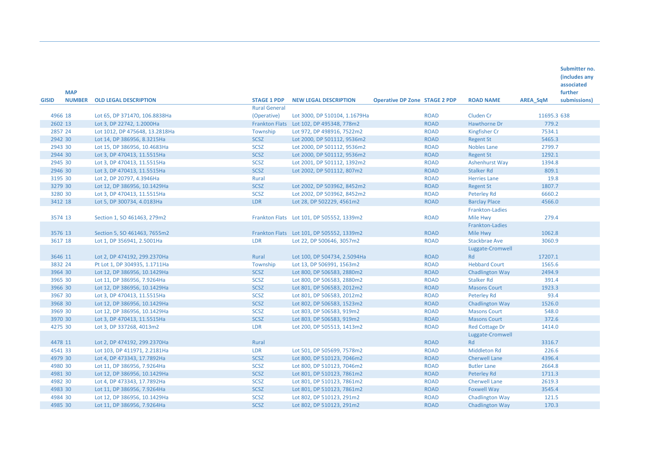| <b>MAP</b>                    |                                |                                            |                                           |                                      |             |                        |                 | Submitter no.<br>(includes any<br>associated<br>further |
|-------------------------------|--------------------------------|--------------------------------------------|-------------------------------------------|--------------------------------------|-------------|------------------------|-----------------|---------------------------------------------------------|
| <b>NUMBER</b><br><b>GISID</b> | <b>OLD LEGAL DESCRIPTION</b>   | <b>STAGE 1 PDP</b><br><b>Rural General</b> | <b>NEW LEGAL DESCRIPTION</b>              | <b>Operative DP Zone STAGE 2 PDP</b> |             | <b>ROAD NAME</b>       | <b>AREA SqM</b> | submissions)                                            |
| 4966 18                       | Lot 65, DP 371470, 106.8838Ha  | (Operative)                                | Lot 3000, DP 510104, 1.1679Ha             |                                      | <b>ROAD</b> | <b>Cluden Cr</b>       | 11695.3 638     |                                                         |
| 2602 13                       | Lot 3, DP 22742, 1.2000Ha      |                                            | Frankton Flats Lot 102, DP 495348, 778m2  |                                      | <b>ROAD</b> | Hawthorne Dr           | 779.2           |                                                         |
| 2857 24                       | Lot 1012, DP 475648, 13.2818Ha | Township                                   | Lot 972, DP 498916, 7522m2                |                                      | <b>ROAD</b> | Kingfisher Cr          | 7534.1          |                                                         |
| 2942 30                       | Lot 14, DP 386956, 8.3215Ha    | SCSZ                                       | Lot 2000, DP 501112, 9536m2               |                                      | <b>ROAD</b> | <b>Regent St</b>       | 5465.3          |                                                         |
| 2943 30                       | Lot 15, DP 386956, 10.4683Ha   | <b>SCSZ</b>                                | Lot 2000, DP 501112, 9536m2               |                                      | <b>ROAD</b> | <b>Nobles Lane</b>     | 2799.7          |                                                         |
| 2944 30                       | Lot 3, DP 470413, 11.5515Ha    | <b>SCSZ</b>                                | Lot 2000, DP 501112, 9536m2               |                                      | <b>ROAD</b> | <b>Regent St</b>       | 1292.1          |                                                         |
| 2945 30                       | Lot 3, DP 470413, 11.5515Ha    | <b>SCSZ</b>                                | Lot 2001, DP 501112, 1392m2               |                                      | <b>ROAD</b> | <b>Ashenhurst Way</b>  | 1394.8          |                                                         |
| 2946 30                       | Lot 3, DP 470413, 11.5515Ha    | <b>SCSZ</b>                                | Lot 2002, DP 501112, 807m2                |                                      | <b>ROAD</b> | <b>Stalker Rd</b>      | 809.1           |                                                         |
| 3195 30                       | Lot 2, DP 20797, 4.3946Ha      | Rural                                      |                                           |                                      | <b>ROAD</b> | <b>Herries Lane</b>    | 19.8            |                                                         |
| 3279 30                       | Lot 12, DP 386956, 10.1429Ha   | <b>SCSZ</b>                                | Lot 2002, DP 503962, 8452m2               |                                      | <b>ROAD</b> | <b>Regent St</b>       | 1807.7          |                                                         |
| 3280 30                       | Lot 3, DP 470413, 11.5515Ha    | <b>SCSZ</b>                                | Lot 2002, DP 503962, 8452m2               |                                      | <b>ROAD</b> | Peterley Rd            | 6660.2          |                                                         |
| 3412 18                       | Lot 5, DP 300734, 4.0183Ha     | <b>LDR</b>                                 | Lot 28, DP 502229, 4561m2                 |                                      | <b>ROAD</b> | <b>Barclay Place</b>   | 4566.0          |                                                         |
|                               |                                |                                            |                                           |                                      |             | Frankton-Ladies        |                 |                                                         |
| 3574 13                       | Section 1, SO 461463, 279m2    |                                            | Frankton Flats Lot 101, DP 505552, 1339m2 |                                      | <b>ROAD</b> | Mile Hwy               | 279.4           |                                                         |
|                               |                                |                                            |                                           |                                      |             | Frankton-Ladies        |                 |                                                         |
| 3576 13                       | Section 5, SO 461463, 7655m2   |                                            | Frankton Flats Lot 101, DP 505552, 1339m2 |                                      | <b>ROAD</b> | Mile Hwy               | 1062.8          |                                                         |
| 3617 18                       | Lot 1, DP 356941, 2.5001Ha     | <b>LDR</b>                                 | Lot 22, DP 500646, 3057m2                 |                                      | <b>ROAD</b> | <b>Stackbrae Ave</b>   | 3060.9          |                                                         |
|                               |                                |                                            |                                           |                                      |             | Luggate-Cromwell       |                 |                                                         |
| 3646 11                       | Lot 2, DP 474192, 299.2370Ha   | Rural                                      | Lot 100, DP 504734, 2.5094Ha              |                                      | <b>ROAD</b> | Rd                     | 17207.1         |                                                         |
| 3832 24                       | Pt Lot 1, DP 304935, 1.1711Ha  | Township                                   | Lot 13, DP 506991, 1563m2                 |                                      | <b>ROAD</b> | <b>Hebbard Court</b>   | 1565.6          |                                                         |
| 3964 30                       | Lot 12, DP 386956, 10.1429Ha   | <b>SCSZ</b>                                | Lot 800, DP 506583, 2880m2                |                                      | <b>ROAD</b> | <b>Chadlington Way</b> | 2494.9          |                                                         |
| 3965 30                       | Lot 11, DP 386956, 7.9264Ha    | <b>SCSZ</b>                                | Lot 800, DP 506583, 2880m2                |                                      | <b>ROAD</b> | <b>Stalker Rd</b>      | 391.4           |                                                         |
| 3966 30                       | Lot 12, DP 386956, 10.1429Ha   | <b>SCSZ</b>                                | Lot 801, DP 506583, 2012m2                |                                      | <b>ROAD</b> | <b>Masons Court</b>    | 1923.3          |                                                         |
| 3967 30                       | Lot 3, DP 470413, 11.5515Ha    | <b>SCSZ</b>                                | Lot 801, DP 506583, 2012m2                |                                      | <b>ROAD</b> | Peterley Rd            | 93.4            |                                                         |
| 3968 30                       | Lot 12, DP 386956, 10.1429Ha   | <b>SCSZ</b>                                | Lot 802, DP 506583, 1523m2                |                                      | <b>ROAD</b> | <b>Chadlington Way</b> | 1526.0          |                                                         |
| 3969 30                       | Lot 12, DP 386956, 10.1429Ha   | <b>SCSZ</b>                                | Lot 803, DP 506583, 919m2                 |                                      | <b>ROAD</b> | <b>Masons Court</b>    | 548.0           |                                                         |
| 3970 30                       | Lot 3, DP 470413, 11.5515Ha    | <b>SCSZ</b>                                | Lot 803, DP 506583, 919m2                 |                                      | <b>ROAD</b> | <b>Masons Court</b>    | 372.6           |                                                         |
| 4275 30                       | Lot 3, DP 337268, 4013m2       | LDR                                        | Lot 200, DP 505513, 1413m2                |                                      | <b>ROAD</b> | <b>Red Cottage Dr</b>  | 1414.0          |                                                         |
|                               |                                |                                            |                                           |                                      |             | Luggate-Cromwell       |                 |                                                         |
| 4478 11                       | Lot 2, DP 474192, 299.2370Ha   | Rural                                      |                                           |                                      | <b>ROAD</b> | Rd                     | 3316.7          |                                                         |
| 4541 33                       | Lot 103, DP 411971, 2.2181Ha   | LDR                                        | Lot 501, DP 505699, 7578m2                |                                      | <b>ROAD</b> | <b>Middleton Rd</b>    | 226.6           |                                                         |
| 4979 30                       | Lot 4, DP 473343, 17.7892Ha    | <b>SCSZ</b>                                | Lot 800, DP 510123, 7046m2                |                                      | <b>ROAD</b> | <b>Cherwell Lane</b>   | 4396.4          |                                                         |
| 4980 30                       | Lot 11, DP 386956, 7.9264Ha    | <b>SCSZ</b>                                | Lot 800, DP 510123, 7046m2                |                                      | <b>ROAD</b> | <b>Butler Lane</b>     | 2664.8          |                                                         |
| 4981 30                       | Lot 12, DP 386956, 10.1429Ha   | <b>SCSZ</b>                                | Lot 801, DP 510123, 7861m2                |                                      | <b>ROAD</b> | Peterley Rd            | 1711.3          |                                                         |
| 4982 30                       | Lot 4, DP 473343, 17.7892Ha    | <b>SCSZ</b>                                | Lot 801, DP 510123, 7861m2                |                                      | <b>ROAD</b> | <b>Cherwell Lane</b>   | 2619.3          |                                                         |
| 4983 30                       | Lot 11, DP 386956, 7.9264Ha    | <b>SCSZ</b>                                | Lot 801, DP 510123, 7861m2                |                                      | <b>ROAD</b> | <b>Foxwell Way</b>     | 3545.4          |                                                         |
| 4984 30                       | Lot 12, DP 386956, 10.1429Ha   | <b>SCSZ</b><br><b>SCSZ</b>                 | Lot 802, DP 510123, 291m2                 |                                      | <b>ROAD</b> | <b>Chadlington Way</b> | 121.5           |                                                         |
| 4985 30                       | Lot 11, DP 386956, 7.9264Ha    |                                            | Lot 802, DP 510123, 291m2                 |                                      | <b>ROAD</b> | <b>Chadlington Way</b> | 170.3           |                                                         |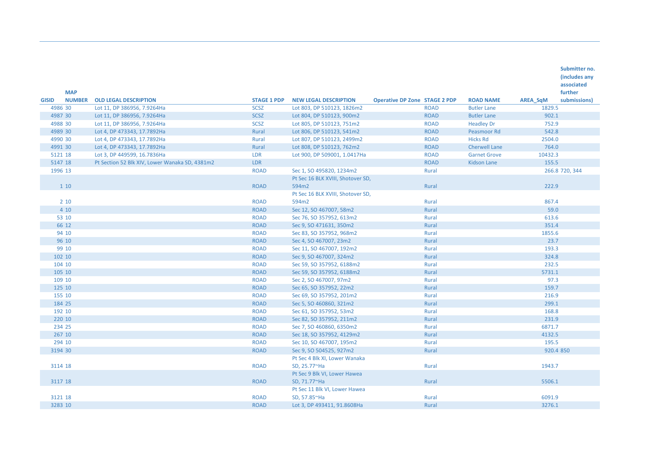|              | <b>MAP</b>    |                                                |                    |                                   |                                      |             |                      |                 | (includes any<br>associated<br>further |
|--------------|---------------|------------------------------------------------|--------------------|-----------------------------------|--------------------------------------|-------------|----------------------|-----------------|----------------------------------------|
| <b>GISID</b> | <b>NUMBER</b> | <b>OLD LEGAL DESCRIPTION</b>                   | <b>STAGE 1 PDP</b> | <b>NEW LEGAL DESCRIPTION</b>      | <b>Operative DP Zone STAGE 2 PDP</b> |             | <b>ROAD NAME</b>     | <b>AREA SqM</b> | submissions)                           |
| 4986 30      |               | Lot 11, DP 386956, 7.9264Ha                    | <b>SCSZ</b>        | Lot 803, DP 510123, 1826m2        |                                      | <b>ROAD</b> | <b>Butler Lane</b>   | 1829.5          |                                        |
| 4987 30      |               | Lot 11, DP 386956, 7.9264Ha                    | <b>SCSZ</b>        | Lot 804, DP 510123, 900m2         |                                      | <b>ROAD</b> | <b>Butler Lane</b>   | 902.1           |                                        |
| 4988 30      |               | Lot 11, DP 386956, 7.9264Ha                    | <b>SCSZ</b>        | Lot 805, DP 510123, 751m2         |                                      | <b>ROAD</b> | <b>Headley Dr</b>    | 752.9           |                                        |
| 4989 30      |               | Lot 4, DP 473343, 17.7892Ha                    | Rural              | Lot 806, DP 510123, 541m2         |                                      | <b>ROAD</b> | Peasmoor Rd          | 542.8           |                                        |
| 4990 30      |               | Lot 4, DP 473343, 17.7892Ha                    | Rural              | Lot 807, DP 510123, 2499m2        |                                      | <b>ROAD</b> | <b>Hicks Rd</b>      | 2504.0          |                                        |
| 4991 30      |               | Lot 4, DP 473343, 17.7892Ha                    | Rural              | Lot 808, DP 510123, 762m2         |                                      | <b>ROAD</b> | <b>Cherwell Lane</b> | 764.0           |                                        |
| 5121 18      |               | Lot 3, DP 449599, 16.7836Ha                    | <b>LDR</b>         | Lot 900, DP 509001, 1.0417Ha      |                                      | <b>ROAD</b> | <b>Garnet Grove</b>  | 10432.3         |                                        |
| 5147 18      |               | Pt Section 52 Blk XIV, Lower Wanaka SD, 4381m2 | <b>LDR</b>         |                                   |                                      | <b>ROAD</b> | <b>Kidson Lane</b>   | 155.5           |                                        |
| 1996 13      |               |                                                | <b>ROAD</b>        | Sec 1, SO 495820, 1234m2          |                                      | Rural       |                      |                 | 266.8 720, 344                         |
|              |               |                                                |                    | Pt Sec 16 BLK XVIII, Shotover SD, |                                      |             |                      |                 |                                        |
|              | 1 10          |                                                | <b>ROAD</b>        | 594m2                             |                                      | Rural       |                      | 222.9           |                                        |
|              |               |                                                |                    | Pt Sec 16 BLK XVIII, Shotover SD, |                                      |             |                      |                 |                                        |
|              | $2 10$        |                                                | <b>ROAD</b>        | 594m2                             |                                      | Rural       |                      | 867.4           |                                        |
|              | 4 10          |                                                | <b>ROAD</b>        | Sec 12, SO 467007, 58m2           |                                      | Rural       |                      | 59.0            |                                        |
|              | 53 10         |                                                | <b>ROAD</b>        | Sec 76, SO 357952, 613m2          |                                      | Rural       |                      | 613.6           |                                        |
|              | 66 12         |                                                | <b>ROAD</b>        | Sec 9, SO 471631, 350m2           |                                      | Rural       |                      | 351.4           |                                        |
|              | 94 10         |                                                | <b>ROAD</b>        | Sec 83, SO 357952, 968m2          |                                      | Rural       |                      | 1855.6          |                                        |
|              | 96 10         |                                                | <b>ROAD</b>        | Sec 4, SO 467007, 23m2            |                                      | Rural       |                      | 23.7            |                                        |
|              | 99 10         |                                                | <b>ROAD</b>        | Sec 11, SO 467007, 192m2          |                                      | Rural       |                      | 193.3           |                                        |
| 102 10       |               |                                                | <b>ROAD</b>        | Sec 9, SO 467007, 324m2           |                                      | Rural       |                      | 324.8           |                                        |
| 104 10       |               |                                                | <b>ROAD</b>        | Sec 59, SO 357952, 6188m2         |                                      | Rural       |                      | 232.5           |                                        |
| 105 10       |               |                                                | <b>ROAD</b>        | Sec 59, SO 357952, 6188m2         |                                      | Rural       |                      | 5731.1          |                                        |
| 109 10       |               |                                                | <b>ROAD</b>        | Sec 2, SO 467007, 97m2            |                                      | Rural       |                      | 97.3            |                                        |
| 125 10       |               |                                                | <b>ROAD</b>        | Sec 65, SO 357952, 22m2           |                                      | Rural       |                      | 159.7           |                                        |
| 155 10       |               |                                                | <b>ROAD</b>        | Sec 69, SO 357952, 201m2          |                                      | Rural       |                      | 216.9           |                                        |
| 184 25       |               |                                                | <b>ROAD</b>        | Sec 5, SO 460860, 321m2           |                                      | Rural       |                      | 299.1           |                                        |
| 192 10       |               |                                                | <b>ROAD</b>        | Sec 61, SO 357952, 53m2           |                                      | Rural       |                      | 168.8           |                                        |
| 220 10       |               |                                                | <b>ROAD</b>        | Sec 82, SO 357952, 211m2          |                                      | Rural       |                      | 231.9           |                                        |
| 234 25       |               |                                                | <b>ROAD</b>        | Sec 7, SO 460860, 6350m2          |                                      | Rural       |                      | 6871.7          |                                        |
| 267 10       |               |                                                | <b>ROAD</b>        | Sec 18, SO 357952, 4129m2         |                                      | Rural       |                      | 4132.5          |                                        |
| 294 10       |               |                                                | <b>ROAD</b>        | Sec 10, SO 467007, 195m2          |                                      | Rural       |                      | 195.5           |                                        |
| 3194 30      |               |                                                | <b>ROAD</b>        | Sec 9, SO 504525, 927m2           |                                      | Rural       |                      | 920.4 850       |                                        |
|              |               |                                                |                    | Pt Sec 4 Blk XI, Lower Wanaka     |                                      |             |                      |                 |                                        |
| 3114 18      |               |                                                | <b>ROAD</b>        | SD, 25.77~Ha                      |                                      | Rural       |                      | 1943.7          |                                        |
|              |               |                                                |                    | Pt Sec 9 Blk VI, Lower Hawea      |                                      |             |                      |                 |                                        |
| 3117 18      |               |                                                | <b>ROAD</b>        | SD, 71.77~Ha                      |                                      | Rural       |                      | 5506.1          |                                        |
|              |               |                                                |                    | Pt Sec 11 Blk VI, Lower Hawea     |                                      |             |                      |                 |                                        |
| 3121 18      |               |                                                | <b>ROAD</b>        | SD, 57.85~Ha                      |                                      | Rural       |                      | 6091.9          |                                        |
| 3283 10      |               |                                                | <b>ROAD</b>        | Lot 3, DP 493411, 91.8608Ha       |                                      | Rural       |                      | 3276.1          |                                        |